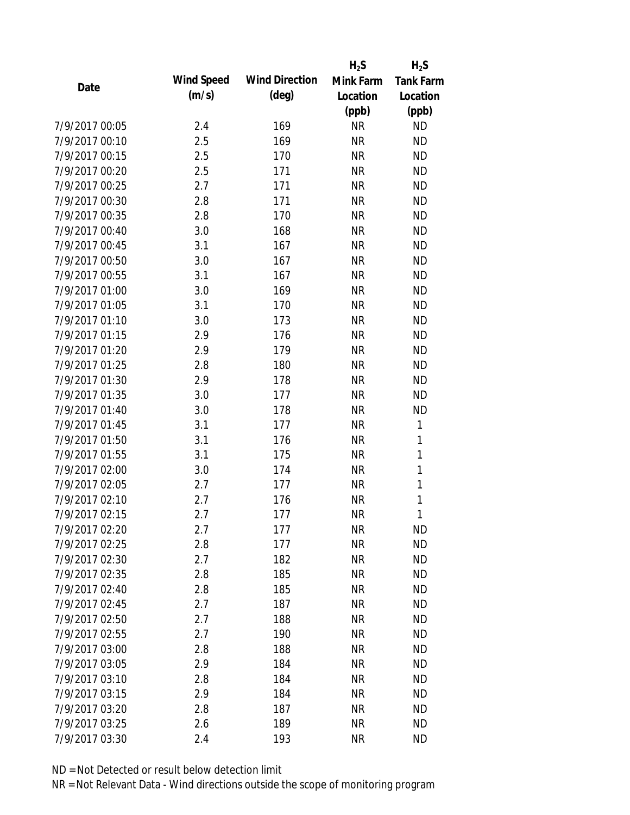|                |            |                       | $H_2S$    | $H_2S$           |
|----------------|------------|-----------------------|-----------|------------------|
| Date           | Wind Speed | <b>Wind Direction</b> | Mink Farm | <b>Tank Farm</b> |
|                | (m/s)      | $(\text{deg})$        | Location  | Location         |
|                |            |                       | (ppb)     | (ppb)            |
| 7/9/2017 00:05 | 2.4        | 169                   | <b>NR</b> | <b>ND</b>        |
| 7/9/2017 00:10 | 2.5        | 169                   | <b>NR</b> | <b>ND</b>        |
| 7/9/2017 00:15 | 2.5        | 170                   | <b>NR</b> | <b>ND</b>        |
| 7/9/2017 00:20 | 2.5        | 171                   | <b>NR</b> | <b>ND</b>        |
| 7/9/2017 00:25 | 2.7        | 171                   | <b>NR</b> | <b>ND</b>        |
| 7/9/2017 00:30 | 2.8        | 171                   | <b>NR</b> | <b>ND</b>        |
| 7/9/2017 00:35 | 2.8        | 170                   | <b>NR</b> | <b>ND</b>        |
| 7/9/2017 00:40 | 3.0        | 168                   | <b>NR</b> | <b>ND</b>        |
| 7/9/2017 00:45 | 3.1        | 167                   | <b>NR</b> | <b>ND</b>        |
| 7/9/2017 00:50 | 3.0        | 167                   | <b>NR</b> | <b>ND</b>        |
| 7/9/2017 00:55 | 3.1        | 167                   | <b>NR</b> | <b>ND</b>        |
| 7/9/2017 01:00 | 3.0        | 169                   | <b>NR</b> | <b>ND</b>        |
| 7/9/2017 01:05 | 3.1        | 170                   | <b>NR</b> | <b>ND</b>        |
| 7/9/2017 01:10 | 3.0        | 173                   | <b>NR</b> | <b>ND</b>        |
| 7/9/2017 01:15 | 2.9        | 176                   | <b>NR</b> | <b>ND</b>        |
| 7/9/2017 01:20 | 2.9        | 179                   | <b>NR</b> | <b>ND</b>        |
| 7/9/2017 01:25 | 2.8        | 180                   | <b>NR</b> | <b>ND</b>        |
| 7/9/2017 01:30 | 2.9        | 178                   | <b>NR</b> | <b>ND</b>        |
| 7/9/2017 01:35 | 3.0        | 177                   | <b>NR</b> | <b>ND</b>        |
| 7/9/2017 01:40 | 3.0        | 178                   | <b>NR</b> | <b>ND</b>        |
| 7/9/2017 01:45 | 3.1        | 177                   | <b>NR</b> | $\mathbf{1}$     |
| 7/9/2017 01:50 | 3.1        | 176                   | <b>NR</b> | 1                |
| 7/9/2017 01:55 | 3.1        | 175                   | <b>NR</b> | $\mathbf{1}$     |
| 7/9/2017 02:00 | 3.0        | 174                   | <b>NR</b> | 1                |
| 7/9/2017 02:05 | 2.7        | 177                   | <b>NR</b> | 1                |
| 7/9/2017 02:10 | 2.7        | 176                   | <b>NR</b> | 1                |
| 7/9/2017 02:15 | 2.7        | 177                   | <b>NR</b> | 1                |
| 7/9/2017 02:20 | 2.7        | 177                   | <b>NR</b> | <b>ND</b>        |
| 7/9/2017 02:25 | 2.8        | 177                   | <b>NR</b> | <b>ND</b>        |
| 7/9/2017 02:30 | 2.7        | 182                   | <b>NR</b> | <b>ND</b>        |
| 7/9/2017 02:35 | 2.8        | 185                   | <b>NR</b> | <b>ND</b>        |
| 7/9/2017 02:40 | 2.8        | 185                   | <b>NR</b> | <b>ND</b>        |
| 7/9/2017 02:45 | 2.7        | 187                   | <b>NR</b> | <b>ND</b>        |
| 7/9/2017 02:50 | 2.7        | 188                   | <b>NR</b> | <b>ND</b>        |
| 7/9/2017 02:55 | 2.7        | 190                   | <b>NR</b> | <b>ND</b>        |
| 7/9/2017 03:00 | 2.8        | 188                   | <b>NR</b> | <b>ND</b>        |
| 7/9/2017 03:05 | 2.9        | 184                   | <b>NR</b> | <b>ND</b>        |
| 7/9/2017 03:10 | 2.8        | 184                   | <b>NR</b> | <b>ND</b>        |
| 7/9/2017 03:15 | 2.9        | 184                   | <b>NR</b> | <b>ND</b>        |
| 7/9/2017 03:20 | 2.8        | 187                   | <b>NR</b> | <b>ND</b>        |
| 7/9/2017 03:25 | 2.6        | 189                   | <b>NR</b> | <b>ND</b>        |
| 7/9/2017 03:30 | 2.4        | 193                   | <b>NR</b> | <b>ND</b>        |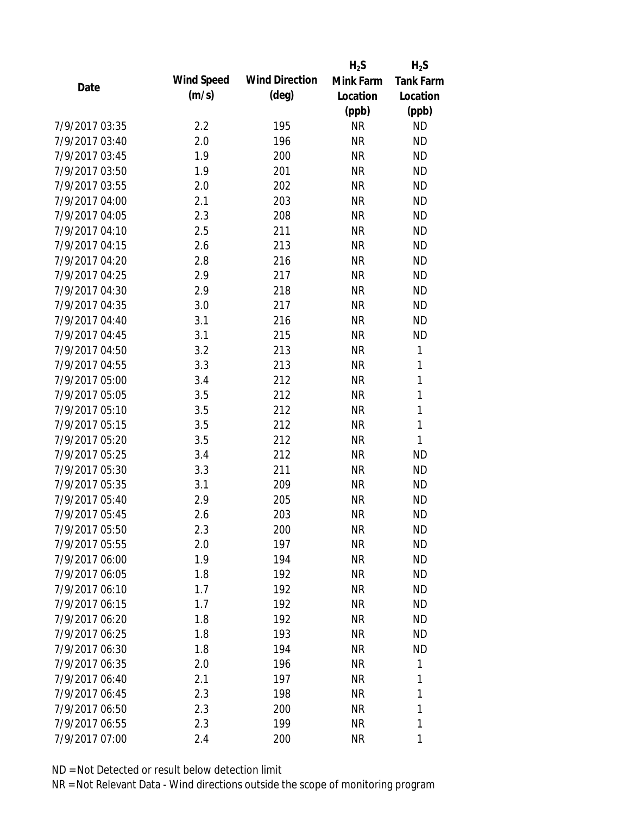|                |            |                       | $H_2S$    | $H_2S$           |
|----------------|------------|-----------------------|-----------|------------------|
| Date           | Wind Speed | <b>Wind Direction</b> | Mink Farm | <b>Tank Farm</b> |
|                | (m/s)      | $(\text{deg})$        | Location  | Location         |
|                |            |                       | (ppb)     | (ppb)            |
| 7/9/2017 03:35 | 2.2        | 195                   | <b>NR</b> | <b>ND</b>        |
| 7/9/2017 03:40 | 2.0        | 196                   | <b>NR</b> | <b>ND</b>        |
| 7/9/2017 03:45 | 1.9        | 200                   | <b>NR</b> | <b>ND</b>        |
| 7/9/2017 03:50 | 1.9        | 201                   | <b>NR</b> | <b>ND</b>        |
| 7/9/2017 03:55 | 2.0        | 202                   | <b>NR</b> | <b>ND</b>        |
| 7/9/2017 04:00 | 2.1        | 203                   | <b>NR</b> | <b>ND</b>        |
| 7/9/2017 04:05 | 2.3        | 208                   | <b>NR</b> | <b>ND</b>        |
| 7/9/2017 04:10 | 2.5        | 211                   | <b>NR</b> | <b>ND</b>        |
| 7/9/2017 04:15 | 2.6        | 213                   | <b>NR</b> | <b>ND</b>        |
| 7/9/2017 04:20 | 2.8        | 216                   | <b>NR</b> | <b>ND</b>        |
| 7/9/2017 04:25 | 2.9        | 217                   | <b>NR</b> | <b>ND</b>        |
| 7/9/2017 04:30 | 2.9        | 218                   | <b>NR</b> | <b>ND</b>        |
| 7/9/2017 04:35 | 3.0        | 217                   | <b>NR</b> | <b>ND</b>        |
| 7/9/2017 04:40 | 3.1        | 216                   | <b>NR</b> | <b>ND</b>        |
| 7/9/2017 04:45 | 3.1        | 215                   | <b>NR</b> | <b>ND</b>        |
| 7/9/2017 04:50 | 3.2        | 213                   | <b>NR</b> | 1                |
| 7/9/2017 04:55 | 3.3        | 213                   | <b>NR</b> | 1                |
| 7/9/2017 05:00 | 3.4        | 212                   | <b>NR</b> | $\mathbf{1}$     |
| 7/9/2017 05:05 | 3.5        | 212                   | <b>NR</b> | $\mathbf{1}$     |
| 7/9/2017 05:10 | 3.5        | 212                   | <b>NR</b> | $\mathbf{1}$     |
| 7/9/2017 05:15 | 3.5        | 212                   | <b>NR</b> | 1                |
| 7/9/2017 05:20 | 3.5        | 212                   | <b>NR</b> | 1                |
| 7/9/2017 05:25 | 3.4        | 212                   | <b>NR</b> | <b>ND</b>        |
| 7/9/2017 05:30 | 3.3        | 211                   | <b>NR</b> | <b>ND</b>        |
| 7/9/2017 05:35 | 3.1        | 209                   | <b>NR</b> | <b>ND</b>        |
| 7/9/2017 05:40 | 2.9        | 205                   | <b>NR</b> | <b>ND</b>        |
| 7/9/2017 05:45 | 2.6        | 203                   | <b>NR</b> | <b>ND</b>        |
| 7/9/2017 05:50 | 2.3        | 200                   | NR        | <b>ND</b>        |
| 7/9/2017 05:55 | 2.0        | 197                   | <b>NR</b> | <b>ND</b>        |
| 7/9/2017 06:00 | 1.9        | 194                   | <b>NR</b> | <b>ND</b>        |
| 7/9/2017 06:05 | 1.8        | 192                   | <b>NR</b> | <b>ND</b>        |
| 7/9/2017 06:10 | 1.7        | 192                   | <b>NR</b> | <b>ND</b>        |
| 7/9/2017 06:15 | 1.7        | 192                   | <b>NR</b> | <b>ND</b>        |
| 7/9/2017 06:20 | 1.8        | 192                   | <b>NR</b> | <b>ND</b>        |
| 7/9/2017 06:25 | 1.8        | 193                   | <b>NR</b> | <b>ND</b>        |
| 7/9/2017 06:30 | 1.8        | 194                   | <b>NR</b> | <b>ND</b>        |
| 7/9/2017 06:35 | 2.0        | 196                   | <b>NR</b> | 1                |
| 7/9/2017 06:40 | 2.1        | 197                   | <b>NR</b> | 1                |
| 7/9/2017 06:45 | 2.3        | 198                   | <b>NR</b> | 1                |
| 7/9/2017 06:50 | 2.3        | 200                   | ΝR        | 1                |
| 7/9/2017 06:55 | 2.3        | 199                   | <b>NR</b> | 1                |
| 7/9/2017 07:00 |            |                       |           |                  |
|                | 2.4        | 200                   | <b>NR</b> | 1                |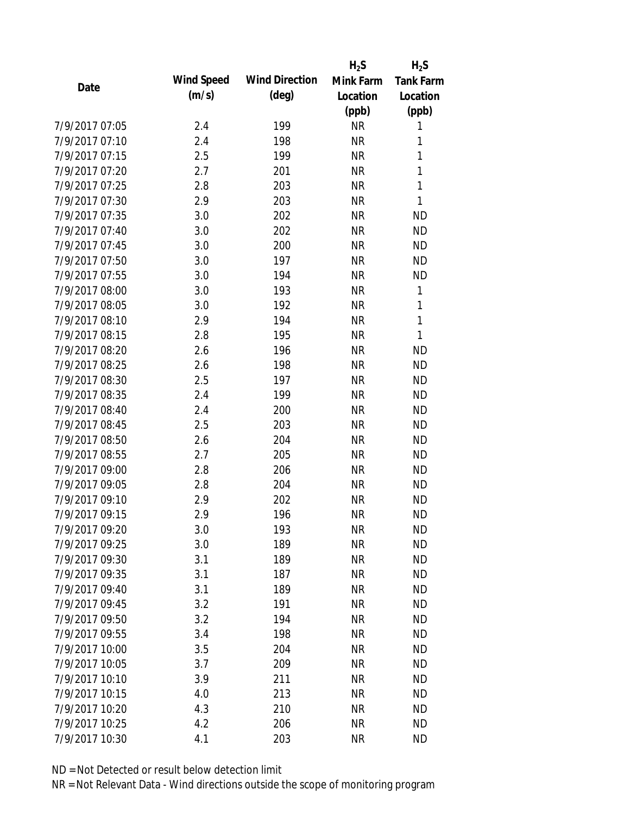|                |                   |                       | $H_2S$    | $H_2S$           |
|----------------|-------------------|-----------------------|-----------|------------------|
| Date           | <b>Wind Speed</b> | <b>Wind Direction</b> | Mink Farm | <b>Tank Farm</b> |
|                | (m/s)             | $(\text{deg})$        | Location  | Location         |
|                |                   |                       | (ppb)     | (ppb)            |
| 7/9/2017 07:05 | 2.4               | 199                   | <b>NR</b> | 1                |
| 7/9/2017 07:10 | 2.4               | 198                   | <b>NR</b> | 1                |
| 7/9/2017 07:15 | 2.5               | 199                   | <b>NR</b> | 1                |
| 7/9/2017 07:20 | 2.7               | 201                   | <b>NR</b> | 1                |
| 7/9/2017 07:25 | 2.8               | 203                   | <b>NR</b> | 1                |
| 7/9/2017 07:30 | 2.9               | 203                   | <b>NR</b> | 1                |
| 7/9/2017 07:35 | 3.0               | 202                   | <b>NR</b> | <b>ND</b>        |
| 7/9/2017 07:40 | 3.0               | 202                   | <b>NR</b> | <b>ND</b>        |
| 7/9/2017 07:45 | 3.0               | 200                   | <b>NR</b> | <b>ND</b>        |
| 7/9/2017 07:50 | 3.0               | 197                   | <b>NR</b> | <b>ND</b>        |
| 7/9/2017 07:55 | 3.0               | 194                   | <b>NR</b> | <b>ND</b>        |
| 7/9/2017 08:00 | 3.0               | 193                   | <b>NR</b> | 1                |
| 7/9/2017 08:05 | 3.0               | 192                   | <b>NR</b> | $\mathbf{1}$     |
| 7/9/2017 08:10 | 2.9               | 194                   | <b>NR</b> | 1                |
| 7/9/2017 08:15 | 2.8               | 195                   | <b>NR</b> | 1                |
| 7/9/2017 08:20 | 2.6               | 196                   | <b>NR</b> | <b>ND</b>        |
| 7/9/2017 08:25 | 2.6               | 198                   | <b>NR</b> | <b>ND</b>        |
| 7/9/2017 08:30 | 2.5               | 197                   | <b>NR</b> | <b>ND</b>        |
| 7/9/2017 08:35 | 2.4               | 199                   | <b>NR</b> | <b>ND</b>        |
| 7/9/2017 08:40 | 2.4               | 200                   | <b>NR</b> | <b>ND</b>        |
| 7/9/2017 08:45 | 2.5               | 203                   | <b>NR</b> | <b>ND</b>        |
| 7/9/2017 08:50 | 2.6               | 204                   | <b>NR</b> | <b>ND</b>        |
| 7/9/2017 08:55 | 2.7               | 205                   | <b>NR</b> | <b>ND</b>        |
| 7/9/2017 09:00 | 2.8               | 206                   | <b>NR</b> | <b>ND</b>        |
| 7/9/2017 09:05 | 2.8               | 204                   | <b>NR</b> | <b>ND</b>        |
| 7/9/2017 09:10 | 2.9               | 202                   | <b>NR</b> | <b>ND</b>        |
| 7/9/2017 09:15 | 2.9               | 196                   | <b>NR</b> | <b>ND</b>        |
| 7/9/2017 09:20 | 3.0               | 193                   | <b>NR</b> | <b>ND</b>        |
| 7/9/2017 09:25 | 3.0               | 189                   | <b>NR</b> | <b>ND</b>        |
| 7/9/2017 09:30 | 3.1               | 189                   | <b>NR</b> | <b>ND</b>        |
| 7/9/2017 09:35 | 3.1               | 187                   | <b>NR</b> | <b>ND</b>        |
| 7/9/2017 09:40 | 3.1               | 189                   | <b>NR</b> | <b>ND</b>        |
| 7/9/2017 09:45 | 3.2               | 191                   | <b>NR</b> | <b>ND</b>        |
| 7/9/2017 09:50 | 3.2               | 194                   | <b>NR</b> | <b>ND</b>        |
| 7/9/2017 09:55 | 3.4               | 198                   | <b>NR</b> | <b>ND</b>        |
| 7/9/2017 10:00 | 3.5               | 204                   | <b>NR</b> | <b>ND</b>        |
| 7/9/2017 10:05 | 3.7               | 209                   | <b>NR</b> | <b>ND</b>        |
| 7/9/2017 10:10 | 3.9               | 211                   | <b>NR</b> | <b>ND</b>        |
| 7/9/2017 10:15 | 4.0               | 213                   | <b>NR</b> | <b>ND</b>        |
| 7/9/2017 10:20 | 4.3               | 210                   | <b>NR</b> | <b>ND</b>        |
| 7/9/2017 10:25 | 4.2               | 206                   | <b>NR</b> | <b>ND</b>        |
| 7/9/2017 10:30 | 4.1               | 203                   | <b>NR</b> | <b>ND</b>        |
|                |                   |                       |           |                  |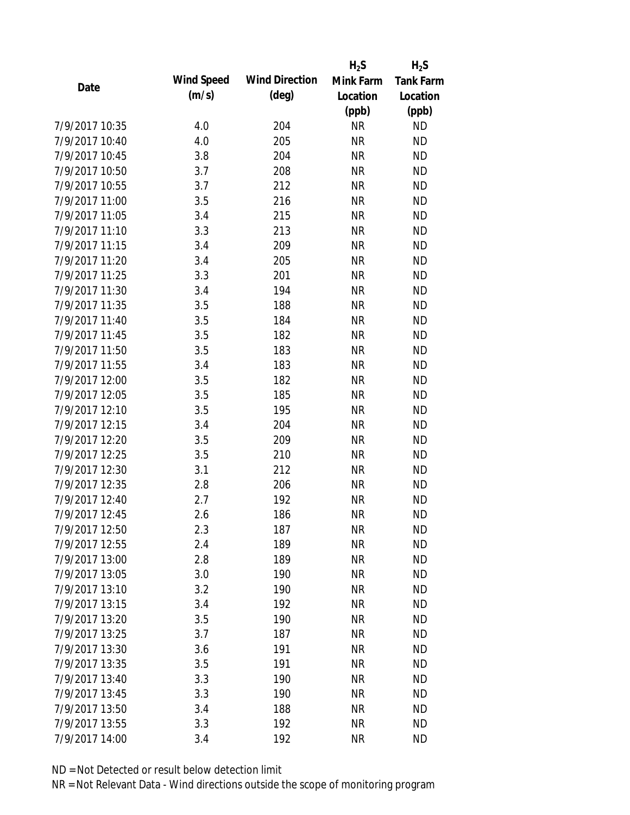|                |                   |                       | $H_2S$    | $H_2S$           |
|----------------|-------------------|-----------------------|-----------|------------------|
| Date           | <b>Wind Speed</b> | <b>Wind Direction</b> | Mink Farm | <b>Tank Farm</b> |
|                | (m/s)             | $(\text{deg})$        | Location  | Location         |
|                |                   |                       | (ppb)     | (ppb)            |
| 7/9/2017 10:35 | 4.0               | 204                   | <b>NR</b> | <b>ND</b>        |
| 7/9/2017 10:40 | 4.0               | 205                   | <b>NR</b> | <b>ND</b>        |
| 7/9/2017 10:45 | 3.8               | 204                   | <b>NR</b> | <b>ND</b>        |
| 7/9/2017 10:50 | 3.7               | 208                   | <b>NR</b> | <b>ND</b>        |
| 7/9/2017 10:55 | 3.7               | 212                   | <b>NR</b> | <b>ND</b>        |
| 7/9/2017 11:00 | 3.5               | 216                   | <b>NR</b> | <b>ND</b>        |
| 7/9/2017 11:05 | 3.4               | 215                   | <b>NR</b> | <b>ND</b>        |
| 7/9/2017 11:10 | 3.3               | 213                   | <b>NR</b> | <b>ND</b>        |
| 7/9/2017 11:15 | 3.4               | 209                   | <b>NR</b> | <b>ND</b>        |
| 7/9/2017 11:20 | 3.4               | 205                   | <b>NR</b> | <b>ND</b>        |
| 7/9/2017 11:25 | 3.3               | 201                   | <b>NR</b> | <b>ND</b>        |
| 7/9/2017 11:30 | 3.4               | 194                   | <b>NR</b> | <b>ND</b>        |
| 7/9/2017 11:35 | 3.5               | 188                   | <b>NR</b> | <b>ND</b>        |
| 7/9/2017 11:40 | 3.5               | 184                   | <b>NR</b> | <b>ND</b>        |
| 7/9/2017 11:45 | 3.5               | 182                   | <b>NR</b> | <b>ND</b>        |
| 7/9/2017 11:50 | 3.5               | 183                   | <b>NR</b> | <b>ND</b>        |
| 7/9/2017 11:55 | 3.4               | 183                   | <b>NR</b> | <b>ND</b>        |
| 7/9/2017 12:00 | 3.5               | 182                   | <b>NR</b> | <b>ND</b>        |
| 7/9/2017 12:05 | 3.5               | 185                   | <b>NR</b> | <b>ND</b>        |
| 7/9/2017 12:10 | 3.5               | 195                   | <b>NR</b> | <b>ND</b>        |
| 7/9/2017 12:15 | 3.4               | 204                   | <b>NR</b> | <b>ND</b>        |
| 7/9/2017 12:20 | 3.5               | 209                   | <b>NR</b> | <b>ND</b>        |
| 7/9/2017 12:25 | 3.5               | 210                   | <b>NR</b> | <b>ND</b>        |
| 7/9/2017 12:30 | 3.1               | 212                   | <b>NR</b> | <b>ND</b>        |
| 7/9/2017 12:35 | 2.8               | 206                   | <b>NR</b> | <b>ND</b>        |
| 7/9/2017 12:40 | 2.7               | 192                   | <b>NR</b> | <b>ND</b>        |
| 7/9/2017 12:45 | 2.6               | 186                   | <b>NR</b> | <b>ND</b>        |
| 7/9/2017 12:50 | 2.3               | 187                   | <b>NR</b> | <b>ND</b>        |
| 7/9/2017 12:55 | 2.4               | 189                   | <b>NR</b> | <b>ND</b>        |
| 7/9/2017 13:00 | 2.8               | 189                   | <b>NR</b> | <b>ND</b>        |
| 7/9/2017 13:05 | 3.0               | 190                   | <b>NR</b> | <b>ND</b>        |
| 7/9/2017 13:10 | 3.2               | 190                   | <b>NR</b> | <b>ND</b>        |
| 7/9/2017 13:15 | 3.4               | 192                   | <b>NR</b> | <b>ND</b>        |
| 7/9/2017 13:20 | 3.5               | 190                   | <b>NR</b> | <b>ND</b>        |
| 7/9/2017 13:25 | 3.7               | 187                   | <b>NR</b> | <b>ND</b>        |
| 7/9/2017 13:30 | 3.6               | 191                   | <b>NR</b> | <b>ND</b>        |
| 7/9/2017 13:35 | 3.5               | 191                   | <b>NR</b> | <b>ND</b>        |
| 7/9/2017 13:40 | 3.3               | 190                   | <b>NR</b> | <b>ND</b>        |
| 7/9/2017 13:45 | 3.3               | 190                   | <b>NR</b> | <b>ND</b>        |
| 7/9/2017 13:50 | 3.4               | 188                   | <b>NR</b> | <b>ND</b>        |
| 7/9/2017 13:55 | 3.3               | 192                   | <b>NR</b> | <b>ND</b>        |
| 7/9/2017 14:00 | 3.4               | 192                   | <b>NR</b> | <b>ND</b>        |
|                |                   |                       |           |                  |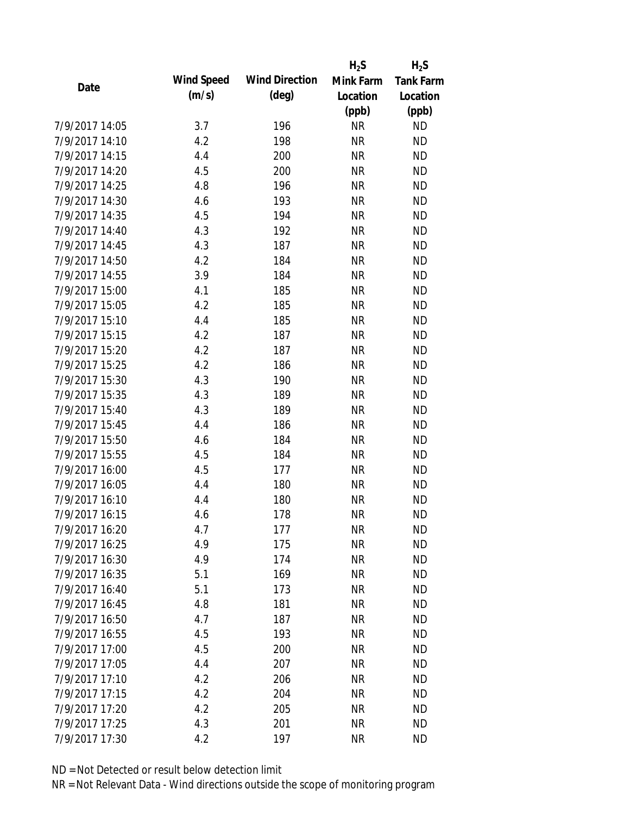|                |            |                       | $H_2S$    | $H_2S$           |
|----------------|------------|-----------------------|-----------|------------------|
| Date           | Wind Speed | <b>Wind Direction</b> | Mink Farm | <b>Tank Farm</b> |
|                | (m/s)      | $(\text{deg})$        | Location  | Location         |
|                |            |                       | (ppb)     | (ppb)            |
| 7/9/2017 14:05 | 3.7        | 196                   | <b>NR</b> | <b>ND</b>        |
| 7/9/2017 14:10 | 4.2        | 198                   | <b>NR</b> | <b>ND</b>        |
| 7/9/2017 14:15 | 4.4        | 200                   | <b>NR</b> | <b>ND</b>        |
| 7/9/2017 14:20 | 4.5        | 200                   | <b>NR</b> | <b>ND</b>        |
| 7/9/2017 14:25 | 4.8        | 196                   | <b>NR</b> | <b>ND</b>        |
| 7/9/2017 14:30 | 4.6        | 193                   | <b>NR</b> | <b>ND</b>        |
| 7/9/2017 14:35 | 4.5        | 194                   | <b>NR</b> | <b>ND</b>        |
| 7/9/2017 14:40 | 4.3        | 192                   | <b>NR</b> | <b>ND</b>        |
| 7/9/2017 14:45 | 4.3        | 187                   | <b>NR</b> | <b>ND</b>        |
| 7/9/2017 14:50 | 4.2        | 184                   | <b>NR</b> | <b>ND</b>        |
| 7/9/2017 14:55 | 3.9        | 184                   | <b>NR</b> | <b>ND</b>        |
| 7/9/2017 15:00 | 4.1        | 185                   | <b>NR</b> | <b>ND</b>        |
| 7/9/2017 15:05 | 4.2        | 185                   | <b>NR</b> | <b>ND</b>        |
| 7/9/2017 15:10 | 4.4        | 185                   | <b>NR</b> | <b>ND</b>        |
| 7/9/2017 15:15 | 4.2        | 187                   | <b>NR</b> | <b>ND</b>        |
| 7/9/2017 15:20 | 4.2        | 187                   | <b>NR</b> | <b>ND</b>        |
| 7/9/2017 15:25 | 4.2        | 186                   | <b>NR</b> | <b>ND</b>        |
| 7/9/2017 15:30 | 4.3        | 190                   | <b>NR</b> | <b>ND</b>        |
| 7/9/2017 15:35 | 4.3        | 189                   | <b>NR</b> | <b>ND</b>        |
| 7/9/2017 15:40 | 4.3        | 189                   | <b>NR</b> | <b>ND</b>        |
| 7/9/2017 15:45 | 4.4        | 186                   | <b>NR</b> | <b>ND</b>        |
| 7/9/2017 15:50 | 4.6        | 184                   | <b>NR</b> | <b>ND</b>        |
| 7/9/2017 15:55 | 4.5        | 184                   | <b>NR</b> | <b>ND</b>        |
| 7/9/2017 16:00 | 4.5        | 177                   | <b>NR</b> | <b>ND</b>        |
| 7/9/2017 16:05 | 4.4        | 180                   | <b>NR</b> | <b>ND</b>        |
| 7/9/2017 16:10 | 4.4        | 180                   | <b>NR</b> | <b>ND</b>        |
| 7/9/2017 16:15 | 4.6        | 178                   | <b>NR</b> | <b>ND</b>        |
| 7/9/2017 16:20 | 4.7        | 177                   | <b>NR</b> | <b>ND</b>        |
| 7/9/2017 16:25 | 4.9        | 175                   | <b>NR</b> | <b>ND</b>        |
| 7/9/2017 16:30 | 4.9        | 174                   | <b>NR</b> | <b>ND</b>        |
| 7/9/2017 16:35 | 5.1        | 169                   | <b>NR</b> | <b>ND</b>        |
| 7/9/2017 16:40 | 5.1        | 173                   | <b>NR</b> | <b>ND</b>        |
| 7/9/2017 16:45 | 4.8        | 181                   | <b>NR</b> | <b>ND</b>        |
| 7/9/2017 16:50 | 4.7        | 187                   | <b>NR</b> | <b>ND</b>        |
| 7/9/2017 16:55 | 4.5        | 193                   | <b>NR</b> | <b>ND</b>        |
| 7/9/2017 17:00 | 4.5        | 200                   | <b>NR</b> | <b>ND</b>        |
| 7/9/2017 17:05 | 4.4        | 207                   | <b>NR</b> | <b>ND</b>        |
| 7/9/2017 17:10 | 4.2        | 206                   | <b>NR</b> | <b>ND</b>        |
| 7/9/2017 17:15 | 4.2        | 204                   | <b>NR</b> | <b>ND</b>        |
| 7/9/2017 17:20 | 4.2        | 205                   | <b>NR</b> | <b>ND</b>        |
| 7/9/2017 17:25 | 4.3        | 201                   | <b>NR</b> | <b>ND</b>        |
| 7/9/2017 17:30 | 4.2        | 197                   | <b>NR</b> | <b>ND</b>        |
|                |            |                       |           |                  |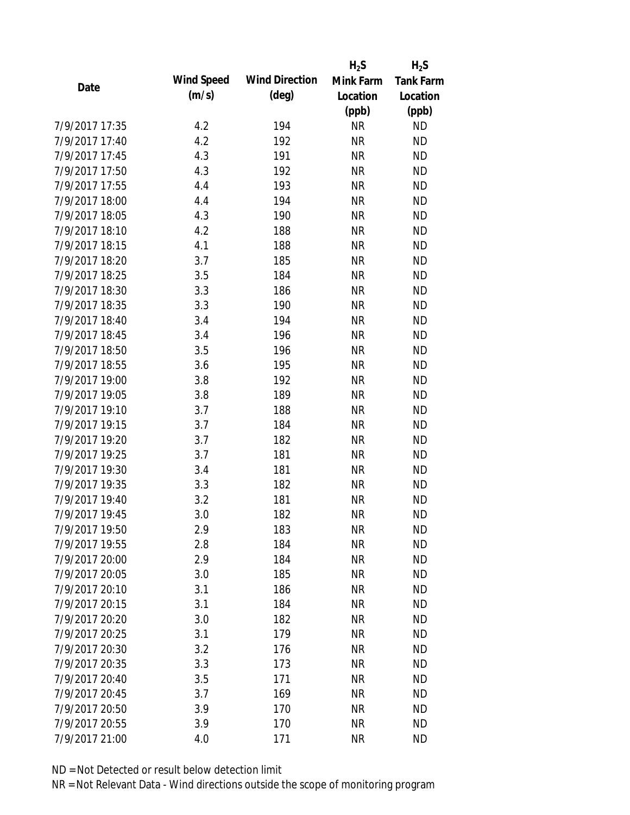|                |            |                       | $H_2S$    | $H_2S$           |
|----------------|------------|-----------------------|-----------|------------------|
| Date           | Wind Speed | <b>Wind Direction</b> | Mink Farm | <b>Tank Farm</b> |
|                | (m/s)      | $(\text{deg})$        | Location  | Location         |
|                |            |                       | (ppb)     | (ppb)            |
| 7/9/2017 17:35 | 4.2        | 194                   | <b>NR</b> | <b>ND</b>        |
| 7/9/2017 17:40 | 4.2        | 192                   | <b>NR</b> | <b>ND</b>        |
| 7/9/2017 17:45 | 4.3        | 191                   | <b>NR</b> | <b>ND</b>        |
| 7/9/2017 17:50 | 4.3        | 192                   | <b>NR</b> | <b>ND</b>        |
| 7/9/2017 17:55 | 4.4        | 193                   | <b>NR</b> | <b>ND</b>        |
| 7/9/2017 18:00 | 4.4        | 194                   | <b>NR</b> | <b>ND</b>        |
| 7/9/2017 18:05 | 4.3        | 190                   | <b>NR</b> | <b>ND</b>        |
| 7/9/2017 18:10 | 4.2        | 188                   | <b>NR</b> | <b>ND</b>        |
| 7/9/2017 18:15 | 4.1        | 188                   | <b>NR</b> | <b>ND</b>        |
| 7/9/2017 18:20 | 3.7        | 185                   | <b>NR</b> | <b>ND</b>        |
| 7/9/2017 18:25 | 3.5        | 184                   | <b>NR</b> | <b>ND</b>        |
| 7/9/2017 18:30 | 3.3        | 186                   | <b>NR</b> | <b>ND</b>        |
| 7/9/2017 18:35 | 3.3        | 190                   | <b>NR</b> | <b>ND</b>        |
| 7/9/2017 18:40 | 3.4        | 194                   | <b>NR</b> | <b>ND</b>        |
| 7/9/2017 18:45 | 3.4        | 196                   | <b>NR</b> | <b>ND</b>        |
| 7/9/2017 18:50 | 3.5        | 196                   | <b>NR</b> | <b>ND</b>        |
| 7/9/2017 18:55 | 3.6        | 195                   | <b>NR</b> | <b>ND</b>        |
| 7/9/2017 19:00 | 3.8        | 192                   | <b>NR</b> | <b>ND</b>        |
| 7/9/2017 19:05 | 3.8        | 189                   | <b>NR</b> | <b>ND</b>        |
| 7/9/2017 19:10 | 3.7        | 188                   | <b>NR</b> | <b>ND</b>        |
| 7/9/2017 19:15 | 3.7        | 184                   | <b>NR</b> | <b>ND</b>        |
| 7/9/2017 19:20 | 3.7        | 182                   | <b>NR</b> | <b>ND</b>        |
| 7/9/2017 19:25 | 3.7        | 181                   | <b>NR</b> | <b>ND</b>        |
| 7/9/2017 19:30 | 3.4        | 181                   | <b>NR</b> | <b>ND</b>        |
| 7/9/2017 19:35 | 3.3        | 182                   | <b>NR</b> | <b>ND</b>        |
| 7/9/2017 19:40 | 3.2        | 181                   | <b>NR</b> | <b>ND</b>        |
| 7/9/2017 19:45 | 3.0        | 182                   | <b>NR</b> | <b>ND</b>        |
| 7/9/2017 19:50 | 2.9        | 183                   | <b>NR</b> | <b>ND</b>        |
| 7/9/2017 19:55 | 2.8        | 184                   | <b>NR</b> | <b>ND</b>        |
| 7/9/2017 20:00 | 2.9        | 184                   | <b>NR</b> | <b>ND</b>        |
| 7/9/2017 20:05 | 3.0        | 185                   | <b>NR</b> | <b>ND</b>        |
| 7/9/2017 20:10 | 3.1        | 186                   | <b>NR</b> | <b>ND</b>        |
| 7/9/2017 20:15 | 3.1        | 184                   | <b>NR</b> | <b>ND</b>        |
| 7/9/2017 20:20 | 3.0        | 182                   | <b>NR</b> | <b>ND</b>        |
| 7/9/2017 20:25 | 3.1        | 179                   | <b>NR</b> | <b>ND</b>        |
| 7/9/2017 20:30 | 3.2        | 176                   | <b>NR</b> | <b>ND</b>        |
| 7/9/2017 20:35 | 3.3        | 173                   | <b>NR</b> | <b>ND</b>        |
| 7/9/2017 20:40 | 3.5        | 171                   | <b>NR</b> | <b>ND</b>        |
| 7/9/2017 20:45 | 3.7        | 169                   | <b>NR</b> | <b>ND</b>        |
| 7/9/2017 20:50 | 3.9        | 170                   | <b>NR</b> | <b>ND</b>        |
| 7/9/2017 20:55 | 3.9        | 170                   | <b>NR</b> | <b>ND</b>        |
| 7/9/2017 21:00 | 4.0        | 171                   | <b>NR</b> | <b>ND</b>        |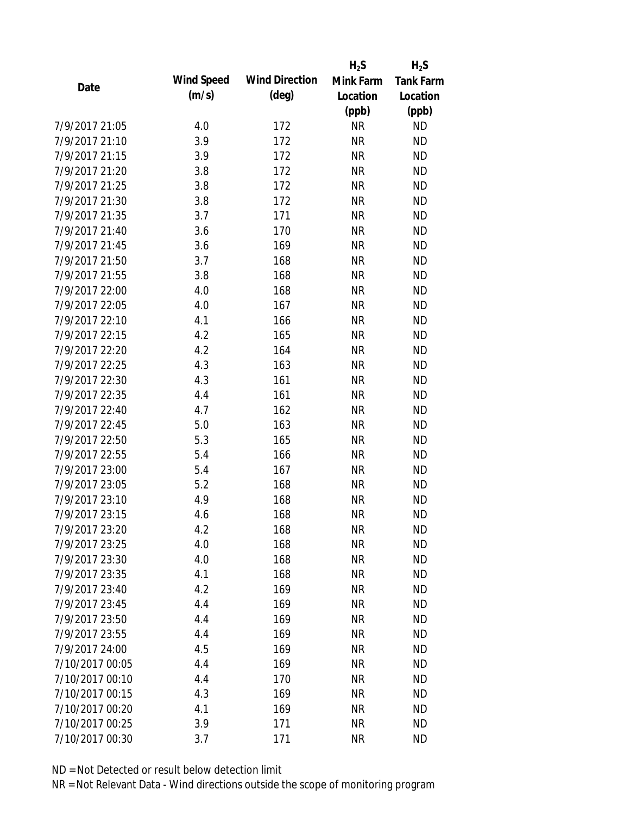|                 |            |                       | $H_2S$    | $H_2S$           |
|-----------------|------------|-----------------------|-----------|------------------|
| Date            | Wind Speed | <b>Wind Direction</b> | Mink Farm | <b>Tank Farm</b> |
|                 | (m/s)      | $(\text{deg})$        | Location  | Location         |
|                 |            |                       | (ppb)     | (ppb)            |
| 7/9/2017 21:05  | 4.0        | 172                   | <b>NR</b> | <b>ND</b>        |
| 7/9/2017 21:10  | 3.9        | 172                   | <b>NR</b> | <b>ND</b>        |
| 7/9/2017 21:15  | 3.9        | 172                   | <b>NR</b> | <b>ND</b>        |
| 7/9/2017 21:20  | 3.8        | 172                   | <b>NR</b> | <b>ND</b>        |
| 7/9/2017 21:25  | 3.8        | 172                   | <b>NR</b> | <b>ND</b>        |
| 7/9/2017 21:30  | 3.8        | 172                   | <b>NR</b> | <b>ND</b>        |
| 7/9/2017 21:35  | 3.7        | 171                   | <b>NR</b> | <b>ND</b>        |
| 7/9/2017 21:40  | 3.6        | 170                   | <b>NR</b> | <b>ND</b>        |
| 7/9/2017 21:45  | 3.6        | 169                   | <b>NR</b> | <b>ND</b>        |
| 7/9/2017 21:50  | 3.7        | 168                   | <b>NR</b> | <b>ND</b>        |
| 7/9/2017 21:55  | 3.8        | 168                   | <b>NR</b> | <b>ND</b>        |
| 7/9/2017 22:00  | 4.0        | 168                   | <b>NR</b> | <b>ND</b>        |
| 7/9/2017 22:05  | 4.0        | 167                   | <b>NR</b> | <b>ND</b>        |
| 7/9/2017 22:10  | 4.1        | 166                   | <b>NR</b> | <b>ND</b>        |
| 7/9/2017 22:15  | 4.2        | 165                   | <b>NR</b> | <b>ND</b>        |
| 7/9/2017 22:20  | 4.2        | 164                   | <b>NR</b> | <b>ND</b>        |
| 7/9/2017 22:25  | 4.3        | 163                   | <b>NR</b> | <b>ND</b>        |
| 7/9/2017 22:30  | 4.3        | 161                   | <b>NR</b> | <b>ND</b>        |
| 7/9/2017 22:35  | 4.4        | 161                   | <b>NR</b> | <b>ND</b>        |
| 7/9/2017 22:40  | 4.7        | 162                   | <b>NR</b> | <b>ND</b>        |
| 7/9/2017 22:45  | 5.0        | 163                   | <b>NR</b> | <b>ND</b>        |
| 7/9/2017 22:50  | 5.3        | 165                   | <b>NR</b> | <b>ND</b>        |
| 7/9/2017 22:55  | 5.4        | 166                   | <b>NR</b> | <b>ND</b>        |
| 7/9/2017 23:00  | 5.4        | 167                   | <b>NR</b> | <b>ND</b>        |
| 7/9/2017 23:05  | 5.2        | 168                   | <b>NR</b> | <b>ND</b>        |
| 7/9/2017 23:10  | 4.9        | 168                   | <b>NR</b> | <b>ND</b>        |
| 7/9/2017 23:15  | 4.6        | 168                   | <b>NR</b> | <b>ND</b>        |
| 7/9/2017 23:20  | 4.2        | 168                   | ΝR        | <b>ND</b>        |
| 7/9/2017 23:25  | 4.0        | 168                   | <b>NR</b> | <b>ND</b>        |
| 7/9/2017 23:30  | 4.0        | 168                   | <b>NR</b> | <b>ND</b>        |
| 7/9/2017 23:35  | 4.1        | 168                   | <b>NR</b> | <b>ND</b>        |
| 7/9/2017 23:40  | 4.2        | 169                   | <b>NR</b> | <b>ND</b>        |
| 7/9/2017 23:45  | 4.4        | 169                   | <b>NR</b> | <b>ND</b>        |
| 7/9/2017 23:50  | 4.4        | 169                   | <b>NR</b> | <b>ND</b>        |
| 7/9/2017 23:55  | 4.4        | 169                   | <b>NR</b> | <b>ND</b>        |
| 7/9/2017 24:00  | 4.5        | 169                   | <b>NR</b> | <b>ND</b>        |
| 7/10/2017 00:05 | 4.4        | 169                   | <b>NR</b> | <b>ND</b>        |
| 7/10/2017 00:10 | 4.4        | 170                   | <b>NR</b> | <b>ND</b>        |
| 7/10/2017 00:15 | 4.3        | 169                   | <b>NR</b> | <b>ND</b>        |
| 7/10/2017 00:20 | 4.1        | 169                   | <b>NR</b> | <b>ND</b>        |
| 7/10/2017 00:25 | 3.9        | 171                   | <b>NR</b> | <b>ND</b>        |
| 7/10/2017 00:30 | 3.7        | 171                   | <b>NR</b> | <b>ND</b>        |
|                 |            |                       |           |                  |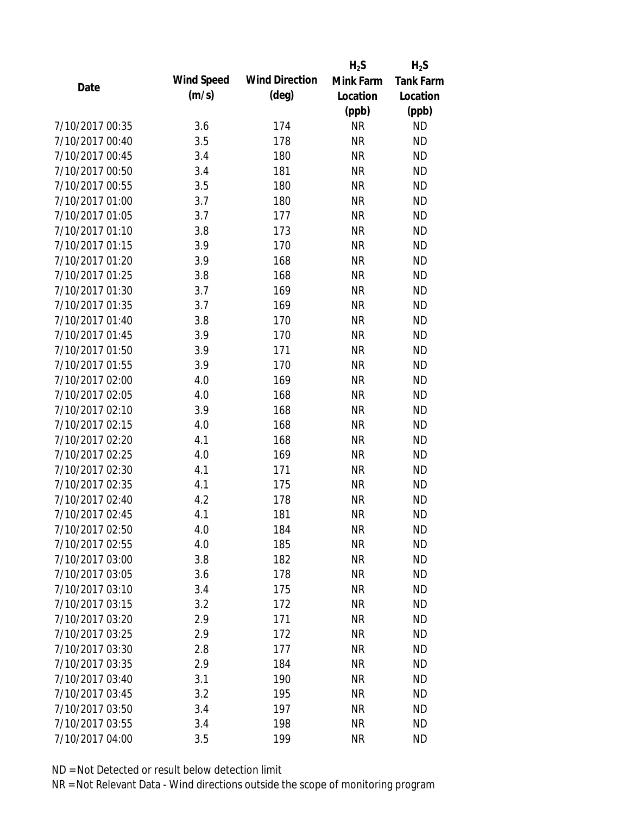|                 |            |                       | $H_2S$    | $H_2S$           |
|-----------------|------------|-----------------------|-----------|------------------|
| Date            | Wind Speed | <b>Wind Direction</b> | Mink Farm | <b>Tank Farm</b> |
|                 | (m/s)      | $(\text{deg})$        | Location  | Location         |
|                 |            |                       | (ppb)     | (ppb)            |
| 7/10/2017 00:35 | 3.6        | 174                   | <b>NR</b> | <b>ND</b>        |
| 7/10/2017 00:40 | 3.5        | 178                   | <b>NR</b> | <b>ND</b>        |
| 7/10/2017 00:45 | 3.4        | 180                   | <b>NR</b> | <b>ND</b>        |
| 7/10/2017 00:50 | 3.4        | 181                   | <b>NR</b> | <b>ND</b>        |
| 7/10/2017 00:55 | 3.5        | 180                   | <b>NR</b> | <b>ND</b>        |
| 7/10/2017 01:00 | 3.7        | 180                   | <b>NR</b> | <b>ND</b>        |
| 7/10/2017 01:05 | 3.7        | 177                   | <b>NR</b> | <b>ND</b>        |
| 7/10/2017 01:10 | 3.8        | 173                   | <b>NR</b> | <b>ND</b>        |
| 7/10/2017 01:15 | 3.9        | 170                   | <b>NR</b> | <b>ND</b>        |
| 7/10/2017 01:20 | 3.9        | 168                   | <b>NR</b> | <b>ND</b>        |
| 7/10/2017 01:25 | 3.8        | 168                   | <b>NR</b> | <b>ND</b>        |
| 7/10/2017 01:30 | 3.7        | 169                   | <b>NR</b> | <b>ND</b>        |
| 7/10/2017 01:35 | 3.7        | 169                   | <b>NR</b> | <b>ND</b>        |
| 7/10/2017 01:40 | 3.8        | 170                   | <b>NR</b> | <b>ND</b>        |
| 7/10/2017 01:45 | 3.9        | 170                   | <b>NR</b> | <b>ND</b>        |
| 7/10/2017 01:50 | 3.9        | 171                   | <b>NR</b> | <b>ND</b>        |
| 7/10/2017 01:55 | 3.9        | 170                   | <b>NR</b> | <b>ND</b>        |
| 7/10/2017 02:00 | 4.0        | 169                   | <b>NR</b> | <b>ND</b>        |
| 7/10/2017 02:05 | 4.0        | 168                   | <b>NR</b> | <b>ND</b>        |
| 7/10/2017 02:10 | 3.9        | 168                   | <b>NR</b> | <b>ND</b>        |
| 7/10/2017 02:15 | 4.0        | 168                   | <b>NR</b> | <b>ND</b>        |
| 7/10/2017 02:20 | 4.1        | 168                   | <b>NR</b> | <b>ND</b>        |
| 7/10/2017 02:25 | 4.0        | 169                   | <b>NR</b> | <b>ND</b>        |
| 7/10/2017 02:30 | 4.1        | 171                   | <b>NR</b> | <b>ND</b>        |
| 7/10/2017 02:35 | 4.1        | 175                   | <b>NR</b> | <b>ND</b>        |
| 7/10/2017 02:40 | 4.2        | 178                   | <b>NR</b> | <b>ND</b>        |
| 7/10/2017 02:45 | 4.1        | 181                   | <b>NR</b> | <b>ND</b>        |
| 7/10/2017 02:50 | 4.0        | 184                   | ΝR        | <b>ND</b>        |
| 7/10/2017 02:55 | 4.0        | 185                   | <b>NR</b> | <b>ND</b>        |
| 7/10/2017 03:00 | 3.8        | 182                   | <b>NR</b> | <b>ND</b>        |
| 7/10/2017 03:05 | 3.6        | 178                   | <b>NR</b> | <b>ND</b>        |
| 7/10/2017 03:10 | 3.4        | 175                   | <b>NR</b> | <b>ND</b>        |
| 7/10/2017 03:15 | 3.2        | 172                   | <b>NR</b> | <b>ND</b>        |
| 7/10/2017 03:20 | 2.9        | 171                   | <b>NR</b> | <b>ND</b>        |
| 7/10/2017 03:25 | 2.9        | 172                   | <b>NR</b> | <b>ND</b>        |
| 7/10/2017 03:30 | 2.8        | 177                   | <b>NR</b> | <b>ND</b>        |
| 7/10/2017 03:35 | 2.9        | 184                   | <b>NR</b> | <b>ND</b>        |
| 7/10/2017 03:40 | 3.1        | 190                   | <b>NR</b> | <b>ND</b>        |
| 7/10/2017 03:45 | 3.2        | 195                   | <b>NR</b> | <b>ND</b>        |
| 7/10/2017 03:50 | 3.4        | 197                   | <b>NR</b> | <b>ND</b>        |
| 7/10/2017 03:55 | 3.4        | 198                   | <b>NR</b> | <b>ND</b>        |
| 7/10/2017 04:00 | 3.5        | 199                   | <b>NR</b> | <b>ND</b>        |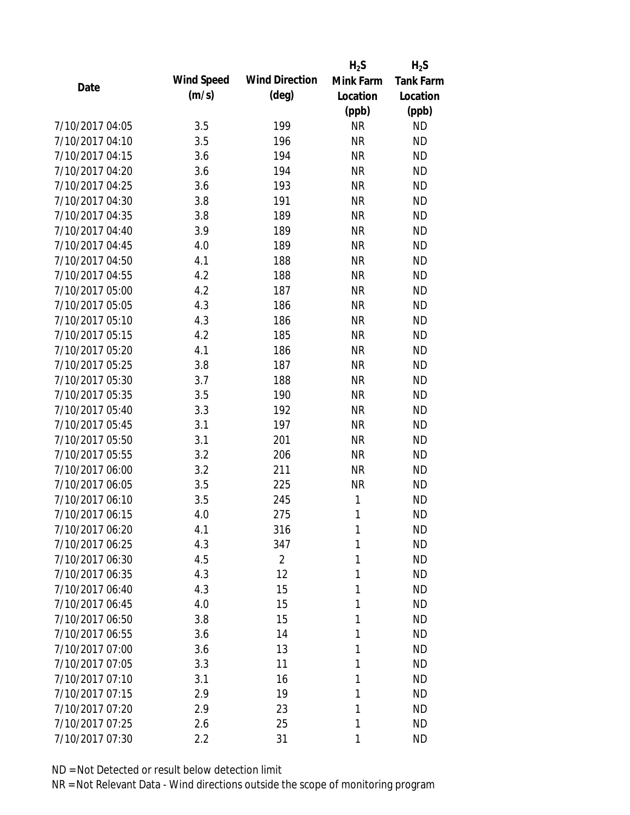|                 |            |                       | $H_2S$    | $H_2S$           |
|-----------------|------------|-----------------------|-----------|------------------|
| Date            | Wind Speed | <b>Wind Direction</b> | Mink Farm | <b>Tank Farm</b> |
|                 | (m/s)      | $(\text{deg})$        | Location  | Location         |
|                 |            |                       | (ppb)     | (ppb)            |
| 7/10/2017 04:05 | 3.5        | 199                   | <b>NR</b> | <b>ND</b>        |
| 7/10/2017 04:10 | 3.5        | 196                   | <b>NR</b> | <b>ND</b>        |
| 7/10/2017 04:15 | 3.6        | 194                   | <b>NR</b> | <b>ND</b>        |
| 7/10/2017 04:20 | 3.6        | 194                   | <b>NR</b> | <b>ND</b>        |
| 7/10/2017 04:25 | 3.6        | 193                   | <b>NR</b> | <b>ND</b>        |
| 7/10/2017 04:30 | 3.8        | 191                   | <b>NR</b> | <b>ND</b>        |
| 7/10/2017 04:35 | 3.8        | 189                   | <b>NR</b> | <b>ND</b>        |
| 7/10/2017 04:40 | 3.9        | 189                   | <b>NR</b> | <b>ND</b>        |
| 7/10/2017 04:45 | 4.0        | 189                   | <b>NR</b> | <b>ND</b>        |
| 7/10/2017 04:50 | 4.1        | 188                   | <b>NR</b> | <b>ND</b>        |
| 7/10/2017 04:55 | 4.2        | 188                   | <b>NR</b> | <b>ND</b>        |
| 7/10/2017 05:00 | 4.2        | 187                   | <b>NR</b> | <b>ND</b>        |
| 7/10/2017 05:05 | 4.3        | 186                   | <b>NR</b> | <b>ND</b>        |
| 7/10/2017 05:10 | 4.3        | 186                   | <b>NR</b> | <b>ND</b>        |
| 7/10/2017 05:15 | 4.2        | 185                   | <b>NR</b> | <b>ND</b>        |
| 7/10/2017 05:20 | 4.1        | 186                   | <b>NR</b> | <b>ND</b>        |
| 7/10/2017 05:25 | 3.8        | 187                   | <b>NR</b> | <b>ND</b>        |
| 7/10/2017 05:30 | 3.7        | 188                   | <b>NR</b> | <b>ND</b>        |
| 7/10/2017 05:35 | 3.5        | 190                   | <b>NR</b> | <b>ND</b>        |
| 7/10/2017 05:40 | 3.3        | 192                   | <b>NR</b> | <b>ND</b>        |
| 7/10/2017 05:45 | 3.1        | 197                   | <b>NR</b> | <b>ND</b>        |
| 7/10/2017 05:50 | 3.1        | 201                   | <b>NR</b> | <b>ND</b>        |
| 7/10/2017 05:55 | 3.2        | 206                   | <b>NR</b> | <b>ND</b>        |
| 7/10/2017 06:00 | 3.2        | 211                   | <b>NR</b> | <b>ND</b>        |
| 7/10/2017 06:05 | 3.5        | 225                   | <b>NR</b> | <b>ND</b>        |
| 7/10/2017 06:10 | 3.5        | 245                   | 1         | <b>ND</b>        |
| 7/10/2017 06:15 | 4.0        | 275                   | 1         | <b>ND</b>        |
| 7/10/2017 06:20 | 4.1        | 316                   | 1         | <b>ND</b>        |
| 7/10/2017 06:25 | 4.3        | 347                   | 1         | <b>ND</b>        |
| 7/10/2017 06:30 | 4.5        | $\overline{2}$        | 1         | <b>ND</b>        |
| 7/10/2017 06:35 | 4.3        | 12                    | 1         | <b>ND</b>        |
| 7/10/2017 06:40 | 4.3        | 15                    | 1         | <b>ND</b>        |
| 7/10/2017 06:45 | 4.0        | 15                    | 1         | <b>ND</b>        |
| 7/10/2017 06:50 | 3.8        | 15                    | 1         | <b>ND</b>        |
| 7/10/2017 06:55 | 3.6        | 14                    | 1         | <b>ND</b>        |
| 7/10/2017 07:00 | 3.6        | 13                    | 1         | <b>ND</b>        |
| 7/10/2017 07:05 | 3.3        | 11                    | 1         | <b>ND</b>        |
| 7/10/2017 07:10 | 3.1        | 16                    | 1         | <b>ND</b>        |
| 7/10/2017 07:15 | 2.9        | 19                    | 1         | <b>ND</b>        |
| 7/10/2017 07:20 | 2.9        | 23                    | 1         | <b>ND</b>        |
| 7/10/2017 07:25 | 2.6        | 25                    | 1         | <b>ND</b>        |
| 7/10/2017 07:30 | 2.2        | 31                    | 1         | <b>ND</b>        |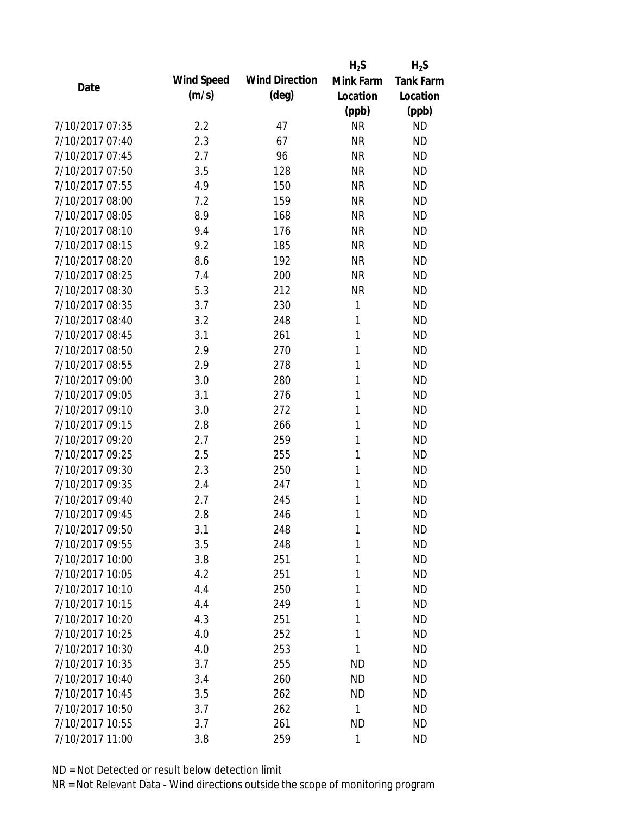|                 |            |                       | $H_2S$    | $H_2S$           |
|-----------------|------------|-----------------------|-----------|------------------|
| Date            | Wind Speed | <b>Wind Direction</b> | Mink Farm | <b>Tank Farm</b> |
|                 | (m/s)      | $(\text{deg})$        | Location  | Location         |
|                 |            |                       | (ppb)     | (ppb)            |
| 7/10/2017 07:35 | 2.2        | 47                    | <b>NR</b> | <b>ND</b>        |
| 7/10/2017 07:40 | 2.3        | 67                    | <b>NR</b> | <b>ND</b>        |
| 7/10/2017 07:45 | 2.7        | 96                    | <b>NR</b> | <b>ND</b>        |
| 7/10/2017 07:50 | 3.5        | 128                   | <b>NR</b> | <b>ND</b>        |
| 7/10/2017 07:55 | 4.9        | 150                   | <b>NR</b> | <b>ND</b>        |
| 7/10/2017 08:00 | 7.2        | 159                   | <b>NR</b> | <b>ND</b>        |
| 7/10/2017 08:05 | 8.9        | 168                   | <b>NR</b> | <b>ND</b>        |
| 7/10/2017 08:10 | 9.4        | 176                   | <b>NR</b> | <b>ND</b>        |
| 7/10/2017 08:15 | 9.2        | 185                   | <b>NR</b> | <b>ND</b>        |
| 7/10/2017 08:20 | 8.6        | 192                   | <b>NR</b> | <b>ND</b>        |
| 7/10/2017 08:25 | 7.4        | 200                   | <b>NR</b> | <b>ND</b>        |
| 7/10/2017 08:30 | 5.3        | 212                   | <b>NR</b> | <b>ND</b>        |
| 7/10/2017 08:35 | 3.7        | 230                   | 1         | <b>ND</b>        |
| 7/10/2017 08:40 | 3.2        | 248                   | 1         | <b>ND</b>        |
| 7/10/2017 08:45 | 3.1        | 261                   | 1         | <b>ND</b>        |
| 7/10/2017 08:50 | 2.9        | 270                   | 1         | <b>ND</b>        |
| 7/10/2017 08:55 | 2.9        | 278                   | 1         | <b>ND</b>        |
| 7/10/2017 09:00 | 3.0        | 280                   | 1         | <b>ND</b>        |
| 7/10/2017 09:05 | 3.1        | 276                   | 1         | <b>ND</b>        |
| 7/10/2017 09:10 | 3.0        | 272                   | 1         | <b>ND</b>        |
| 7/10/2017 09:15 | 2.8        | 266                   | 1         | <b>ND</b>        |
| 7/10/2017 09:20 | 2.7        | 259                   | 1         | <b>ND</b>        |
| 7/10/2017 09:25 | 2.5        | 255                   | 1         | <b>ND</b>        |
| 7/10/2017 09:30 | 2.3        | 250                   | 1         | <b>ND</b>        |
| 7/10/2017 09:35 | 2.4        | 247                   | 1         | <b>ND</b>        |
| 7/10/2017 09:40 | 2.7        | 245                   | 1         | <b>ND</b>        |
| 7/10/2017 09:45 | 2.8        | 246                   | 1         | <b>ND</b>        |
| 7/10/2017 09:50 | 3.1        | 248                   | 1         | <b>ND</b>        |
| 7/10/2017 09:55 | 3.5        | 248                   | 1         | <b>ND</b>        |
| 7/10/2017 10:00 | 3.8        | 251                   | 1         | <b>ND</b>        |
| 7/10/2017 10:05 | 4.2        | 251                   | 1         | <b>ND</b>        |
| 7/10/2017 10:10 | 4.4        | 250                   | 1         | <b>ND</b>        |
| 7/10/2017 10:15 | 4.4        | 249                   | 1         | <b>ND</b>        |
| 7/10/2017 10:20 | 4.3        | 251                   | 1         | <b>ND</b>        |
| 7/10/2017 10:25 | 4.0        | 252                   | 1         | <b>ND</b>        |
| 7/10/2017 10:30 | 4.0        | 253                   | 1         | <b>ND</b>        |
| 7/10/2017 10:35 | 3.7        | 255                   | <b>ND</b> | <b>ND</b>        |
| 7/10/2017 10:40 | 3.4        | 260                   | <b>ND</b> | <b>ND</b>        |
| 7/10/2017 10:45 | 3.5        | 262                   | <b>ND</b> | <b>ND</b>        |
| 7/10/2017 10:50 | 3.7        | 262                   | 1         | <b>ND</b>        |
| 7/10/2017 10:55 | 3.7        | 261                   | <b>ND</b> | <b>ND</b>        |
| 7/10/2017 11:00 | 3.8        | 259                   | 1         | <b>ND</b>        |
|                 |            |                       |           |                  |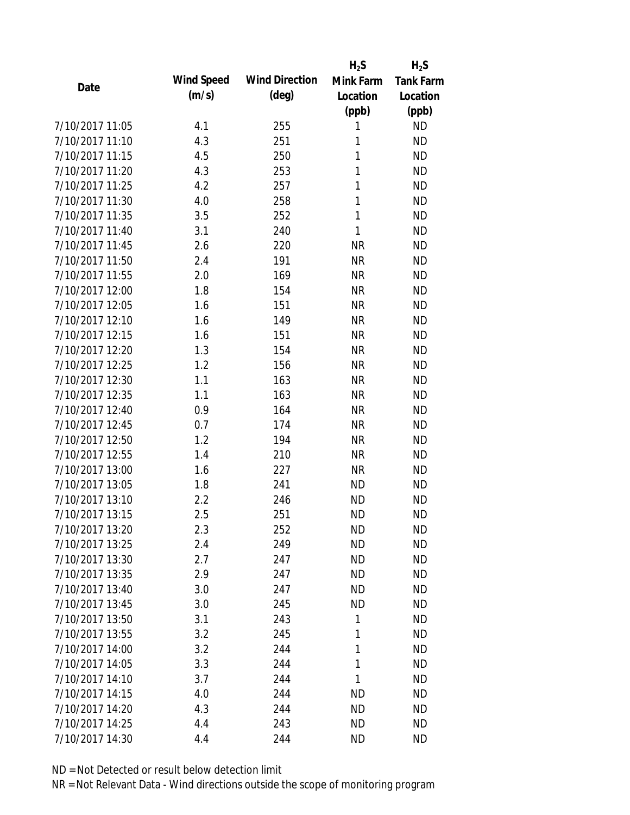|                 |            |                       | $H_2S$    | $H_2S$    |
|-----------------|------------|-----------------------|-----------|-----------|
| Date            | Wind Speed | <b>Wind Direction</b> | Mink Farm | Tank Farm |
|                 | (m/s)      | $(\text{deg})$        | Location  | Location  |
|                 |            |                       | (ppb)     | (ppb)     |
| 7/10/2017 11:05 | 4.1        | 255                   | 1         | <b>ND</b> |
| 7/10/2017 11:10 | 4.3        | 251                   | 1         | <b>ND</b> |
| 7/10/2017 11:15 | 4.5        | 250                   | 1         | <b>ND</b> |
| 7/10/2017 11:20 | 4.3        | 253                   | 1         | <b>ND</b> |
| 7/10/2017 11:25 | 4.2        | 257                   | 1         | <b>ND</b> |
| 7/10/2017 11:30 | 4.0        | 258                   | 1         | <b>ND</b> |
| 7/10/2017 11:35 | 3.5        | 252                   | 1         | <b>ND</b> |
| 7/10/2017 11:40 | 3.1        | 240                   | 1         | <b>ND</b> |
| 7/10/2017 11:45 | 2.6        | 220                   | <b>NR</b> | <b>ND</b> |
| 7/10/2017 11:50 | 2.4        | 191                   | <b>NR</b> | <b>ND</b> |
| 7/10/2017 11:55 | 2.0        | 169                   | <b>NR</b> | <b>ND</b> |
| 7/10/2017 12:00 | 1.8        | 154                   | <b>NR</b> | <b>ND</b> |
| 7/10/2017 12:05 | 1.6        | 151                   | <b>NR</b> | <b>ND</b> |
| 7/10/2017 12:10 | 1.6        | 149                   | <b>NR</b> | <b>ND</b> |
| 7/10/2017 12:15 | 1.6        | 151                   | <b>NR</b> | <b>ND</b> |
| 7/10/2017 12:20 | 1.3        | 154                   | <b>NR</b> | <b>ND</b> |
| 7/10/2017 12:25 | 1.2        | 156                   | <b>NR</b> | <b>ND</b> |
| 7/10/2017 12:30 | 1.1        | 163                   | <b>NR</b> | <b>ND</b> |
| 7/10/2017 12:35 | 1.1        | 163                   | <b>NR</b> | <b>ND</b> |
| 7/10/2017 12:40 | 0.9        | 164                   | <b>NR</b> | <b>ND</b> |
| 7/10/2017 12:45 | 0.7        | 174                   | <b>NR</b> | <b>ND</b> |
| 7/10/2017 12:50 | 1.2        | 194                   | <b>NR</b> | <b>ND</b> |
| 7/10/2017 12:55 | 1.4        | 210                   | <b>NR</b> | <b>ND</b> |
| 7/10/2017 13:00 | 1.6        | 227                   | <b>NR</b> | <b>ND</b> |
| 7/10/2017 13:05 | 1.8        | 241                   | <b>ND</b> | <b>ND</b> |
| 7/10/2017 13:10 | 2.2        | 246                   | <b>ND</b> | <b>ND</b> |
| 7/10/2017 13:15 | 2.5        | 251                   | <b>ND</b> | <b>ND</b> |
| 7/10/2017 13:20 | 2.3        | 252                   | ND        | <b>ND</b> |
| 7/10/2017 13:25 | 2.4        | 249                   | <b>ND</b> | <b>ND</b> |
| 7/10/2017 13:30 | 2.7        | 247                   | <b>ND</b> | <b>ND</b> |
| 7/10/2017 13:35 | 2.9        | 247                   | <b>ND</b> | <b>ND</b> |
| 7/10/2017 13:40 | 3.0        | 247                   | <b>ND</b> | <b>ND</b> |
| 7/10/2017 13:45 | 3.0        | 245                   | <b>ND</b> | <b>ND</b> |
| 7/10/2017 13:50 | 3.1        | 243                   | 1         | <b>ND</b> |
| 7/10/2017 13:55 | 3.2        | 245                   | 1         | <b>ND</b> |
| 7/10/2017 14:00 | 3.2        | 244                   | 1         | <b>ND</b> |
| 7/10/2017 14:05 | 3.3        | 244                   | 1         | <b>ND</b> |
| 7/10/2017 14:10 | 3.7        | 244                   | 1         | <b>ND</b> |
| 7/10/2017 14:15 | 4.0        | 244                   | ND        | <b>ND</b> |
| 7/10/2017 14:20 | 4.3        | 244                   | <b>ND</b> | <b>ND</b> |
| 7/10/2017 14:25 | 4.4        | 243                   | <b>ND</b> | <b>ND</b> |
| 7/10/2017 14:30 | 4.4        | 244                   | <b>ND</b> | <b>ND</b> |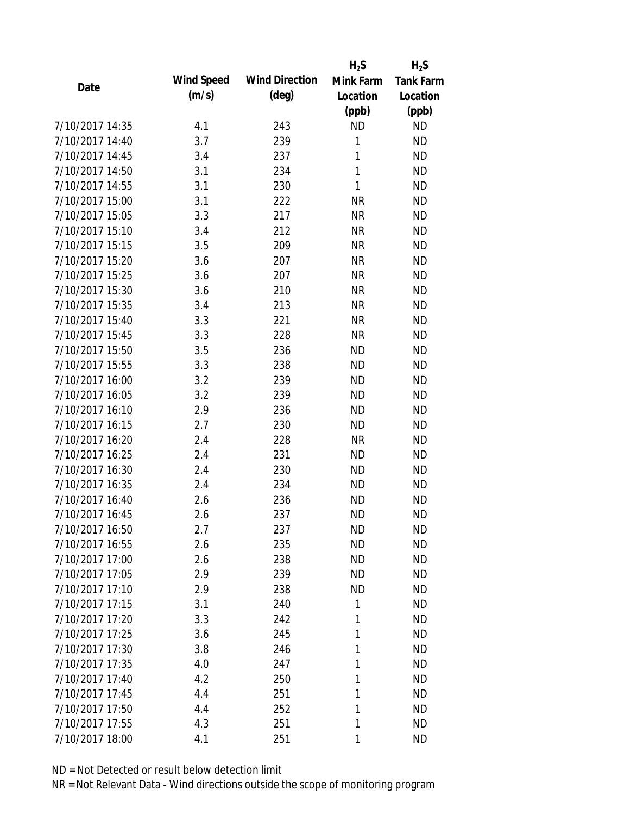|                 |            |                       | $H_2S$       | $H_2S$           |
|-----------------|------------|-----------------------|--------------|------------------|
| Date            | Wind Speed | <b>Wind Direction</b> | Mink Farm    | <b>Tank Farm</b> |
|                 | (m/s)      | $(\text{deg})$        | Location     | Location         |
|                 |            |                       | (ppb)        | (ppb)            |
| 7/10/2017 14:35 | 4.1        | 243                   | <b>ND</b>    | <b>ND</b>        |
| 7/10/2017 14:40 | 3.7        | 239                   | 1            | <b>ND</b>        |
| 7/10/2017 14:45 | 3.4        | 237                   | 1            | <b>ND</b>        |
| 7/10/2017 14:50 | 3.1        | 234                   | 1            | <b>ND</b>        |
| 7/10/2017 14:55 | 3.1        | 230                   | $\mathbf{1}$ | <b>ND</b>        |
| 7/10/2017 15:00 | 3.1        | 222                   | <b>NR</b>    | <b>ND</b>        |
| 7/10/2017 15:05 | 3.3        | 217                   | <b>NR</b>    | <b>ND</b>        |
| 7/10/2017 15:10 | 3.4        | 212                   | <b>NR</b>    | <b>ND</b>        |
| 7/10/2017 15:15 | 3.5        | 209                   | <b>NR</b>    | <b>ND</b>        |
| 7/10/2017 15:20 | 3.6        | 207                   | <b>NR</b>    | <b>ND</b>        |
| 7/10/2017 15:25 | 3.6        | 207                   | <b>NR</b>    | <b>ND</b>        |
| 7/10/2017 15:30 | 3.6        | 210                   | <b>NR</b>    | <b>ND</b>        |
| 7/10/2017 15:35 | 3.4        | 213                   | <b>NR</b>    | <b>ND</b>        |
| 7/10/2017 15:40 | 3.3        | 221                   | <b>NR</b>    | <b>ND</b>        |
| 7/10/2017 15:45 | 3.3        | 228                   | <b>NR</b>    | <b>ND</b>        |
| 7/10/2017 15:50 | 3.5        | 236                   | <b>ND</b>    | <b>ND</b>        |
| 7/10/2017 15:55 | 3.3        | 238                   | <b>ND</b>    | <b>ND</b>        |
| 7/10/2017 16:00 | 3.2        | 239                   | <b>ND</b>    | <b>ND</b>        |
| 7/10/2017 16:05 | 3.2        | 239                   | <b>ND</b>    | <b>ND</b>        |
| 7/10/2017 16:10 | 2.9        | 236                   | <b>ND</b>    | <b>ND</b>        |
| 7/10/2017 16:15 | 2.7        | 230                   | <b>ND</b>    | <b>ND</b>        |
| 7/10/2017 16:20 | 2.4        | 228                   | <b>NR</b>    | <b>ND</b>        |
| 7/10/2017 16:25 | 2.4        | 231                   | <b>ND</b>    | <b>ND</b>        |
| 7/10/2017 16:30 | 2.4        | 230                   | <b>ND</b>    | <b>ND</b>        |
| 7/10/2017 16:35 | 2.4        | 234                   | <b>ND</b>    | <b>ND</b>        |
| 7/10/2017 16:40 | 2.6        | 236                   | <b>ND</b>    | <b>ND</b>        |
| 7/10/2017 16:45 | 2.6        | 237                   | <b>ND</b>    | <b>ND</b>        |
| 7/10/2017 16:50 | 2.7        | 237                   | <b>ND</b>    | <b>ND</b>        |
| 7/10/2017 16:55 | 2.6        | 235                   | <b>ND</b>    | <b>ND</b>        |
| 7/10/2017 17:00 | 2.6        | 238                   | <b>ND</b>    | <b>ND</b>        |
| 7/10/2017 17:05 | 2.9        | 239                   | <b>ND</b>    | <b>ND</b>        |
| 7/10/2017 17:10 | 2.9        | 238                   | <b>ND</b>    | <b>ND</b>        |
| 7/10/2017 17:15 | 3.1        | 240                   | 1            | ND               |
| 7/10/2017 17:20 | 3.3        | 242                   | 1            | <b>ND</b>        |
| 7/10/2017 17:25 | 3.6        | 245                   | 1            | ND               |
| 7/10/2017 17:30 | 3.8        | 246                   | 1            | <b>ND</b>        |
| 7/10/2017 17:35 | 4.0        | 247                   | 1            | <b>ND</b>        |
| 7/10/2017 17:40 | 4.2        | 250                   | 1            | <b>ND</b>        |
| 7/10/2017 17:45 | 4.4        | 251                   | 1            | <b>ND</b>        |
| 7/10/2017 17:50 | 4.4        | 252                   | 1            | <b>ND</b>        |
| 7/10/2017 17:55 | 4.3        | 251                   | 1            | <b>ND</b>        |
| 7/10/2017 18:00 | 4.1        | 251                   | 1            | <b>ND</b>        |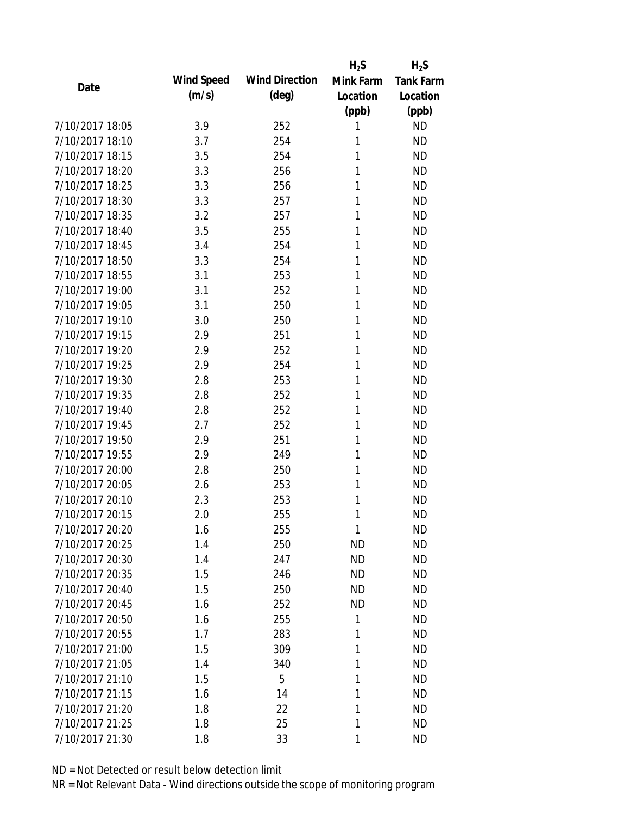|                 |            |                       | $H_2S$    | $H_2S$           |
|-----------------|------------|-----------------------|-----------|------------------|
| Date            | Wind Speed | <b>Wind Direction</b> | Mink Farm | <b>Tank Farm</b> |
|                 | (m/s)      | $(\text{deg})$        | Location  | Location         |
|                 |            |                       | (ppb)     | (ppb)            |
| 7/10/2017 18:05 | 3.9        | 252                   | 1         | <b>ND</b>        |
| 7/10/2017 18:10 | 3.7        | 254                   | 1         | <b>ND</b>        |
| 7/10/2017 18:15 | 3.5        | 254                   | 1         | <b>ND</b>        |
| 7/10/2017 18:20 | 3.3        | 256                   | 1         | <b>ND</b>        |
| 7/10/2017 18:25 | 3.3        | 256                   | 1         | <b>ND</b>        |
| 7/10/2017 18:30 | 3.3        | 257                   | 1         | <b>ND</b>        |
| 7/10/2017 18:35 | 3.2        | 257                   | 1         | <b>ND</b>        |
| 7/10/2017 18:40 | 3.5        | 255                   | 1         | <b>ND</b>        |
| 7/10/2017 18:45 | 3.4        | 254                   | 1         | <b>ND</b>        |
| 7/10/2017 18:50 | 3.3        | 254                   | 1         | <b>ND</b>        |
| 7/10/2017 18:55 | 3.1        | 253                   | 1         | <b>ND</b>        |
| 7/10/2017 19:00 | 3.1        | 252                   | 1         | <b>ND</b>        |
| 7/10/2017 19:05 | 3.1        | 250                   | 1         | <b>ND</b>        |
| 7/10/2017 19:10 | 3.0        | 250                   | 1         | <b>ND</b>        |
| 7/10/2017 19:15 | 2.9        | 251                   | 1         | <b>ND</b>        |
| 7/10/2017 19:20 | 2.9        | 252                   | 1         | <b>ND</b>        |
| 7/10/2017 19:25 | 2.9        | 254                   | 1         | <b>ND</b>        |
| 7/10/2017 19:30 | 2.8        | 253                   | 1         | <b>ND</b>        |
| 7/10/2017 19:35 | 2.8        | 252                   | 1         | <b>ND</b>        |
| 7/10/2017 19:40 | 2.8        | 252                   | 1         | <b>ND</b>        |
| 7/10/2017 19:45 | 2.7        | 252                   | 1         | <b>ND</b>        |
| 7/10/2017 19:50 | 2.9        | 251                   | 1         | <b>ND</b>        |
| 7/10/2017 19:55 | 2.9        | 249                   | 1         | <b>ND</b>        |
| 7/10/2017 20:00 | 2.8        | 250                   | 1         | <b>ND</b>        |
| 7/10/2017 20:05 | 2.6        | 253                   | 1         | <b>ND</b>        |
| 7/10/2017 20:10 | 2.3        | 253                   | 1         | <b>ND</b>        |
| 7/10/2017 20:15 | 2.0        | 255                   | 1         | <b>ND</b>        |
| 7/10/2017 20:20 | 1.6        | 255                   | 1         | <b>ND</b>        |
| 7/10/2017 20:25 | 1.4        | 250                   | <b>ND</b> | <b>ND</b>        |
| 7/10/2017 20:30 | 1.4        | 247                   | <b>ND</b> | <b>ND</b>        |
| 7/10/2017 20:35 | 1.5        | 246                   | <b>ND</b> | <b>ND</b>        |
| 7/10/2017 20:40 | 1.5        | 250                   | <b>ND</b> | <b>ND</b>        |
| 7/10/2017 20:45 | 1.6        | 252                   | ND        | <b>ND</b>        |
| 7/10/2017 20:50 | 1.6        | 255                   | 1         | <b>ND</b>        |
| 7/10/2017 20:55 | 1.7        | 283                   | 1         | <b>ND</b>        |
| 7/10/2017 21:00 | 1.5        | 309                   | 1         | <b>ND</b>        |
| 7/10/2017 21:05 | 1.4        | 340                   | 1         | <b>ND</b>        |
| 7/10/2017 21:10 | 1.5        | 5                     | 1         | <b>ND</b>        |
| 7/10/2017 21:15 | 1.6        | 14                    | 1         | <b>ND</b>        |
| 7/10/2017 21:20 | 1.8        | 22                    | 1         | <b>ND</b>        |
| 7/10/2017 21:25 | 1.8        | 25                    | 1         | <b>ND</b>        |
| 7/10/2017 21:30 | 1.8        | 33                    | 1         | <b>ND</b>        |
|                 |            |                       |           |                  |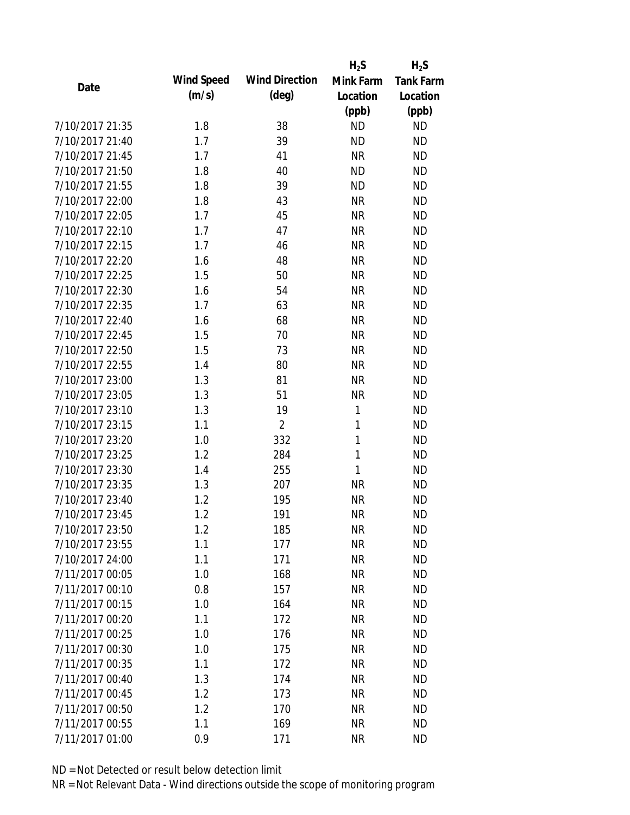|                 |            |                       | $H_2S$    | $H_2S$           |
|-----------------|------------|-----------------------|-----------|------------------|
| Date            | Wind Speed | <b>Wind Direction</b> | Mink Farm | <b>Tank Farm</b> |
|                 | (m/s)      | $(\text{deg})$        | Location  | Location         |
|                 |            |                       | (ppb)     | (ppb)            |
| 7/10/2017 21:35 | 1.8        | 38                    | <b>ND</b> | <b>ND</b>        |
| 7/10/2017 21:40 | 1.7        | 39                    | <b>ND</b> | <b>ND</b>        |
| 7/10/2017 21:45 | 1.7        | 41                    | <b>NR</b> | <b>ND</b>        |
| 7/10/2017 21:50 | 1.8        | 40                    | <b>ND</b> | <b>ND</b>        |
| 7/10/2017 21:55 | 1.8        | 39                    | <b>ND</b> | <b>ND</b>        |
| 7/10/2017 22:00 | 1.8        | 43                    | <b>NR</b> | <b>ND</b>        |
| 7/10/2017 22:05 | 1.7        | 45                    | <b>NR</b> | <b>ND</b>        |
| 7/10/2017 22:10 | 1.7        | 47                    | <b>NR</b> | <b>ND</b>        |
| 7/10/2017 22:15 | 1.7        | 46                    | <b>NR</b> | <b>ND</b>        |
| 7/10/2017 22:20 | 1.6        | 48                    | <b>NR</b> | <b>ND</b>        |
| 7/10/2017 22:25 | 1.5        | 50                    | <b>NR</b> | <b>ND</b>        |
| 7/10/2017 22:30 | 1.6        | 54                    | <b>NR</b> | <b>ND</b>        |
| 7/10/2017 22:35 | 1.7        | 63                    | <b>NR</b> | <b>ND</b>        |
| 7/10/2017 22:40 | 1.6        | 68                    | <b>NR</b> | <b>ND</b>        |
| 7/10/2017 22:45 | 1.5        | 70                    | <b>NR</b> | <b>ND</b>        |
| 7/10/2017 22:50 | 1.5        | 73                    | <b>NR</b> | <b>ND</b>        |
| 7/10/2017 22:55 | 1.4        | 80                    | <b>NR</b> | <b>ND</b>        |
| 7/10/2017 23:00 | 1.3        | 81                    | <b>NR</b> | <b>ND</b>        |
| 7/10/2017 23:05 | 1.3        | 51                    | <b>NR</b> | <b>ND</b>        |
| 7/10/2017 23:10 | 1.3        | 19                    | 1         | <b>ND</b>        |
| 7/10/2017 23:15 | 1.1        | $\overline{2}$        | 1         | <b>ND</b>        |
| 7/10/2017 23:20 | 1.0        | 332                   | 1         | <b>ND</b>        |
| 7/10/2017 23:25 | 1.2        | 284                   | 1         | <b>ND</b>        |
| 7/10/2017 23:30 | 1.4        | 255                   | 1         | <b>ND</b>        |
| 7/10/2017 23:35 | 1.3        | 207                   | <b>NR</b> | <b>ND</b>        |
| 7/10/2017 23:40 | 1.2        | 195                   | <b>NR</b> | <b>ND</b>        |
| 7/10/2017 23:45 | 1.2        | 191                   | <b>NR</b> | <b>ND</b>        |
| 7/10/2017 23:50 | 1.2        | 185                   | NR        | <b>ND</b>        |
| 7/10/2017 23:55 | 1.1        | 177                   | <b>NR</b> | <b>ND</b>        |
| 7/10/2017 24:00 | 1.1        | 171                   | <b>NR</b> | <b>ND</b>        |
| 7/11/2017 00:05 | 1.0        | 168                   | <b>NR</b> | <b>ND</b>        |
| 7/11/2017 00:10 | 0.8        | 157                   | <b>NR</b> | <b>ND</b>        |
| 7/11/2017 00:15 | 1.0        | 164                   | <b>NR</b> | <b>ND</b>        |
| 7/11/2017 00:20 | 1.1        | 172                   | <b>NR</b> | <b>ND</b>        |
| 7/11/2017 00:25 | 1.0        | 176                   | <b>NR</b> | <b>ND</b>        |
| 7/11/2017 00:30 | 1.0        | 175                   | <b>NR</b> | <b>ND</b>        |
| 7/11/2017 00:35 | 1.1        | 172                   | <b>NR</b> | <b>ND</b>        |
| 7/11/2017 00:40 | 1.3        | 174                   | <b>NR</b> | <b>ND</b>        |
| 7/11/2017 00:45 | 1.2        | 173                   | <b>NR</b> | <b>ND</b>        |
| 7/11/2017 00:50 | 1.2        | 170                   | ΝR        | <b>ND</b>        |
| 7/11/2017 00:55 | 1.1        | 169                   | <b>NR</b> | <b>ND</b>        |
| 7/11/2017 01:00 | 0.9        | 171                   | <b>NR</b> | <b>ND</b>        |
|                 |            |                       |           |                  |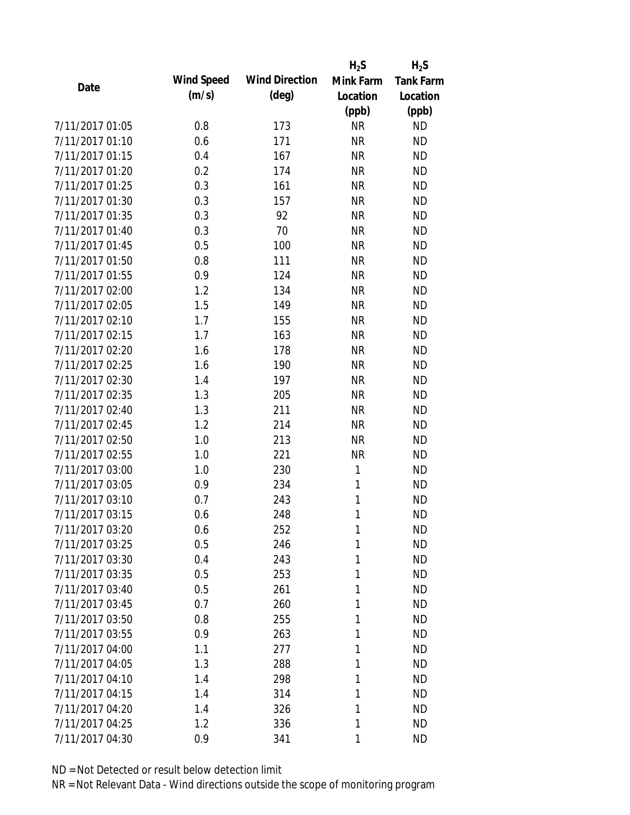|                 |            |                       | $H_2S$    | $H_2S$           |
|-----------------|------------|-----------------------|-----------|------------------|
| Date            | Wind Speed | <b>Wind Direction</b> | Mink Farm | <b>Tank Farm</b> |
|                 | (m/s)      | $(\text{deg})$        | Location  | Location         |
|                 |            |                       | (ppb)     | (ppb)            |
| 7/11/2017 01:05 | 0.8        | 173                   | <b>NR</b> | <b>ND</b>        |
| 7/11/2017 01:10 | 0.6        | 171                   | <b>NR</b> | <b>ND</b>        |
| 7/11/2017 01:15 | 0.4        | 167                   | <b>NR</b> | <b>ND</b>        |
| 7/11/2017 01:20 | 0.2        | 174                   | <b>NR</b> | <b>ND</b>        |
| 7/11/2017 01:25 | 0.3        | 161                   | <b>NR</b> | <b>ND</b>        |
| 7/11/2017 01:30 | 0.3        | 157                   | <b>NR</b> | <b>ND</b>        |
| 7/11/2017 01:35 | 0.3        | 92                    | <b>NR</b> | <b>ND</b>        |
| 7/11/2017 01:40 | 0.3        | 70                    | <b>NR</b> | <b>ND</b>        |
| 7/11/2017 01:45 | 0.5        | 100                   | <b>NR</b> | <b>ND</b>        |
| 7/11/2017 01:50 | 0.8        | 111                   | <b>NR</b> | <b>ND</b>        |
| 7/11/2017 01:55 | 0.9        | 124                   | <b>NR</b> | <b>ND</b>        |
| 7/11/2017 02:00 | 1.2        | 134                   | <b>NR</b> | <b>ND</b>        |
| 7/11/2017 02:05 | 1.5        | 149                   | <b>NR</b> | <b>ND</b>        |
| 7/11/2017 02:10 | 1.7        | 155                   | <b>NR</b> | <b>ND</b>        |
| 7/11/2017 02:15 | 1.7        | 163                   | <b>NR</b> | <b>ND</b>        |
| 7/11/2017 02:20 | 1.6        | 178                   | <b>NR</b> | <b>ND</b>        |
| 7/11/2017 02:25 | 1.6        | 190                   | <b>NR</b> | <b>ND</b>        |
| 7/11/2017 02:30 | 1.4        | 197                   | <b>NR</b> | <b>ND</b>        |
| 7/11/2017 02:35 | 1.3        | 205                   | <b>NR</b> | <b>ND</b>        |
| 7/11/2017 02:40 | 1.3        | 211                   | <b>NR</b> | <b>ND</b>        |
| 7/11/2017 02:45 | 1.2        | 214                   | <b>NR</b> | <b>ND</b>        |
| 7/11/2017 02:50 | 1.0        | 213                   | <b>NR</b> | <b>ND</b>        |
| 7/11/2017 02:55 | 1.0        | 221                   | <b>NR</b> | <b>ND</b>        |
| 7/11/2017 03:00 | 1.0        | 230                   | 1         | <b>ND</b>        |
| 7/11/2017 03:05 | 0.9        | 234                   | 1         | <b>ND</b>        |
| 7/11/2017 03:10 | 0.7        | 243                   | 1         | <b>ND</b>        |
| 7/11/2017 03:15 | 0.6        | 248                   | 1         | <b>ND</b>        |
| 7/11/2017 03:20 | 0.6        | 252                   | 1         | <b>ND</b>        |
| 7/11/2017 03:25 | 0.5        | 246                   | 1         | <b>ND</b>        |
| 7/11/2017 03:30 | 0.4        | 243                   | 1         | <b>ND</b>        |
| 7/11/2017 03:35 | 0.5        | 253                   | 1         | <b>ND</b>        |
| 7/11/2017 03:40 | 0.5        | 261                   | 1         | <b>ND</b>        |
| 7/11/2017 03:45 | 0.7        | 260                   | 1         | <b>ND</b>        |
| 7/11/2017 03:50 | 0.8        | 255                   | 1         | <b>ND</b>        |
| 7/11/2017 03:55 | 0.9        | 263                   | 1         | <b>ND</b>        |
| 7/11/2017 04:00 | 1.1        | 277                   | 1         | <b>ND</b>        |
| 7/11/2017 04:05 | 1.3        | 288                   | 1         | <b>ND</b>        |
| 7/11/2017 04:10 | 1.4        | 298                   | 1         | <b>ND</b>        |
| 7/11/2017 04:15 | 1.4        | 314                   | 1         | <b>ND</b>        |
| 7/11/2017 04:20 | 1.4        | 326                   | 1         | <b>ND</b>        |
| 7/11/2017 04:25 | 1.2        | 336                   | 1         | <b>ND</b>        |
| 7/11/2017 04:30 | 0.9        | 341                   | 1         | <b>ND</b>        |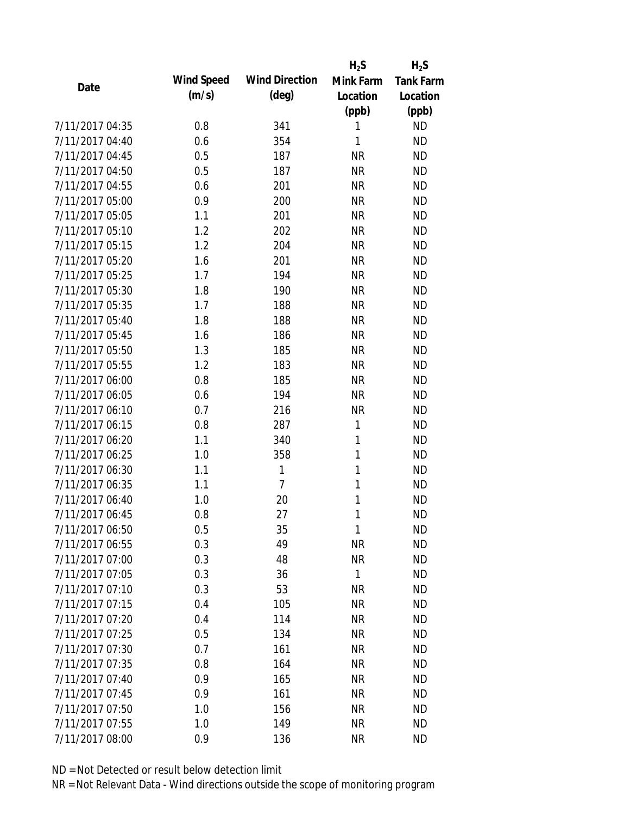|                 |            |                       | $H_2S$       | $H_2S$    |
|-----------------|------------|-----------------------|--------------|-----------|
| Date            | Wind Speed | <b>Wind Direction</b> | Mink Farm    | Tank Farm |
|                 | (m/s)      | $(\text{deg})$        | Location     | Location  |
|                 |            |                       | (ppb)        | (ppb)     |
| 7/11/2017 04:35 | 0.8        | 341                   | 1            | <b>ND</b> |
| 7/11/2017 04:40 | 0.6        | 354                   | 1            | <b>ND</b> |
| 7/11/2017 04:45 | 0.5        | 187                   | <b>NR</b>    | <b>ND</b> |
| 7/11/2017 04:50 | 0.5        | 187                   | <b>NR</b>    | <b>ND</b> |
| 7/11/2017 04:55 | 0.6        | 201                   | <b>NR</b>    | <b>ND</b> |
| 7/11/2017 05:00 | 0.9        | 200                   | <b>NR</b>    | <b>ND</b> |
| 7/11/2017 05:05 | 1.1        | 201                   | <b>NR</b>    | <b>ND</b> |
| 7/11/2017 05:10 | 1.2        | 202                   | <b>NR</b>    | <b>ND</b> |
| 7/11/2017 05:15 | 1.2        | 204                   | <b>NR</b>    | <b>ND</b> |
| 7/11/2017 05:20 | 1.6        | 201                   | <b>NR</b>    | <b>ND</b> |
| 7/11/2017 05:25 | 1.7        | 194                   | <b>NR</b>    | <b>ND</b> |
| 7/11/2017 05:30 | 1.8        | 190                   | <b>NR</b>    | <b>ND</b> |
| 7/11/2017 05:35 | 1.7        | 188                   | <b>NR</b>    | <b>ND</b> |
| 7/11/2017 05:40 | 1.8        | 188                   | <b>NR</b>    | <b>ND</b> |
| 7/11/2017 05:45 | 1.6        | 186                   | <b>NR</b>    | <b>ND</b> |
| 7/11/2017 05:50 | 1.3        | 185                   | <b>NR</b>    | <b>ND</b> |
| 7/11/2017 05:55 | 1.2        | 183                   | <b>NR</b>    | <b>ND</b> |
| 7/11/2017 06:00 | 0.8        | 185                   | <b>NR</b>    | <b>ND</b> |
| 7/11/2017 06:05 | 0.6        | 194                   | <b>NR</b>    | <b>ND</b> |
| 7/11/2017 06:10 | 0.7        | 216                   | <b>NR</b>    | <b>ND</b> |
| 7/11/2017 06:15 | 0.8        | 287                   | 1            | <b>ND</b> |
| 7/11/2017 06:20 | 1.1        | 340                   | 1            | <b>ND</b> |
| 7/11/2017 06:25 | 1.0        | 358                   | 1            | <b>ND</b> |
| 7/11/2017 06:30 | 1.1        | 1                     | 1            | <b>ND</b> |
| 7/11/2017 06:35 | 1.1        | 7                     | 1            | <b>ND</b> |
| 7/11/2017 06:40 | 1.0        | 20                    | 1            | <b>ND</b> |
| 7/11/2017 06:45 | 0.8        | 27                    | 1            | <b>ND</b> |
| 7/11/2017 06:50 | 0.5        | 35                    | $\mathbf{1}$ | <b>ND</b> |
| 7/11/2017 06:55 | 0.3        | 49                    | <b>NR</b>    | <b>ND</b> |
| 7/11/2017 07:00 | 0.3        | 48                    | <b>NR</b>    | <b>ND</b> |
| 7/11/2017 07:05 | 0.3        | 36                    | $\mathbf{1}$ | <b>ND</b> |
| 7/11/2017 07:10 | 0.3        | 53                    | <b>NR</b>    | <b>ND</b> |
| 7/11/2017 07:15 | 0.4        | 105                   | NR           | <b>ND</b> |
| 7/11/2017 07:20 | 0.4        | 114                   | <b>NR</b>    | <b>ND</b> |
| 7/11/2017 07:25 | 0.5        | 134                   | <b>NR</b>    | <b>ND</b> |
| 7/11/2017 07:30 | 0.7        | 161                   | <b>NR</b>    | <b>ND</b> |
| 7/11/2017 07:35 | 0.8        | 164                   | <b>NR</b>    | <b>ND</b> |
| 7/11/2017 07:40 | 0.9        | 165                   | <b>NR</b>    | <b>ND</b> |
| 7/11/2017 07:45 | 0.9        | 161                   | <b>NR</b>    | <b>ND</b> |
| 7/11/2017 07:50 | 1.0        | 156                   | ΝR           | <b>ND</b> |
| 7/11/2017 07:55 | 1.0        | 149                   | <b>NR</b>    | <b>ND</b> |
| 7/11/2017 08:00 | 0.9        | 136                   | <b>NR</b>    | <b>ND</b> |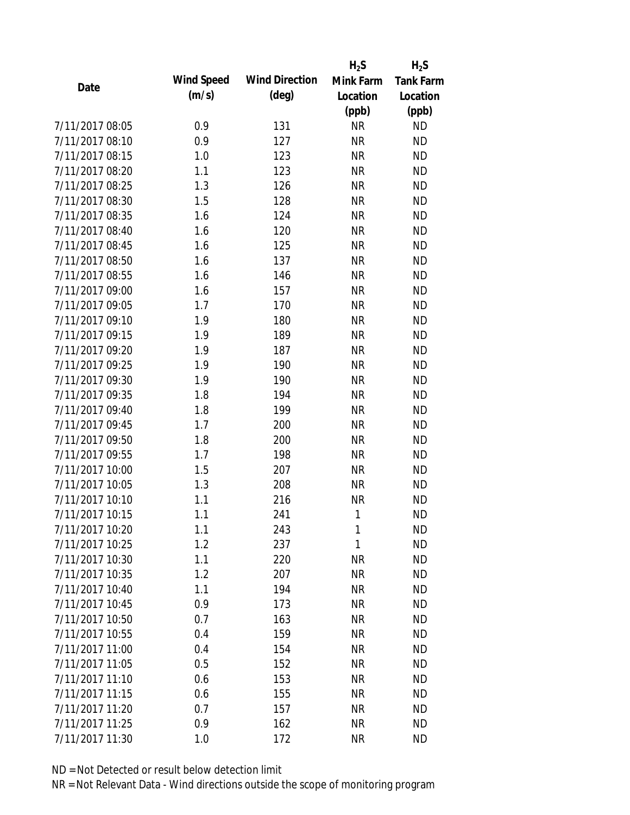|                 |            |                       | $H_2S$       | $H_2S$           |
|-----------------|------------|-----------------------|--------------|------------------|
| Date            | Wind Speed | <b>Wind Direction</b> | Mink Farm    | <b>Tank Farm</b> |
|                 | (m/s)      | $(\text{deg})$        | Location     | Location         |
|                 |            |                       | (ppb)        | (ppb)            |
| 7/11/2017 08:05 | 0.9        | 131                   | <b>NR</b>    | <b>ND</b>        |
| 7/11/2017 08:10 | 0.9        | 127                   | <b>NR</b>    | <b>ND</b>        |
| 7/11/2017 08:15 | 1.0        | 123                   | <b>NR</b>    | <b>ND</b>        |
| 7/11/2017 08:20 | 1.1        | 123                   | <b>NR</b>    | <b>ND</b>        |
| 7/11/2017 08:25 | 1.3        | 126                   | <b>NR</b>    | <b>ND</b>        |
| 7/11/2017 08:30 | 1.5        | 128                   | <b>NR</b>    | <b>ND</b>        |
| 7/11/2017 08:35 | 1.6        | 124                   | <b>NR</b>    | <b>ND</b>        |
| 7/11/2017 08:40 | 1.6        | 120                   | <b>NR</b>    | <b>ND</b>        |
| 7/11/2017 08:45 | 1.6        | 125                   | <b>NR</b>    | <b>ND</b>        |
| 7/11/2017 08:50 | 1.6        | 137                   | <b>NR</b>    | <b>ND</b>        |
| 7/11/2017 08:55 | 1.6        | 146                   | <b>NR</b>    | <b>ND</b>        |
| 7/11/2017 09:00 | 1.6        | 157                   | <b>NR</b>    | <b>ND</b>        |
| 7/11/2017 09:05 | 1.7        | 170                   | <b>NR</b>    | <b>ND</b>        |
| 7/11/2017 09:10 | 1.9        | 180                   | <b>NR</b>    | <b>ND</b>        |
| 7/11/2017 09:15 | 1.9        | 189                   | <b>NR</b>    | <b>ND</b>        |
| 7/11/2017 09:20 | 1.9        | 187                   | <b>NR</b>    | <b>ND</b>        |
| 7/11/2017 09:25 | 1.9        | 190                   | <b>NR</b>    | <b>ND</b>        |
| 7/11/2017 09:30 | 1.9        | 190                   | <b>NR</b>    | <b>ND</b>        |
| 7/11/2017 09:35 | 1.8        | 194                   | <b>NR</b>    | <b>ND</b>        |
| 7/11/2017 09:40 | 1.8        | 199                   | <b>NR</b>    | <b>ND</b>        |
| 7/11/2017 09:45 | 1.7        | 200                   | <b>NR</b>    | <b>ND</b>        |
| 7/11/2017 09:50 | 1.8        | 200                   | <b>NR</b>    | <b>ND</b>        |
| 7/11/2017 09:55 | 1.7        | 198                   | <b>NR</b>    | <b>ND</b>        |
| 7/11/2017 10:00 | 1.5        | 207                   | <b>NR</b>    | <b>ND</b>        |
| 7/11/2017 10:05 | 1.3        | 208                   | <b>NR</b>    | <b>ND</b>        |
| 7/11/2017 10:10 | 1.1        | 216                   | <b>NR</b>    | <b>ND</b>        |
| 7/11/2017 10:15 | 1.1        | 241                   | 1            | <b>ND</b>        |
| 7/11/2017 10:20 | 1.1        | 243                   | 1            | <b>ND</b>        |
| 7/11/2017 10:25 | 1.2        | 237                   | $\mathbf{1}$ | <b>ND</b>        |
| 7/11/2017 10:30 | 1.1        | 220                   | <b>NR</b>    | <b>ND</b>        |
| 7/11/2017 10:35 | 1.2        | 207                   | <b>NR</b>    | <b>ND</b>        |
| 7/11/2017 10:40 | 1.1        | 194                   | <b>NR</b>    | <b>ND</b>        |
| 7/11/2017 10:45 | 0.9        | 173                   | <b>NR</b>    | <b>ND</b>        |
| 7/11/2017 10:50 | 0.7        | 163                   | <b>NR</b>    | <b>ND</b>        |
| 7/11/2017 10:55 | 0.4        | 159                   | <b>NR</b>    | <b>ND</b>        |
| 7/11/2017 11:00 | 0.4        | 154                   | <b>NR</b>    | <b>ND</b>        |
| 7/11/2017 11:05 | 0.5        | 152                   | <b>NR</b>    | <b>ND</b>        |
| 7/11/2017 11:10 | 0.6        | 153                   | <b>NR</b>    | <b>ND</b>        |
| 7/11/2017 11:15 | 0.6        | 155                   | <b>NR</b>    | <b>ND</b>        |
| 7/11/2017 11:20 | 0.7        | 157                   | ΝR           | <b>ND</b>        |
| 7/11/2017 11:25 | 0.9        | 162                   | <b>NR</b>    | <b>ND</b>        |
| 7/11/2017 11:30 | 1.0        | 172                   | <b>NR</b>    | <b>ND</b>        |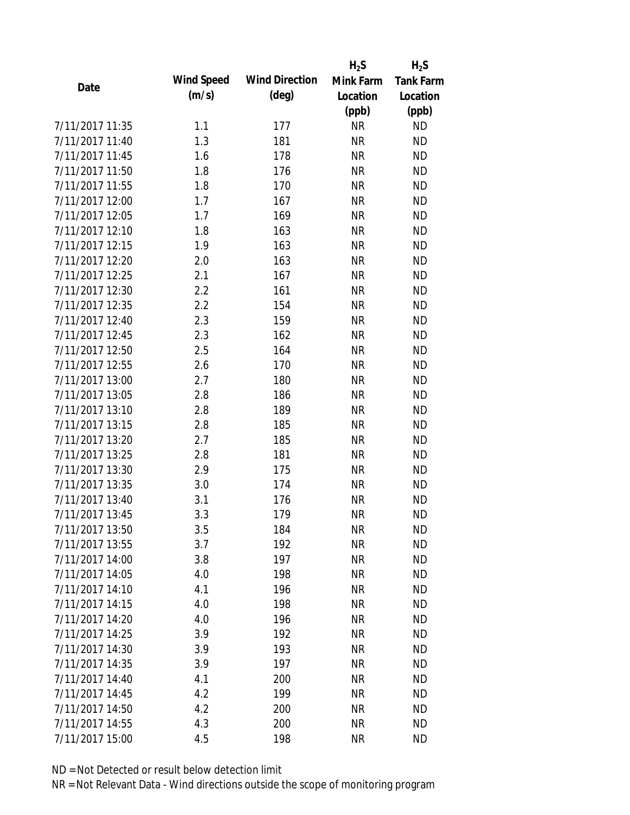|                 |            |                       | $H_2S$    | $H_2S$           |
|-----------------|------------|-----------------------|-----------|------------------|
| Date            | Wind Speed | <b>Wind Direction</b> | Mink Farm | <b>Tank Farm</b> |
|                 | (m/s)      | $(\text{deg})$        | Location  | Location         |
|                 |            |                       | (ppb)     | (ppb)            |
| 7/11/2017 11:35 | 1.1        | 177                   | <b>NR</b> | <b>ND</b>        |
| 7/11/2017 11:40 | 1.3        | 181                   | <b>NR</b> | <b>ND</b>        |
| 7/11/2017 11:45 | 1.6        | 178                   | <b>NR</b> | <b>ND</b>        |
| 7/11/2017 11:50 | 1.8        | 176                   | <b>NR</b> | <b>ND</b>        |
| 7/11/2017 11:55 | 1.8        | 170                   | <b>NR</b> | <b>ND</b>        |
| 7/11/2017 12:00 | 1.7        | 167                   | <b>NR</b> | <b>ND</b>        |
| 7/11/2017 12:05 | 1.7        | 169                   | <b>NR</b> | <b>ND</b>        |
| 7/11/2017 12:10 | 1.8        | 163                   | <b>NR</b> | <b>ND</b>        |
| 7/11/2017 12:15 | 1.9        | 163                   | <b>NR</b> | <b>ND</b>        |
| 7/11/2017 12:20 | 2.0        | 163                   | <b>NR</b> | <b>ND</b>        |
| 7/11/2017 12:25 | 2.1        | 167                   | <b>NR</b> | <b>ND</b>        |
| 7/11/2017 12:30 | 2.2        | 161                   | <b>NR</b> | <b>ND</b>        |
| 7/11/2017 12:35 | 2.2        | 154                   | <b>NR</b> | <b>ND</b>        |
| 7/11/2017 12:40 | 2.3        | 159                   | <b>NR</b> | <b>ND</b>        |
| 7/11/2017 12:45 | 2.3        | 162                   | <b>NR</b> | <b>ND</b>        |
| 7/11/2017 12:50 | 2.5        | 164                   | <b>NR</b> | <b>ND</b>        |
| 7/11/2017 12:55 | 2.6        | 170                   | <b>NR</b> | <b>ND</b>        |
| 7/11/2017 13:00 | 2.7        | 180                   | <b>NR</b> | <b>ND</b>        |
| 7/11/2017 13:05 | 2.8        | 186                   | <b>NR</b> | <b>ND</b>        |
| 7/11/2017 13:10 | 2.8        | 189                   | <b>NR</b> | <b>ND</b>        |
| 7/11/2017 13:15 | 2.8        | 185                   | <b>NR</b> | <b>ND</b>        |
| 7/11/2017 13:20 | 2.7        | 185                   | <b>NR</b> | <b>ND</b>        |
| 7/11/2017 13:25 | 2.8        | 181                   | <b>NR</b> | <b>ND</b>        |
| 7/11/2017 13:30 | 2.9        | 175                   | <b>NR</b> | <b>ND</b>        |
| 7/11/2017 13:35 | 3.0        | 174                   | <b>NR</b> | <b>ND</b>        |
| 7/11/2017 13:40 | 3.1        | 176                   | <b>NR</b> | <b>ND</b>        |
| 7/11/2017 13:45 | 3.3        | 179                   | <b>NR</b> | <b>ND</b>        |
| 7/11/2017 13:50 | 3.5        | 184                   | ΝR        | <b>ND</b>        |
| 7/11/2017 13:55 | 3.7        | 192                   | <b>NR</b> | <b>ND</b>        |
| 7/11/2017 14:00 | 3.8        | 197                   | <b>NR</b> | <b>ND</b>        |
| 7/11/2017 14:05 | 4.0        | 198                   | <b>NR</b> | <b>ND</b>        |
| 7/11/2017 14:10 | 4.1        | 196                   | <b>NR</b> | <b>ND</b>        |
| 7/11/2017 14:15 | 4.0        | 198                   | <b>NR</b> | <b>ND</b>        |
| 7/11/2017 14:20 | 4.0        | 196                   | <b>NR</b> | <b>ND</b>        |
| 7/11/2017 14:25 | 3.9        | 192                   | <b>NR</b> | <b>ND</b>        |
| 7/11/2017 14:30 | 3.9        | 193                   | <b>NR</b> | <b>ND</b>        |
| 7/11/2017 14:35 | 3.9        | 197                   | <b>NR</b> | <b>ND</b>        |
| 7/11/2017 14:40 | 4.1        | 200                   | <b>NR</b> | <b>ND</b>        |
| 7/11/2017 14:45 | 4.2        | 199                   | <b>NR</b> | <b>ND</b>        |
| 7/11/2017 14:50 | 4.2        | 200                   | NR        | <b>ND</b>        |
| 7/11/2017 14:55 | 4.3        | 200                   | <b>NR</b> | <b>ND</b>        |
| 7/11/2017 15:00 | 4.5        | 198                   | <b>NR</b> | <b>ND</b>        |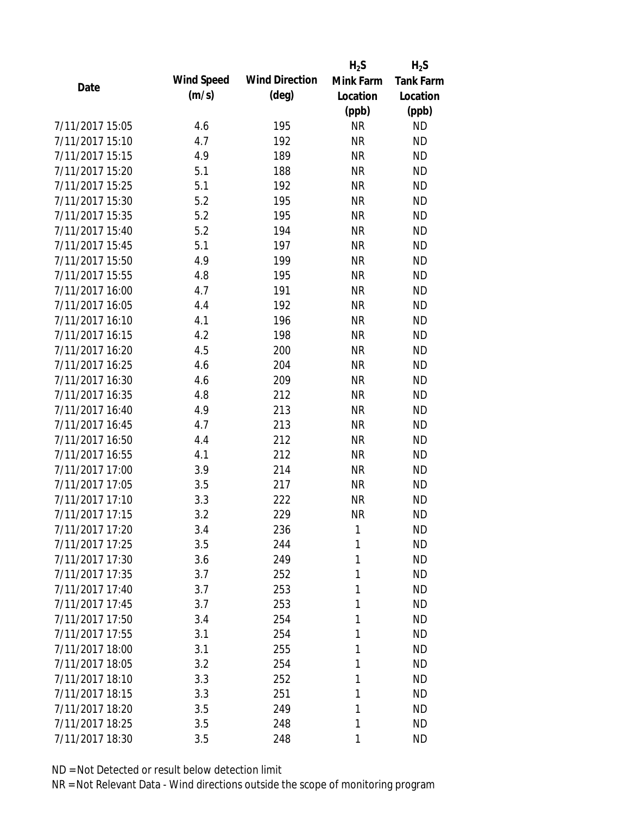|                 |            |                       | $H_2S$    | $H_2S$           |
|-----------------|------------|-----------------------|-----------|------------------|
| Date            | Wind Speed | <b>Wind Direction</b> | Mink Farm | <b>Tank Farm</b> |
|                 | (m/s)      | $(\text{deg})$        | Location  | Location         |
|                 |            |                       | (ppb)     | (ppb)            |
| 7/11/2017 15:05 | 4.6        | 195                   | <b>NR</b> | <b>ND</b>        |
| 7/11/2017 15:10 | 4.7        | 192                   | <b>NR</b> | <b>ND</b>        |
| 7/11/2017 15:15 | 4.9        | 189                   | <b>NR</b> | <b>ND</b>        |
| 7/11/2017 15:20 | 5.1        | 188                   | <b>NR</b> | <b>ND</b>        |
| 7/11/2017 15:25 | 5.1        | 192                   | <b>NR</b> | <b>ND</b>        |
| 7/11/2017 15:30 | 5.2        | 195                   | <b>NR</b> | <b>ND</b>        |
| 7/11/2017 15:35 | 5.2        | 195                   | <b>NR</b> | <b>ND</b>        |
| 7/11/2017 15:40 | 5.2        | 194                   | <b>NR</b> | <b>ND</b>        |
| 7/11/2017 15:45 | 5.1        | 197                   | <b>NR</b> | <b>ND</b>        |
| 7/11/2017 15:50 | 4.9        | 199                   | <b>NR</b> | <b>ND</b>        |
| 7/11/2017 15:55 | 4.8        | 195                   | <b>NR</b> | <b>ND</b>        |
| 7/11/2017 16:00 | 4.7        | 191                   | <b>NR</b> | <b>ND</b>        |
| 7/11/2017 16:05 | 4.4        | 192                   | <b>NR</b> | <b>ND</b>        |
| 7/11/2017 16:10 | 4.1        | 196                   | <b>NR</b> | <b>ND</b>        |
| 7/11/2017 16:15 | 4.2        | 198                   | <b>NR</b> | <b>ND</b>        |
| 7/11/2017 16:20 | 4.5        | 200                   | <b>NR</b> | <b>ND</b>        |
| 7/11/2017 16:25 | 4.6        | 204                   | <b>NR</b> | <b>ND</b>        |
| 7/11/2017 16:30 | 4.6        | 209                   | <b>NR</b> | <b>ND</b>        |
| 7/11/2017 16:35 | 4.8        | 212                   | <b>NR</b> | <b>ND</b>        |
| 7/11/2017 16:40 | 4.9        | 213                   | <b>NR</b> | <b>ND</b>        |
| 7/11/2017 16:45 | 4.7        | 213                   | <b>NR</b> | <b>ND</b>        |
| 7/11/2017 16:50 | 4.4        | 212                   | <b>NR</b> | <b>ND</b>        |
| 7/11/2017 16:55 | 4.1        | 212                   | <b>NR</b> | <b>ND</b>        |
| 7/11/2017 17:00 | 3.9        | 214                   | <b>NR</b> | <b>ND</b>        |
| 7/11/2017 17:05 | 3.5        | 217                   | <b>NR</b> | <b>ND</b>        |
| 7/11/2017 17:10 | 3.3        | 222                   | <b>NR</b> | <b>ND</b>        |
| 7/11/2017 17:15 | 3.2        | 229                   | <b>NR</b> | <b>ND</b>        |
| 7/11/2017 17:20 | 3.4        | 236                   | 1         | <b>ND</b>        |
| 7/11/2017 17:25 | 3.5        | 244                   | 1         | <b>ND</b>        |
| 7/11/2017 17:30 | 3.6        | 249                   | 1         | <b>ND</b>        |
| 7/11/2017 17:35 | 3.7        | 252                   | 1         | <b>ND</b>        |
| 7/11/2017 17:40 | 3.7        | 253                   | 1         | <b>ND</b>        |
| 7/11/2017 17:45 | 3.7        | 253                   | 1         | <b>ND</b>        |
| 7/11/2017 17:50 | 3.4        | 254                   | 1         | <b>ND</b>        |
| 7/11/2017 17:55 | 3.1        | 254                   | 1         | <b>ND</b>        |
| 7/11/2017 18:00 | 3.1        | 255                   | 1         | <b>ND</b>        |
| 7/11/2017 18:05 | 3.2        | 254                   | 1         | <b>ND</b>        |
| 7/11/2017 18:10 | 3.3        | 252                   | 1         | <b>ND</b>        |
| 7/11/2017 18:15 | 3.3        | 251                   | 1         | <b>ND</b>        |
| 7/11/2017 18:20 | 3.5        | 249                   | 1         | <b>ND</b>        |
| 7/11/2017 18:25 | 3.5        | 248                   | 1         | <b>ND</b>        |
| 7/11/2017 18:30 | 3.5        | 248                   | 1         | <b>ND</b>        |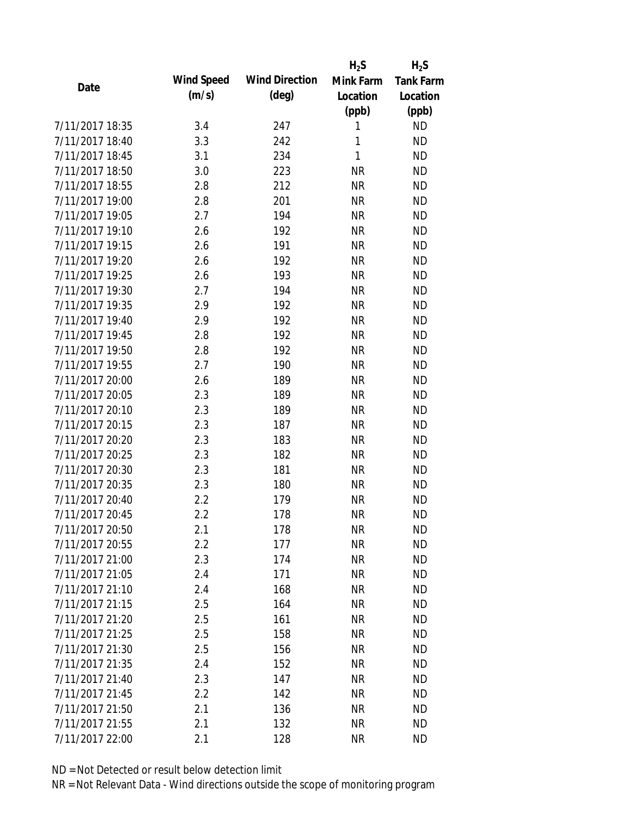|                 |            |                       | $H_2S$    | $H_2S$           |
|-----------------|------------|-----------------------|-----------|------------------|
| Date            | Wind Speed | <b>Wind Direction</b> | Mink Farm | <b>Tank Farm</b> |
|                 | (m/s)      | $(\text{deg})$        | Location  | Location         |
|                 |            |                       | (ppb)     | (ppb)            |
| 7/11/2017 18:35 | 3.4        | 247                   | 1         | <b>ND</b>        |
| 7/11/2017 18:40 | 3.3        | 242                   | 1         | <b>ND</b>        |
| 7/11/2017 18:45 | 3.1        | 234                   | 1         | <b>ND</b>        |
| 7/11/2017 18:50 | 3.0        | 223                   | <b>NR</b> | <b>ND</b>        |
| 7/11/2017 18:55 | 2.8        | 212                   | <b>NR</b> | <b>ND</b>        |
| 7/11/2017 19:00 | 2.8        | 201                   | <b>NR</b> | <b>ND</b>        |
| 7/11/2017 19:05 | 2.7        | 194                   | <b>NR</b> | <b>ND</b>        |
| 7/11/2017 19:10 | 2.6        | 192                   | <b>NR</b> | <b>ND</b>        |
| 7/11/2017 19:15 | 2.6        | 191                   | <b>NR</b> | <b>ND</b>        |
| 7/11/2017 19:20 | 2.6        | 192                   | <b>NR</b> | <b>ND</b>        |
| 7/11/2017 19:25 | 2.6        | 193                   | <b>NR</b> | <b>ND</b>        |
| 7/11/2017 19:30 | 2.7        | 194                   | <b>NR</b> | <b>ND</b>        |
| 7/11/2017 19:35 | 2.9        | 192                   | <b>NR</b> | <b>ND</b>        |
| 7/11/2017 19:40 | 2.9        | 192                   | <b>NR</b> | <b>ND</b>        |
| 7/11/2017 19:45 | 2.8        | 192                   | <b>NR</b> | <b>ND</b>        |
| 7/11/2017 19:50 | 2.8        | 192                   | <b>NR</b> | <b>ND</b>        |
| 7/11/2017 19:55 | 2.7        | 190                   | <b>NR</b> | <b>ND</b>        |
| 7/11/2017 20:00 | 2.6        | 189                   | <b>NR</b> | <b>ND</b>        |
| 7/11/2017 20:05 | 2.3        | 189                   | <b>NR</b> | <b>ND</b>        |
| 7/11/2017 20:10 | 2.3        | 189                   | <b>NR</b> | <b>ND</b>        |
| 7/11/2017 20:15 | 2.3        | 187                   | <b>NR</b> | <b>ND</b>        |
| 7/11/2017 20:20 | 2.3        | 183                   | <b>NR</b> | <b>ND</b>        |
| 7/11/2017 20:25 | 2.3        | 182                   | <b>NR</b> | <b>ND</b>        |
| 7/11/2017 20:30 | 2.3        | 181                   | <b>NR</b> | <b>ND</b>        |
| 7/11/2017 20:35 | 2.3        | 180                   | <b>NR</b> | <b>ND</b>        |
| 7/11/2017 20:40 | 2.2        | 179                   | <b>NR</b> | <b>ND</b>        |
| 7/11/2017 20:45 | 2.2        | 178                   | <b>NR</b> | <b>ND</b>        |
| 7/11/2017 20:50 | 2.1        | 178                   | <b>NR</b> | <b>ND</b>        |
| 7/11/2017 20:55 | 2.2        | 177                   | <b>NR</b> | <b>ND</b>        |
| 7/11/2017 21:00 | 2.3        | 174                   | <b>NR</b> | <b>ND</b>        |
| 7/11/2017 21:05 | 2.4        | 171                   | <b>NR</b> | <b>ND</b>        |
| 7/11/2017 21:10 | 2.4        | 168                   | <b>NR</b> | <b>ND</b>        |
| 7/11/2017 21:15 | 2.5        | 164                   | <b>NR</b> | <b>ND</b>        |
| 7/11/2017 21:20 | 2.5        | 161                   | <b>NR</b> | <b>ND</b>        |
| 7/11/2017 21:25 | 2.5        | 158                   | <b>NR</b> | <b>ND</b>        |
| 7/11/2017 21:30 | 2.5        | 156                   | <b>NR</b> | <b>ND</b>        |
| 7/11/2017 21:35 | 2.4        | 152                   | <b>NR</b> | <b>ND</b>        |
| 7/11/2017 21:40 | 2.3        |                       | <b>NR</b> | <b>ND</b>        |
| 7/11/2017 21:45 | 2.2        | 147<br>142            | <b>NR</b> | <b>ND</b>        |
| 7/11/2017 21:50 |            |                       |           | <b>ND</b>        |
|                 | 2.1        | 136                   | <b>NR</b> |                  |
| 7/11/2017 21:55 | 2.1        | 132                   | <b>NR</b> | <b>ND</b>        |
| 7/11/2017 22:00 | 2.1        | 128                   | <b>NR</b> | <b>ND</b>        |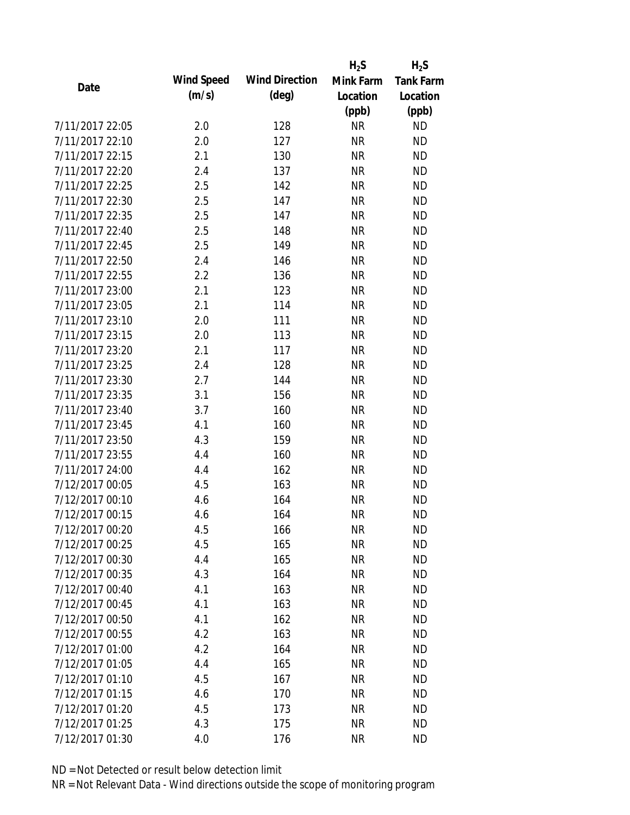|                 |            |                       | $H_2S$    | $H_2S$           |
|-----------------|------------|-----------------------|-----------|------------------|
| Date            | Wind Speed | <b>Wind Direction</b> | Mink Farm | <b>Tank Farm</b> |
|                 | (m/s)      | $(\text{deg})$        | Location  | Location         |
|                 |            |                       | (ppb)     | (ppb)            |
| 7/11/2017 22:05 | 2.0        | 128                   | <b>NR</b> | <b>ND</b>        |
| 7/11/2017 22:10 | 2.0        | 127                   | <b>NR</b> | <b>ND</b>        |
| 7/11/2017 22:15 | 2.1        | 130                   | <b>NR</b> | <b>ND</b>        |
| 7/11/2017 22:20 | 2.4        | 137                   | <b>NR</b> | <b>ND</b>        |
| 7/11/2017 22:25 | 2.5        | 142                   | <b>NR</b> | <b>ND</b>        |
| 7/11/2017 22:30 | 2.5        | 147                   | <b>NR</b> | <b>ND</b>        |
| 7/11/2017 22:35 | 2.5        | 147                   | <b>NR</b> | <b>ND</b>        |
| 7/11/2017 22:40 | 2.5        | 148                   | <b>NR</b> | <b>ND</b>        |
| 7/11/2017 22:45 | 2.5        | 149                   | <b>NR</b> | <b>ND</b>        |
| 7/11/2017 22:50 | 2.4        | 146                   | <b>NR</b> | <b>ND</b>        |
| 7/11/2017 22:55 | 2.2        | 136                   | <b>NR</b> | <b>ND</b>        |
| 7/11/2017 23:00 | 2.1        | 123                   | <b>NR</b> | <b>ND</b>        |
| 7/11/2017 23:05 | 2.1        | 114                   | <b>NR</b> | <b>ND</b>        |
| 7/11/2017 23:10 | 2.0        | 111                   | <b>NR</b> | <b>ND</b>        |
| 7/11/2017 23:15 | 2.0        | 113                   | <b>NR</b> | <b>ND</b>        |
| 7/11/2017 23:20 | 2.1        | 117                   | <b>NR</b> | <b>ND</b>        |
| 7/11/2017 23:25 | 2.4        | 128                   | <b>NR</b> | <b>ND</b>        |
| 7/11/2017 23:30 | 2.7        | 144                   | <b>NR</b> | <b>ND</b>        |
| 7/11/2017 23:35 | 3.1        | 156                   | <b>NR</b> | <b>ND</b>        |
| 7/11/2017 23:40 | 3.7        | 160                   | <b>NR</b> | <b>ND</b>        |
| 7/11/2017 23:45 | 4.1        | 160                   | <b>NR</b> | <b>ND</b>        |
| 7/11/2017 23:50 | 4.3        | 159                   | <b>NR</b> | <b>ND</b>        |
| 7/11/2017 23:55 | 4.4        | 160                   | <b>NR</b> | <b>ND</b>        |
| 7/11/2017 24:00 | 4.4        | 162                   | <b>NR</b> | <b>ND</b>        |
| 7/12/2017 00:05 | 4.5        | 163                   | <b>NR</b> | <b>ND</b>        |
| 7/12/2017 00:10 | 4.6        | 164                   | <b>NR</b> | <b>ND</b>        |
| 7/12/2017 00:15 | 4.6        | 164                   | <b>NR</b> | <b>ND</b>        |
| 7/12/2017 00:20 | 4.5        | 166                   | ΝR        | <b>ND</b>        |
| 7/12/2017 00:25 | 4.5        | 165                   | <b>NR</b> | <b>ND</b>        |
| 7/12/2017 00:30 | 4.4        | 165                   | <b>NR</b> | <b>ND</b>        |
| 7/12/2017 00:35 | 4.3        | 164                   | <b>NR</b> | <b>ND</b>        |
| 7/12/2017 00:40 | 4.1        | 163                   | <b>NR</b> | <b>ND</b>        |
| 7/12/2017 00:45 | 4.1        | 163                   | <b>NR</b> | <b>ND</b>        |
| 7/12/2017 00:50 | 4.1        | 162                   | <b>NR</b> | <b>ND</b>        |
| 7/12/2017 00:55 | 4.2        | 163                   | <b>NR</b> | <b>ND</b>        |
| 7/12/2017 01:00 | 4.2        | 164                   | <b>NR</b> | <b>ND</b>        |
| 7/12/2017 01:05 | 4.4        | 165                   | <b>NR</b> | <b>ND</b>        |
| 7/12/2017 01:10 | 4.5        | 167                   | <b>NR</b> | <b>ND</b>        |
| 7/12/2017 01:15 | 4.6        | 170                   | <b>NR</b> | <b>ND</b>        |
| 7/12/2017 01:20 | 4.5        | 173                   | <b>NR</b> | <b>ND</b>        |
| 7/12/2017 01:25 | 4.3        | 175                   | <b>NR</b> | <b>ND</b>        |
| 7/12/2017 01:30 | 4.0        | 176                   | <b>NR</b> | <b>ND</b>        |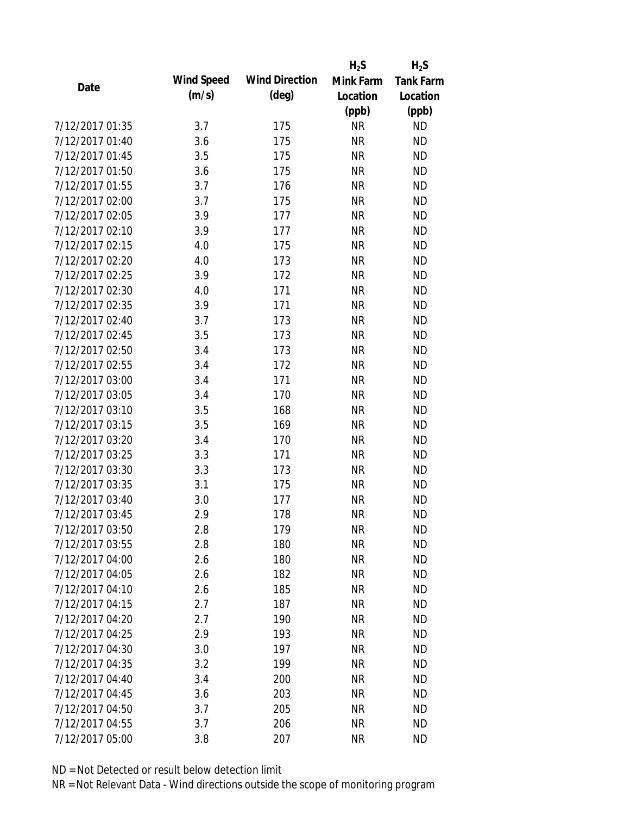|                 |            |                       | $H_2S$    | $H_2S$           |
|-----------------|------------|-----------------------|-----------|------------------|
| Date            | Wind Speed | <b>Wind Direction</b> | Mink Farm | <b>Tank Farm</b> |
|                 | (m/s)      | $(\text{deg})$        | Location  | Location         |
|                 |            |                       | (ppb)     | (ppb)            |
| 7/12/2017 01:35 | 3.7        | 175                   | <b>NR</b> | <b>ND</b>        |
| 7/12/2017 01:40 | 3.6        | 175                   | <b>NR</b> | <b>ND</b>        |
| 7/12/2017 01:45 | 3.5        | 175                   | <b>NR</b> | <b>ND</b>        |
| 7/12/2017 01:50 | 3.6        | 175                   | <b>NR</b> | <b>ND</b>        |
| 7/12/2017 01:55 | 3.7        | 176                   | <b>NR</b> | <b>ND</b>        |
| 7/12/2017 02:00 | 3.7        | 175                   | <b>NR</b> | <b>ND</b>        |
| 7/12/2017 02:05 | 3.9        | 177                   | <b>NR</b> | <b>ND</b>        |
| 7/12/2017 02:10 | 3.9        | 177                   | <b>NR</b> | <b>ND</b>        |
| 7/12/2017 02:15 | 4.0        | 175                   | <b>NR</b> | <b>ND</b>        |
| 7/12/2017 02:20 | 4.0        | 173                   | <b>NR</b> | <b>ND</b>        |
| 7/12/2017 02:25 | 3.9        | 172                   | <b>NR</b> | <b>ND</b>        |
| 7/12/2017 02:30 | 4.0        | 171                   | <b>NR</b> | <b>ND</b>        |
| 7/12/2017 02:35 | 3.9        | 171                   | <b>NR</b> | <b>ND</b>        |
| 7/12/2017 02:40 | 3.7        | 173                   | <b>NR</b> | <b>ND</b>        |
| 7/12/2017 02:45 | 3.5        | 173                   | <b>NR</b> | <b>ND</b>        |
| 7/12/2017 02:50 | 3.4        | 173                   | <b>NR</b> | <b>ND</b>        |
| 7/12/2017 02:55 | 3.4        | 172                   | <b>NR</b> | <b>ND</b>        |
| 7/12/2017 03:00 | 3.4        | 171                   | <b>NR</b> | <b>ND</b>        |
| 7/12/2017 03:05 | 3.4        | 170                   | <b>NR</b> | <b>ND</b>        |
| 7/12/2017 03:10 | 3.5        | 168                   | <b>NR</b> | <b>ND</b>        |
| 7/12/2017 03:15 | 3.5        | 169                   | <b>NR</b> | <b>ND</b>        |
| 7/12/2017 03:20 | 3.4        | 170                   | <b>NR</b> | <b>ND</b>        |
| 7/12/2017 03:25 | 3.3        | 171                   | <b>NR</b> | <b>ND</b>        |
| 7/12/2017 03:30 | 3.3        | 173                   | <b>NR</b> | <b>ND</b>        |
| 7/12/2017 03:35 | 3.1        | 175                   | <b>NR</b> | <b>ND</b>        |
| 7/12/2017 03:40 | 3.0        | 177                   | <b>NR</b> | <b>ND</b>        |
| 7/12/2017 03:45 | 2.9        | 178                   | <b>NR</b> | <b>ND</b>        |
| 7/12/2017 03:50 | 2.8        | 179                   | ΝR        | <b>ND</b>        |
| 7/12/2017 03:55 | 2.8        | 180                   | <b>NR</b> | <b>ND</b>        |
| 7/12/2017 04:00 | 2.6        | 180                   | <b>NR</b> | <b>ND</b>        |
| 7/12/2017 04:05 | 2.6        | 182                   | <b>NR</b> | <b>ND</b>        |
| 7/12/2017 04:10 | 2.6        | 185                   | <b>NR</b> | <b>ND</b>        |
| 7/12/2017 04:15 | 2.7        | 187                   | <b>NR</b> | <b>ND</b>        |
| 7/12/2017 04:20 | 2.7        | 190                   | <b>NR</b> | <b>ND</b>        |
| 7/12/2017 04:25 | 2.9        | 193                   | <b>NR</b> | <b>ND</b>        |
| 7/12/2017 04:30 | 3.0        | 197                   | <b>NR</b> | <b>ND</b>        |
| 7/12/2017 04:35 | 3.2        | 199                   | <b>NR</b> | <b>ND</b>        |
| 7/12/2017 04:40 | 3.4        | 200                   | <b>NR</b> | <b>ND</b>        |
| 7/12/2017 04:45 | 3.6        | 203                   | <b>NR</b> | <b>ND</b>        |
| 7/12/2017 04:50 | 3.7        | 205                   | ΝR        | <b>ND</b>        |
| 7/12/2017 04:55 | 3.7        | 206                   | <b>NR</b> | <b>ND</b>        |
| 7/12/2017 05:00 | 3.8        | 207                   | <b>NR</b> | <b>ND</b>        |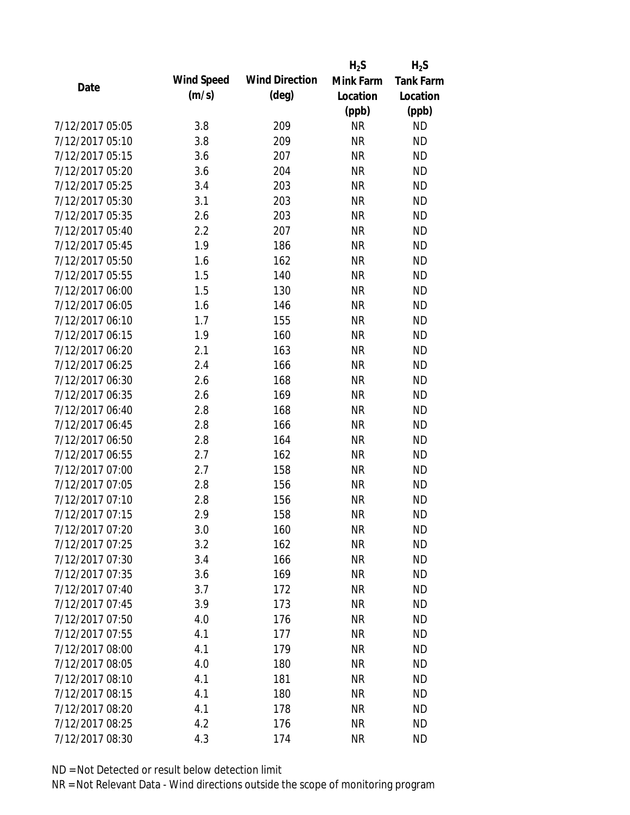|                 |            |                       | $H_2S$    | $H_2S$           |
|-----------------|------------|-----------------------|-----------|------------------|
| Date            | Wind Speed | <b>Wind Direction</b> | Mink Farm | <b>Tank Farm</b> |
|                 | (m/s)      | $(\text{deg})$        | Location  | Location         |
|                 |            |                       | (ppb)     | (ppb)            |
| 7/12/2017 05:05 | 3.8        | 209                   | <b>NR</b> | <b>ND</b>        |
| 7/12/2017 05:10 | 3.8        | 209                   | <b>NR</b> | <b>ND</b>        |
| 7/12/2017 05:15 | 3.6        | 207                   | <b>NR</b> | <b>ND</b>        |
| 7/12/2017 05:20 | 3.6        | 204                   | <b>NR</b> | <b>ND</b>        |
| 7/12/2017 05:25 | 3.4        | 203                   | <b>NR</b> | <b>ND</b>        |
| 7/12/2017 05:30 | 3.1        | 203                   | <b>NR</b> | <b>ND</b>        |
| 7/12/2017 05:35 | 2.6        | 203                   | <b>NR</b> | <b>ND</b>        |
| 7/12/2017 05:40 | 2.2        | 207                   | <b>NR</b> | <b>ND</b>        |
| 7/12/2017 05:45 | 1.9        | 186                   | <b>NR</b> | <b>ND</b>        |
| 7/12/2017 05:50 | 1.6        | 162                   | <b>NR</b> | <b>ND</b>        |
| 7/12/2017 05:55 | 1.5        | 140                   | <b>NR</b> | <b>ND</b>        |
| 7/12/2017 06:00 | 1.5        | 130                   | <b>NR</b> | <b>ND</b>        |
| 7/12/2017 06:05 | 1.6        | 146                   | <b>NR</b> | <b>ND</b>        |
| 7/12/2017 06:10 | 1.7        | 155                   | <b>NR</b> | <b>ND</b>        |
| 7/12/2017 06:15 | 1.9        | 160                   | <b>NR</b> | <b>ND</b>        |
| 7/12/2017 06:20 | 2.1        | 163                   | <b>NR</b> | <b>ND</b>        |
| 7/12/2017 06:25 | 2.4        | 166                   | <b>NR</b> | <b>ND</b>        |
| 7/12/2017 06:30 | 2.6        | 168                   | <b>NR</b> | <b>ND</b>        |
| 7/12/2017 06:35 | 2.6        | 169                   | <b>NR</b> | <b>ND</b>        |
| 7/12/2017 06:40 | 2.8        | 168                   | <b>NR</b> | <b>ND</b>        |
| 7/12/2017 06:45 | 2.8        | 166                   | <b>NR</b> | <b>ND</b>        |
| 7/12/2017 06:50 | 2.8        | 164                   | <b>NR</b> | <b>ND</b>        |
| 7/12/2017 06:55 | 2.7        | 162                   | <b>NR</b> | <b>ND</b>        |
| 7/12/2017 07:00 | 2.7        | 158                   | <b>NR</b> | <b>ND</b>        |
| 7/12/2017 07:05 | 2.8        | 156                   | <b>NR</b> | <b>ND</b>        |
| 7/12/2017 07:10 | 2.8        | 156                   | <b>NR</b> | <b>ND</b>        |
| 7/12/2017 07:15 | 2.9        | 158                   | <b>NR</b> | <b>ND</b>        |
| 7/12/2017 07:20 | 3.0        | 160                   | <b>NR</b> | <b>ND</b>        |
| 7/12/2017 07:25 | 3.2        | 162                   | <b>NR</b> | <b>ND</b>        |
| 7/12/2017 07:30 | 3.4        | 166                   | <b>NR</b> | <b>ND</b>        |
| 7/12/2017 07:35 | 3.6        | 169                   | <b>NR</b> | <b>ND</b>        |
| 7/12/2017 07:40 | 3.7        | 172                   | <b>NR</b> | <b>ND</b>        |
| 7/12/2017 07:45 | 3.9        | 173                   | <b>NR</b> | <b>ND</b>        |
| 7/12/2017 07:50 | 4.0        | 176                   | <b>NR</b> | <b>ND</b>        |
| 7/12/2017 07:55 | 4.1        | 177                   | <b>NR</b> | <b>ND</b>        |
| 7/12/2017 08:00 | 4.1        | 179                   | <b>NR</b> | <b>ND</b>        |
| 7/12/2017 08:05 | 4.0        | 180                   | <b>NR</b> | <b>ND</b>        |
| 7/12/2017 08:10 | 4.1        | 181                   | <b>NR</b> | <b>ND</b>        |
| 7/12/2017 08:15 | 4.1        | 180                   | <b>NR</b> | <b>ND</b>        |
| 7/12/2017 08:20 | 4.1        | 178                   | <b>NR</b> | <b>ND</b>        |
| 7/12/2017 08:25 | 4.2        | 176                   | <b>NR</b> | <b>ND</b>        |
| 7/12/2017 08:30 | 4.3        | 174                   | <b>NR</b> | <b>ND</b>        |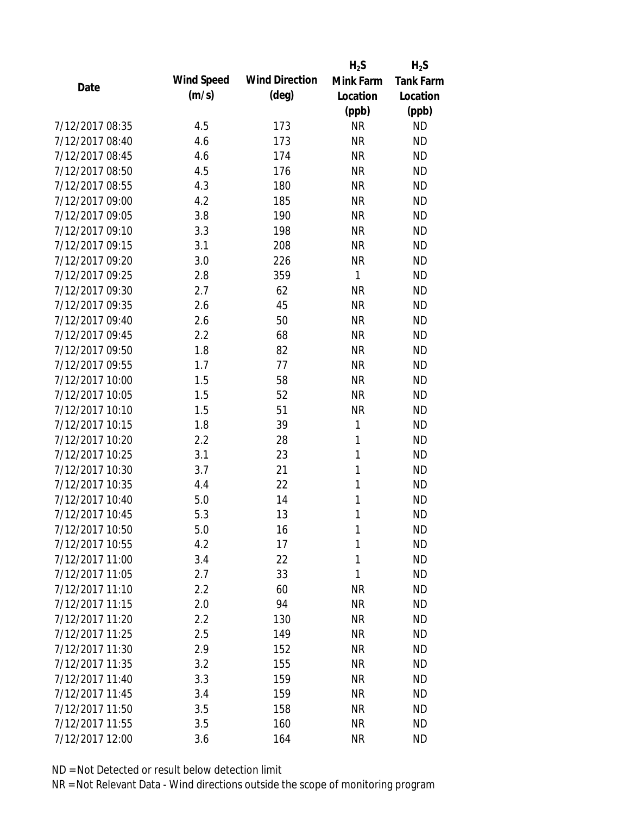|                 |            |                       | $H_2S$       | $H_2S$           |
|-----------------|------------|-----------------------|--------------|------------------|
| Date            | Wind Speed | <b>Wind Direction</b> | Mink Farm    | <b>Tank Farm</b> |
|                 | (m/s)      | $(\text{deg})$        | Location     | Location         |
|                 |            |                       | (ppb)        | (ppb)            |
| 7/12/2017 08:35 | 4.5        | 173                   | <b>NR</b>    | <b>ND</b>        |
| 7/12/2017 08:40 | 4.6        | 173                   | <b>NR</b>    | <b>ND</b>        |
| 7/12/2017 08:45 | 4.6        | 174                   | <b>NR</b>    | <b>ND</b>        |
| 7/12/2017 08:50 | 4.5        | 176                   | <b>NR</b>    | <b>ND</b>        |
| 7/12/2017 08:55 | 4.3        | 180                   | <b>NR</b>    | <b>ND</b>        |
| 7/12/2017 09:00 | 4.2        | 185                   | <b>NR</b>    | <b>ND</b>        |
| 7/12/2017 09:05 | 3.8        | 190                   | <b>NR</b>    | <b>ND</b>        |
| 7/12/2017 09:10 | 3.3        | 198                   | <b>NR</b>    | <b>ND</b>        |
| 7/12/2017 09:15 | 3.1        | 208                   | <b>NR</b>    | <b>ND</b>        |
| 7/12/2017 09:20 | 3.0        | 226                   | <b>NR</b>    | <b>ND</b>        |
| 7/12/2017 09:25 | 2.8        | 359                   | $\mathbf{1}$ | <b>ND</b>        |
| 7/12/2017 09:30 | 2.7        | 62                    | <b>NR</b>    | <b>ND</b>        |
| 7/12/2017 09:35 | 2.6        | 45                    | <b>NR</b>    | <b>ND</b>        |
| 7/12/2017 09:40 | 2.6        | 50                    | <b>NR</b>    | <b>ND</b>        |
| 7/12/2017 09:45 | 2.2        | 68                    | <b>NR</b>    | <b>ND</b>        |
| 7/12/2017 09:50 | 1.8        | 82                    | <b>NR</b>    | <b>ND</b>        |
| 7/12/2017 09:55 | 1.7        | 77                    | <b>NR</b>    | <b>ND</b>        |
| 7/12/2017 10:00 | 1.5        | 58                    | <b>NR</b>    | <b>ND</b>        |
| 7/12/2017 10:05 | 1.5        | 52                    | <b>NR</b>    | <b>ND</b>        |
| 7/12/2017 10:10 | 1.5        | 51                    | <b>NR</b>    | <b>ND</b>        |
| 7/12/2017 10:15 | 1.8        | 39                    | 1            | <b>ND</b>        |
| 7/12/2017 10:20 | 2.2        | 28                    | 1            | <b>ND</b>        |
| 7/12/2017 10:25 | 3.1        | 23                    | 1            | <b>ND</b>        |
| 7/12/2017 10:30 | 3.7        | 21                    | 1            | <b>ND</b>        |
| 7/12/2017 10:35 | 4.4        | 22                    | 1            | <b>ND</b>        |
| 7/12/2017 10:40 | 5.0        | 14                    | 1            | <b>ND</b>        |
| 7/12/2017 10:45 | 5.3        | 13                    | 1            | <b>ND</b>        |
| 7/12/2017 10:50 | 5.0        | 16                    | 1            | <b>ND</b>        |
| 7/12/2017 10:55 | 4.2        | 17                    | 1            | <b>ND</b>        |
| 7/12/2017 11:00 | 3.4        | 22                    | 1            | <b>ND</b>        |
| 7/12/2017 11:05 | 2.7        | 33                    | 1            | <b>ND</b>        |
| 7/12/2017 11:10 | 2.2        | 60                    | <b>NR</b>    | <b>ND</b>        |
| 7/12/2017 11:15 | 2.0        | 94                    | <b>NR</b>    | <b>ND</b>        |
| 7/12/2017 11:20 | 2.2        | 130                   | <b>NR</b>    | <b>ND</b>        |
| 7/12/2017 11:25 | 2.5        | 149                   | <b>NR</b>    | ND               |
| 7/12/2017 11:30 | 2.9        | 152                   | <b>NR</b>    | <b>ND</b>        |
| 7/12/2017 11:35 | 3.2        | 155                   | <b>NR</b>    | <b>ND</b>        |
| 7/12/2017 11:40 | 3.3        | 159                   | <b>NR</b>    | <b>ND</b>        |
| 7/12/2017 11:45 | 3.4        | 159                   | <b>NR</b>    | <b>ND</b>        |
| 7/12/2017 11:50 | 3.5        | 158                   | <b>NR</b>    | <b>ND</b>        |
| 7/12/2017 11:55 | 3.5        | 160                   | <b>NR</b>    | <b>ND</b>        |
| 7/12/2017 12:00 | 3.6        | 164                   | <b>NR</b>    | <b>ND</b>        |
|                 |            |                       |              |                  |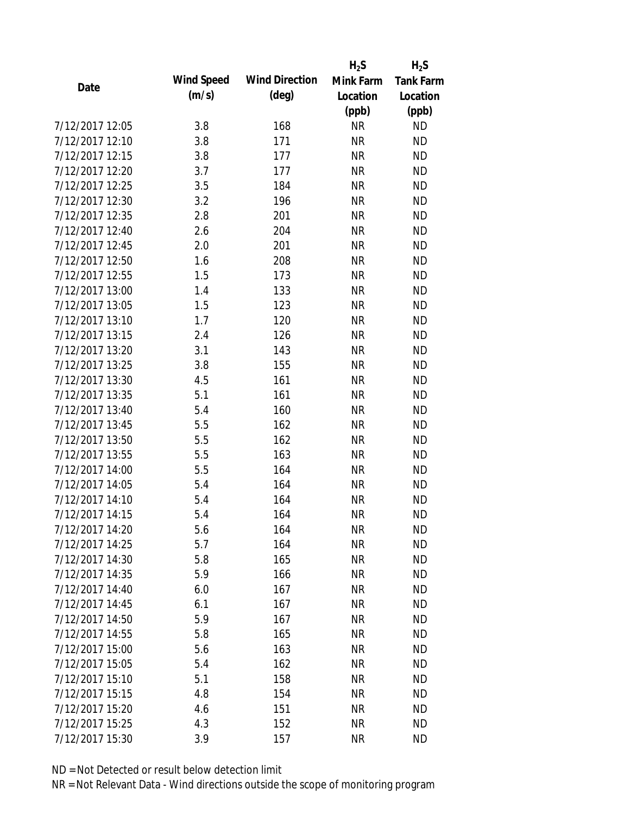|                 |            |                       | $H_2S$    | $H_2S$           |
|-----------------|------------|-----------------------|-----------|------------------|
| Date            | Wind Speed | <b>Wind Direction</b> | Mink Farm | <b>Tank Farm</b> |
|                 | (m/s)      | $(\text{deg})$        | Location  | Location         |
|                 |            |                       | (ppb)     | (ppb)            |
| 7/12/2017 12:05 | 3.8        | 168                   | <b>NR</b> | <b>ND</b>        |
| 7/12/2017 12:10 | 3.8        | 171                   | <b>NR</b> | <b>ND</b>        |
| 7/12/2017 12:15 | 3.8        | 177                   | <b>NR</b> | <b>ND</b>        |
| 7/12/2017 12:20 | 3.7        | 177                   | <b>NR</b> | <b>ND</b>        |
| 7/12/2017 12:25 | 3.5        | 184                   | <b>NR</b> | <b>ND</b>        |
| 7/12/2017 12:30 | 3.2        | 196                   | <b>NR</b> | <b>ND</b>        |
| 7/12/2017 12:35 | 2.8        | 201                   | <b>NR</b> | <b>ND</b>        |
| 7/12/2017 12:40 | 2.6        | 204                   | <b>NR</b> | <b>ND</b>        |
| 7/12/2017 12:45 | 2.0        | 201                   | <b>NR</b> | <b>ND</b>        |
| 7/12/2017 12:50 | 1.6        | 208                   | <b>NR</b> | <b>ND</b>        |
| 7/12/2017 12:55 | 1.5        | 173                   | <b>NR</b> | <b>ND</b>        |
| 7/12/2017 13:00 | 1.4        | 133                   | <b>NR</b> | <b>ND</b>        |
| 7/12/2017 13:05 | 1.5        | 123                   | <b>NR</b> | <b>ND</b>        |
| 7/12/2017 13:10 | 1.7        | 120                   | <b>NR</b> | <b>ND</b>        |
| 7/12/2017 13:15 | 2.4        | 126                   | <b>NR</b> | <b>ND</b>        |
| 7/12/2017 13:20 | 3.1        | 143                   | <b>NR</b> | <b>ND</b>        |
| 7/12/2017 13:25 | 3.8        | 155                   | <b>NR</b> | <b>ND</b>        |
| 7/12/2017 13:30 | 4.5        | 161                   | <b>NR</b> | <b>ND</b>        |
| 7/12/2017 13:35 | 5.1        | 161                   | <b>NR</b> | <b>ND</b>        |
| 7/12/2017 13:40 | 5.4        | 160                   | <b>NR</b> | <b>ND</b>        |
| 7/12/2017 13:45 | 5.5        | 162                   | <b>NR</b> | <b>ND</b>        |
| 7/12/2017 13:50 | 5.5        | 162                   | <b>NR</b> | <b>ND</b>        |
| 7/12/2017 13:55 | 5.5        | 163                   | <b>NR</b> | <b>ND</b>        |
| 7/12/2017 14:00 | 5.5        | 164                   | <b>NR</b> | <b>ND</b>        |
| 7/12/2017 14:05 | 5.4        | 164                   | <b>NR</b> | <b>ND</b>        |
| 7/12/2017 14:10 | 5.4        | 164                   | <b>NR</b> | <b>ND</b>        |
| 7/12/2017 14:15 | 5.4        | 164                   | <b>NR</b> | <b>ND</b>        |
| 7/12/2017 14:20 | 5.6        | 164                   | ΝR        | <b>ND</b>        |
| 7/12/2017 14:25 | 5.7        | 164                   | <b>NR</b> | <b>ND</b>        |
| 7/12/2017 14:30 | 5.8        | 165                   | <b>NR</b> | <b>ND</b>        |
| 7/12/2017 14:35 | 5.9        | 166                   | <b>NR</b> | <b>ND</b>        |
| 7/12/2017 14:40 | 6.0        | 167                   | <b>NR</b> | <b>ND</b>        |
| 7/12/2017 14:45 | 6.1        | 167                   | <b>NR</b> | <b>ND</b>        |
| 7/12/2017 14:50 | 5.9        | 167                   | <b>NR</b> | <b>ND</b>        |
| 7/12/2017 14:55 | 5.8        | 165                   | <b>NR</b> | <b>ND</b>        |
| 7/12/2017 15:00 | 5.6        | 163                   | <b>NR</b> | <b>ND</b>        |
| 7/12/2017 15:05 | 5.4        | 162                   | <b>NR</b> | <b>ND</b>        |
| 7/12/2017 15:10 | 5.1        | 158                   | <b>NR</b> | <b>ND</b>        |
| 7/12/2017 15:15 | 4.8        | 154                   | <b>NR</b> | <b>ND</b>        |
| 7/12/2017 15:20 | 4.6        | 151                   | <b>NR</b> | <b>ND</b>        |
| 7/12/2017 15:25 | 4.3        | 152                   | <b>NR</b> | <b>ND</b>        |
| 7/12/2017 15:30 | 3.9        | 157                   | <b>NR</b> | <b>ND</b>        |
|                 |            |                       |           |                  |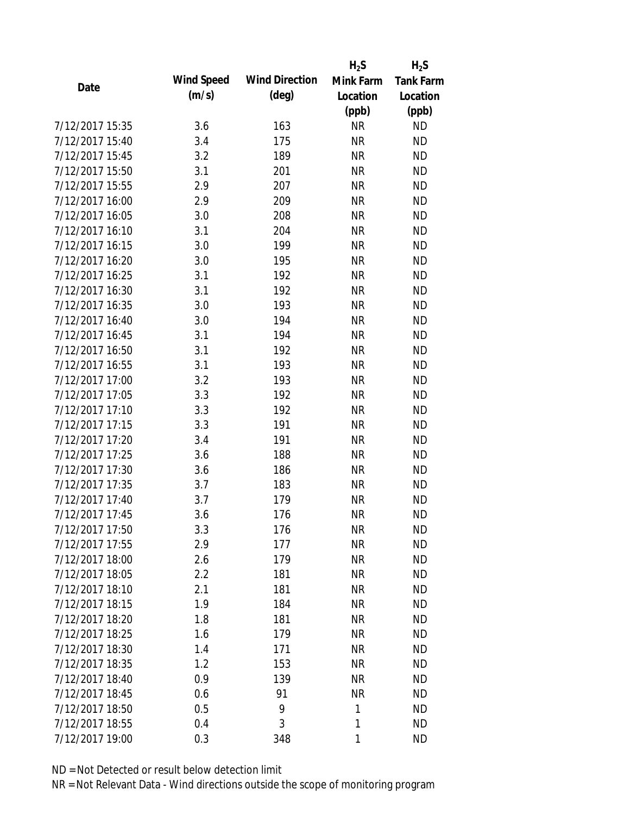|                 |            |                       | $H_2S$    | $H_2S$           |
|-----------------|------------|-----------------------|-----------|------------------|
| Date            | Wind Speed | <b>Wind Direction</b> | Mink Farm | <b>Tank Farm</b> |
|                 | (m/s)      | $(\text{deg})$        | Location  | Location         |
|                 |            |                       | (ppb)     | (ppb)            |
| 7/12/2017 15:35 | 3.6        | 163                   | <b>NR</b> | <b>ND</b>        |
| 7/12/2017 15:40 | 3.4        | 175                   | <b>NR</b> | <b>ND</b>        |
| 7/12/2017 15:45 | 3.2        | 189                   | <b>NR</b> | <b>ND</b>        |
| 7/12/2017 15:50 | 3.1        | 201                   | <b>NR</b> | <b>ND</b>        |
| 7/12/2017 15:55 | 2.9        | 207                   | <b>NR</b> | <b>ND</b>        |
| 7/12/2017 16:00 | 2.9        | 209                   | <b>NR</b> | <b>ND</b>        |
| 7/12/2017 16:05 | 3.0        | 208                   | <b>NR</b> | <b>ND</b>        |
| 7/12/2017 16:10 | 3.1        | 204                   | <b>NR</b> | <b>ND</b>        |
| 7/12/2017 16:15 | 3.0        | 199                   | <b>NR</b> | <b>ND</b>        |
| 7/12/2017 16:20 | 3.0        | 195                   | <b>NR</b> | <b>ND</b>        |
| 7/12/2017 16:25 | 3.1        | 192                   | <b>NR</b> | <b>ND</b>        |
| 7/12/2017 16:30 | 3.1        | 192                   | <b>NR</b> | <b>ND</b>        |
| 7/12/2017 16:35 | 3.0        | 193                   | <b>NR</b> | <b>ND</b>        |
| 7/12/2017 16:40 | 3.0        | 194                   | <b>NR</b> | <b>ND</b>        |
| 7/12/2017 16:45 | 3.1        | 194                   | <b>NR</b> | <b>ND</b>        |
| 7/12/2017 16:50 | 3.1        | 192                   | <b>NR</b> | <b>ND</b>        |
| 7/12/2017 16:55 | 3.1        | 193                   | <b>NR</b> | <b>ND</b>        |
| 7/12/2017 17:00 | 3.2        | 193                   | <b>NR</b> | <b>ND</b>        |
| 7/12/2017 17:05 | 3.3        | 192                   | <b>NR</b> | <b>ND</b>        |
| 7/12/2017 17:10 | 3.3        | 192                   | <b>NR</b> | <b>ND</b>        |
| 7/12/2017 17:15 | 3.3        | 191                   | <b>NR</b> | <b>ND</b>        |
| 7/12/2017 17:20 | 3.4        | 191                   | <b>NR</b> | <b>ND</b>        |
| 7/12/2017 17:25 | 3.6        | 188                   | <b>NR</b> | <b>ND</b>        |
| 7/12/2017 17:30 | 3.6        | 186                   | <b>NR</b> | <b>ND</b>        |
| 7/12/2017 17:35 | 3.7        | 183                   | <b>NR</b> | <b>ND</b>        |
| 7/12/2017 17:40 | 3.7        | 179                   | <b>NR</b> | <b>ND</b>        |
| 7/12/2017 17:45 | 3.6        | 176                   | <b>NR</b> | <b>ND</b>        |
| 7/12/2017 17:50 | 3.3        | 176                   | ΝR        | <b>ND</b>        |
| 7/12/2017 17:55 | 2.9        | 177                   | <b>NR</b> | <b>ND</b>        |
| 7/12/2017 18:00 | 2.6        | 179                   | <b>NR</b> | <b>ND</b>        |
| 7/12/2017 18:05 | 2.2        | 181                   | <b>NR</b> | <b>ND</b>        |
| 7/12/2017 18:10 | 2.1        | 181                   | <b>NR</b> | <b>ND</b>        |
| 7/12/2017 18:15 | 1.9        | 184                   | <b>NR</b> | <b>ND</b>        |
| 7/12/2017 18:20 | 1.8        | 181                   | <b>NR</b> | <b>ND</b>        |
| 7/12/2017 18:25 | 1.6        | 179                   | <b>NR</b> | <b>ND</b>        |
| 7/12/2017 18:30 | 1.4        | 171                   | <b>NR</b> | <b>ND</b>        |
| 7/12/2017 18:35 | 1.2        | 153                   | <b>NR</b> | <b>ND</b>        |
| 7/12/2017 18:40 | 0.9        | 139                   | <b>NR</b> | <b>ND</b>        |
| 7/12/2017 18:45 | 0.6        | 91                    | <b>NR</b> | <b>ND</b>        |
| 7/12/2017 18:50 | 0.5        | 9                     | 1         | <b>ND</b>        |
| 7/12/2017 18:55 | 0.4        | 3                     | 1         | <b>ND</b>        |
|                 |            |                       |           |                  |
| 7/12/2017 19:00 | 0.3        | 348                   | 1         | <b>ND</b>        |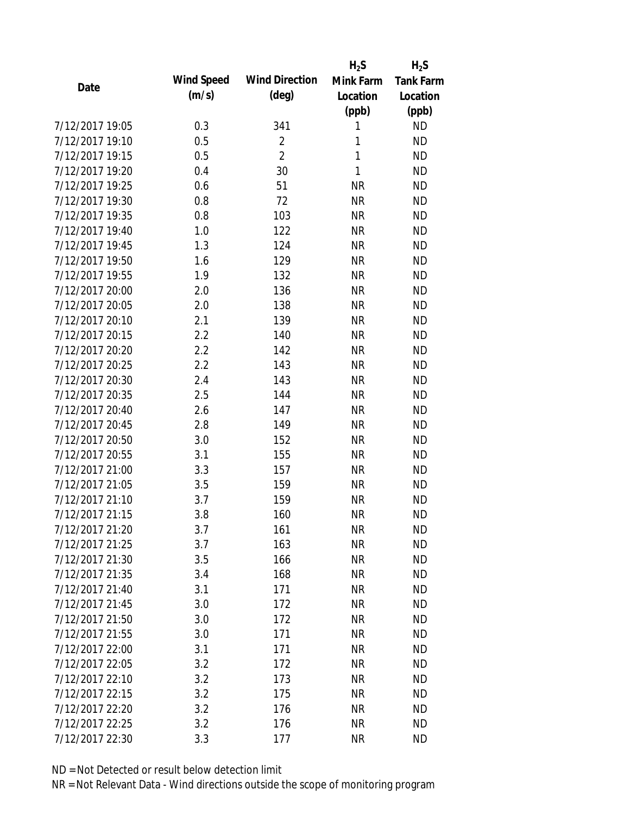|                 |            |                       | $H_2S$       | $H_2S$           |
|-----------------|------------|-----------------------|--------------|------------------|
| Date            | Wind Speed | <b>Wind Direction</b> | Mink Farm    | <b>Tank Farm</b> |
|                 | (m/s)      | $(\text{deg})$        | Location     | Location         |
|                 |            |                       | (ppb)        | (ppb)            |
| 7/12/2017 19:05 | 0.3        | 341                   | 1            | <b>ND</b>        |
| 7/12/2017 19:10 | 0.5        | $\overline{2}$        | 1            | <b>ND</b>        |
| 7/12/2017 19:15 | 0.5        | $\overline{2}$        | $\mathbf{1}$ | <b>ND</b>        |
| 7/12/2017 19:20 | 0.4        | 30                    | $\mathbf{1}$ | <b>ND</b>        |
| 7/12/2017 19:25 | 0.6        | 51                    | <b>NR</b>    | <b>ND</b>        |
| 7/12/2017 19:30 | 0.8        | 72                    | <b>NR</b>    | <b>ND</b>        |
| 7/12/2017 19:35 | 0.8        | 103                   | <b>NR</b>    | <b>ND</b>        |
| 7/12/2017 19:40 | 1.0        | 122                   | <b>NR</b>    | <b>ND</b>        |
| 7/12/2017 19:45 | 1.3        | 124                   | <b>NR</b>    | <b>ND</b>        |
| 7/12/2017 19:50 | 1.6        | 129                   | <b>NR</b>    | <b>ND</b>        |
| 7/12/2017 19:55 | 1.9        | 132                   | <b>NR</b>    | <b>ND</b>        |
| 7/12/2017 20:00 | 2.0        | 136                   | <b>NR</b>    | <b>ND</b>        |
| 7/12/2017 20:05 | 2.0        | 138                   | <b>NR</b>    | <b>ND</b>        |
| 7/12/2017 20:10 | 2.1        | 139                   | <b>NR</b>    | <b>ND</b>        |
| 7/12/2017 20:15 | 2.2        | 140                   | <b>NR</b>    | <b>ND</b>        |
| 7/12/2017 20:20 | 2.2        | 142                   | <b>NR</b>    | <b>ND</b>        |
| 7/12/2017 20:25 | 2.2        | 143                   | <b>NR</b>    | <b>ND</b>        |
| 7/12/2017 20:30 | 2.4        | 143                   | <b>NR</b>    | <b>ND</b>        |
| 7/12/2017 20:35 | 2.5        | 144                   | <b>NR</b>    | <b>ND</b>        |
| 7/12/2017 20:40 | 2.6        | 147                   | <b>NR</b>    | <b>ND</b>        |
| 7/12/2017 20:45 | 2.8        | 149                   | <b>NR</b>    | <b>ND</b>        |
| 7/12/2017 20:50 | 3.0        | 152                   | <b>NR</b>    | <b>ND</b>        |
| 7/12/2017 20:55 | 3.1        | 155                   | <b>NR</b>    | <b>ND</b>        |
| 7/12/2017 21:00 | 3.3        | 157                   | <b>NR</b>    | <b>ND</b>        |
| 7/12/2017 21:05 | 3.5        | 159                   | <b>NR</b>    | <b>ND</b>        |
| 7/12/2017 21:10 | 3.7        | 159                   | <b>NR</b>    | <b>ND</b>        |
| 7/12/2017 21:15 | 3.8        | 160                   | <b>NR</b>    | <b>ND</b>        |
| 7/12/2017 21:20 | 3.7        | 161                   | <b>NR</b>    | <b>ND</b>        |
| 7/12/2017 21:25 | 3.7        | 163                   | <b>NR</b>    | <b>ND</b>        |
| 7/12/2017 21:30 | 3.5        | 166                   | <b>NR</b>    | <b>ND</b>        |
| 7/12/2017 21:35 | 3.4        | 168                   | <b>NR</b>    | <b>ND</b>        |
| 7/12/2017 21:40 | 3.1        | 171                   | <b>NR</b>    | <b>ND</b>        |
| 7/12/2017 21:45 | 3.0        | 172                   | <b>NR</b>    | <b>ND</b>        |
| 7/12/2017 21:50 | 3.0        | 172                   | <b>NR</b>    | <b>ND</b>        |
| 7/12/2017 21:55 | 3.0        | 171                   | <b>NR</b>    | <b>ND</b>        |
| 7/12/2017 22:00 | 3.1        | 171                   | <b>NR</b>    | <b>ND</b>        |
| 7/12/2017 22:05 | 3.2        | 172                   | <b>NR</b>    | <b>ND</b>        |
| 7/12/2017 22:10 | 3.2        | 173                   | <b>NR</b>    | <b>ND</b>        |
| 7/12/2017 22:15 | 3.2        | 175                   | <b>NR</b>    | <b>ND</b>        |
| 7/12/2017 22:20 | 3.2        | 176                   | <b>NR</b>    | <b>ND</b>        |
| 7/12/2017 22:25 | 3.2        | 176                   | <b>NR</b>    | <b>ND</b>        |
|                 |            |                       |              |                  |
| 7/12/2017 22:30 | 3.3        | 177                   | <b>NR</b>    | <b>ND</b>        |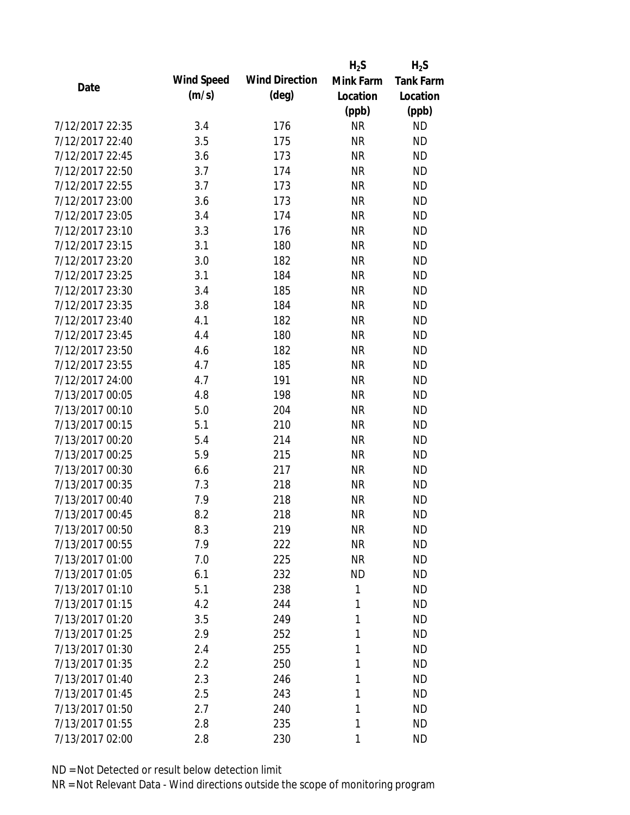|                 |            |                       | $H_2S$    | $H_2S$           |
|-----------------|------------|-----------------------|-----------|------------------|
| Date            | Wind Speed | <b>Wind Direction</b> | Mink Farm | <b>Tank Farm</b> |
|                 | (m/s)      | $(\text{deg})$        | Location  | Location         |
|                 |            |                       | (ppb)     | (ppb)            |
| 7/12/2017 22:35 | 3.4        | 176                   | <b>NR</b> | <b>ND</b>        |
| 7/12/2017 22:40 | 3.5        | 175                   | <b>NR</b> | <b>ND</b>        |
| 7/12/2017 22:45 | 3.6        | 173                   | <b>NR</b> | <b>ND</b>        |
| 7/12/2017 22:50 | 3.7        | 174                   | <b>NR</b> | <b>ND</b>        |
| 7/12/2017 22:55 | 3.7        | 173                   | <b>NR</b> | <b>ND</b>        |
| 7/12/2017 23:00 | 3.6        | 173                   | <b>NR</b> | <b>ND</b>        |
| 7/12/2017 23:05 | 3.4        | 174                   | <b>NR</b> | <b>ND</b>        |
| 7/12/2017 23:10 | 3.3        | 176                   | <b>NR</b> | <b>ND</b>        |
| 7/12/2017 23:15 | 3.1        | 180                   | <b>NR</b> | <b>ND</b>        |
| 7/12/2017 23:20 | 3.0        | 182                   | <b>NR</b> | <b>ND</b>        |
| 7/12/2017 23:25 | 3.1        | 184                   | <b>NR</b> | <b>ND</b>        |
| 7/12/2017 23:30 | 3.4        | 185                   | <b>NR</b> | <b>ND</b>        |
| 7/12/2017 23:35 | 3.8        | 184                   | <b>NR</b> | <b>ND</b>        |
| 7/12/2017 23:40 | 4.1        | 182                   | <b>NR</b> | <b>ND</b>        |
| 7/12/2017 23:45 | 4.4        | 180                   | <b>NR</b> | <b>ND</b>        |
| 7/12/2017 23:50 | 4.6        | 182                   | <b>NR</b> | <b>ND</b>        |
| 7/12/2017 23:55 | 4.7        | 185                   | <b>NR</b> | <b>ND</b>        |
| 7/12/2017 24:00 | 4.7        | 191                   | <b>NR</b> | <b>ND</b>        |
| 7/13/2017 00:05 | 4.8        | 198                   | <b>NR</b> | <b>ND</b>        |
| 7/13/2017 00:10 | 5.0        | 204                   | <b>NR</b> | <b>ND</b>        |
| 7/13/2017 00:15 | 5.1        | 210                   | <b>NR</b> | <b>ND</b>        |
| 7/13/2017 00:20 | 5.4        | 214                   | <b>NR</b> | <b>ND</b>        |
| 7/13/2017 00:25 | 5.9        | 215                   | <b>NR</b> | <b>ND</b>        |
| 7/13/2017 00:30 | 6.6        | 217                   | <b>NR</b> | <b>ND</b>        |
| 7/13/2017 00:35 | 7.3        | 218                   | <b>NR</b> | <b>ND</b>        |
| 7/13/2017 00:40 | 7.9        | 218                   | <b>NR</b> | <b>ND</b>        |
| 7/13/2017 00:45 | 8.2        | 218                   | <b>NR</b> | <b>ND</b>        |
| 7/13/2017 00:50 | 8.3        | 219                   | ΝR        | <b>ND</b>        |
| 7/13/2017 00:55 | 7.9        | 222                   | <b>NR</b> | <b>ND</b>        |
| 7/13/2017 01:00 | 7.0        | 225                   | <b>NR</b> | <b>ND</b>        |
| 7/13/2017 01:05 | 6.1        | 232                   | <b>ND</b> | <b>ND</b>        |
| 7/13/2017 01:10 | 5.1        | 238                   | 1         | <b>ND</b>        |
| 7/13/2017 01:15 | 4.2        | 244                   | 1         | <b>ND</b>        |
| 7/13/2017 01:20 | 3.5        | 249                   | 1         | <b>ND</b>        |
| 7/13/2017 01:25 | 2.9        | 252                   | 1         | <b>ND</b>        |
| 7/13/2017 01:30 | 2.4        | 255                   | 1         | <b>ND</b>        |
| 7/13/2017 01:35 | 2.2        | 250                   | 1         | <b>ND</b>        |
| 7/13/2017 01:40 | 2.3        | 246                   | 1         | <b>ND</b>        |
| 7/13/2017 01:45 | 2.5        | 243                   | 1         | <b>ND</b>        |
| 7/13/2017 01:50 | 2.7        | 240                   | 1         | <b>ND</b>        |
| 7/13/2017 01:55 | 2.8        | 235                   | 1         | <b>ND</b>        |
| 7/13/2017 02:00 | 2.8        | 230                   | 1         | <b>ND</b>        |
|                 |            |                       |           |                  |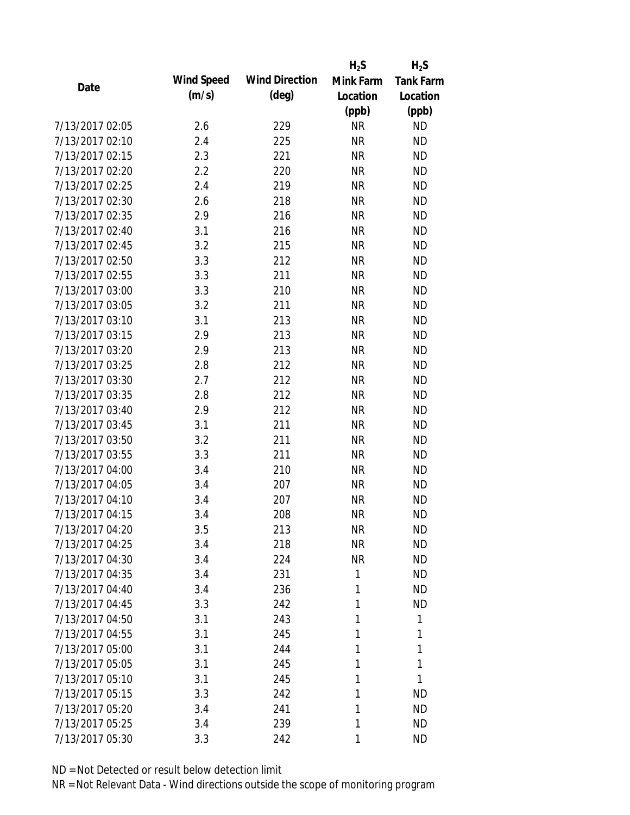|                 |            |                       | $H_2S$    | $H_2S$           |
|-----------------|------------|-----------------------|-----------|------------------|
| Date            | Wind Speed | <b>Wind Direction</b> | Mink Farm | <b>Tank Farm</b> |
|                 | (m/s)      | $(\text{deg})$        | Location  | Location         |
|                 |            |                       | (ppb)     | (ppb)            |
| 7/13/2017 02:05 | 2.6        | 229                   | <b>NR</b> | <b>ND</b>        |
| 7/13/2017 02:10 | 2.4        | 225                   | <b>NR</b> | <b>ND</b>        |
| 7/13/2017 02:15 | 2.3        | 221                   | <b>NR</b> | <b>ND</b>        |
| 7/13/2017 02:20 | 2.2        | 220                   | <b>NR</b> | <b>ND</b>        |
| 7/13/2017 02:25 | 2.4        | 219                   | <b>NR</b> | <b>ND</b>        |
| 7/13/2017 02:30 | 2.6        | 218                   | <b>NR</b> | <b>ND</b>        |
| 7/13/2017 02:35 | 2.9        | 216                   | <b>NR</b> | <b>ND</b>        |
| 7/13/2017 02:40 | 3.1        | 216                   | <b>NR</b> | <b>ND</b>        |
| 7/13/2017 02:45 | 3.2        | 215                   | <b>NR</b> | <b>ND</b>        |
| 7/13/2017 02:50 | 3.3        | 212                   | <b>NR</b> | <b>ND</b>        |
| 7/13/2017 02:55 | 3.3        | 211                   | <b>NR</b> | <b>ND</b>        |
| 7/13/2017 03:00 | 3.3        | 210                   | <b>NR</b> | <b>ND</b>        |
| 7/13/2017 03:05 | 3.2        | 211                   | <b>NR</b> | <b>ND</b>        |
| 7/13/2017 03:10 | 3.1        | 213                   | <b>NR</b> | <b>ND</b>        |
| 7/13/2017 03:15 | 2.9        | 213                   | <b>NR</b> | <b>ND</b>        |
| 7/13/2017 03:20 | 2.9        | 213                   | <b>NR</b> | <b>ND</b>        |
| 7/13/2017 03:25 | 2.8        | 212                   | <b>NR</b> | <b>ND</b>        |
| 7/13/2017 03:30 | 2.7        | 212                   | <b>NR</b> | <b>ND</b>        |
| 7/13/2017 03:35 | 2.8        | 212                   | <b>NR</b> | <b>ND</b>        |
| 7/13/2017 03:40 | 2.9        | 212                   | <b>NR</b> | <b>ND</b>        |
| 7/13/2017 03:45 | 3.1        | 211                   | <b>NR</b> | <b>ND</b>        |
| 7/13/2017 03:50 | 3.2        | 211                   | <b>NR</b> | <b>ND</b>        |
| 7/13/2017 03:55 | 3.3        | 211                   | <b>NR</b> | <b>ND</b>        |
| 7/13/2017 04:00 | 3.4        | 210                   | <b>NR</b> | <b>ND</b>        |
| 7/13/2017 04:05 | 3.4        | 207                   | <b>NR</b> | <b>ND</b>        |
| 7/13/2017 04:10 | 3.4        | 207                   | <b>NR</b> | <b>ND</b>        |
| 7/13/2017 04:15 | 3.4        | 208                   | <b>NR</b> | <b>ND</b>        |
| 7/13/2017 04:20 | 3.5        | 213                   | <b>NR</b> | <b>ND</b>        |
| 7/13/2017 04:25 | 3.4        | 218                   | <b>NR</b> | <b>ND</b>        |
| 7/13/2017 04:30 | 3.4        | 224                   | <b>NR</b> | <b>ND</b>        |
| 7/13/2017 04:35 | 3.4        | 231                   | 1         | <b>ND</b>        |
| 7/13/2017 04:40 | 3.4        | 236                   | 1         | <b>ND</b>        |
| 7/13/2017 04:45 | 3.3        | 242                   | 1         | <b>ND</b>        |
| 7/13/2017 04:50 | 3.1        | 243                   | 1         | 1                |
| 7/13/2017 04:55 | 3.1        | 245                   | 1         | 1                |
| 7/13/2017 05:00 | 3.1        | 244                   | 1         | 1                |
| 7/13/2017 05:05 | 3.1        | 245                   | 1         | 1                |
| 7/13/2017 05:10 | 3.1        | 245                   | 1         | 1                |
| 7/13/2017 05:15 | 3.3        | 242                   | 1         | <b>ND</b>        |
| 7/13/2017 05:20 | 3.4        | 241                   | 1         | <b>ND</b>        |
| 7/13/2017 05:25 | 3.4        | 239                   | 1         | <b>ND</b>        |
| 7/13/2017 05:30 | 3.3        | 242                   | 1         | <b>ND</b>        |
|                 |            |                       |           |                  |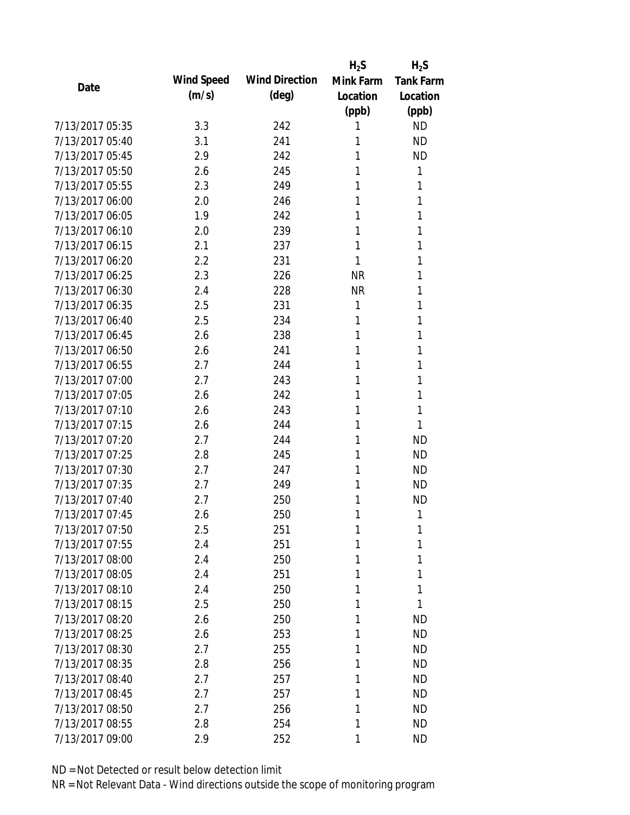|                 |            |                       | $H_2S$    | $H_2S$           |
|-----------------|------------|-----------------------|-----------|------------------|
| Date            | Wind Speed | <b>Wind Direction</b> | Mink Farm | <b>Tank Farm</b> |
|                 | (m/s)      | $(\text{deg})$        | Location  | Location         |
|                 |            |                       | (ppb)     | (ppb)            |
| 7/13/2017 05:35 | 3.3        | 242                   | 1         | <b>ND</b>        |
| 7/13/2017 05:40 | 3.1        | 241                   | 1         | <b>ND</b>        |
| 7/13/2017 05:45 | 2.9        | 242                   | 1         | <b>ND</b>        |
| 7/13/2017 05:50 | 2.6        | 245                   | 1         | 1                |
| 7/13/2017 05:55 | 2.3        | 249                   | 1         | 1                |
| 7/13/2017 06:00 | 2.0        | 246                   | 1         | 1                |
| 7/13/2017 06:05 | 1.9        | 242                   | 1         | 1                |
| 7/13/2017 06:10 | 2.0        | 239                   | 1         | 1                |
| 7/13/2017 06:15 | 2.1        | 237                   | 1         | 1                |
| 7/13/2017 06:20 | 2.2        | 231                   | 1         | 1                |
| 7/13/2017 06:25 | 2.3        | 226                   | <b>NR</b> | 1                |
| 7/13/2017 06:30 | 2.4        | 228                   | <b>NR</b> | 1                |
| 7/13/2017 06:35 | 2.5        | 231                   | 1         | 1                |
| 7/13/2017 06:40 | 2.5        | 234                   | 1         | 1                |
| 7/13/2017 06:45 | 2.6        | 238                   | 1         | 1                |
| 7/13/2017 06:50 | 2.6        | 241                   | 1         | 1                |
| 7/13/2017 06:55 | 2.7        | 244                   | 1         | 1                |
| 7/13/2017 07:00 | 2.7        | 243                   | 1         | 1                |
| 7/13/2017 07:05 | 2.6        | 242                   | 1         | 1                |
| 7/13/2017 07:10 | 2.6        | 243                   | 1         | 1                |
| 7/13/2017 07:15 | 2.6        | 244                   | 1         | 1                |
| 7/13/2017 07:20 | 2.7        | 244                   | 1         | <b>ND</b>        |
| 7/13/2017 07:25 | 2.8        | 245                   | 1         | <b>ND</b>        |
| 7/13/2017 07:30 | 2.7        | 247                   | 1         | <b>ND</b>        |
| 7/13/2017 07:35 | 2.7        | 249                   | 1         | <b>ND</b>        |
| 7/13/2017 07:40 | 2.7        | 250                   | 1         | <b>ND</b>        |
| 7/13/2017 07:45 | 2.6        | 250                   | 1         | 1                |
| 7/13/2017 07:50 | 2.5        | 251                   | 1         | 1                |
| 7/13/2017 07:55 | 2.4        | 251                   | 1         | 1                |
| 7/13/2017 08:00 | 2.4        | 250                   | 1         | 1                |
| 7/13/2017 08:05 | 2.4        | 251                   | 1         | 1                |
| 7/13/2017 08:10 | 2.4        | 250                   | 1         | 1                |
| 7/13/2017 08:15 | 2.5        | 250                   | 1         | 1                |
| 7/13/2017 08:20 | 2.6        | 250                   | 1         | <b>ND</b>        |
| 7/13/2017 08:25 | 2.6        | 253                   | 1         | <b>ND</b>        |
| 7/13/2017 08:30 | 2.7        | 255                   | 1         | <b>ND</b>        |
| 7/13/2017 08:35 | 2.8        | 256                   | 1         | <b>ND</b>        |
| 7/13/2017 08:40 | 2.7        | 257                   | 1         | <b>ND</b>        |
| 7/13/2017 08:45 | 2.7        | 257                   | 1         | <b>ND</b>        |
| 7/13/2017 08:50 | 2.7        | 256                   | 1         | <b>ND</b>        |
| 7/13/2017 08:55 | 2.8        | 254                   | 1         | <b>ND</b>        |
| 7/13/2017 09:00 | 2.9        | 252                   | 1         | <b>ND</b>        |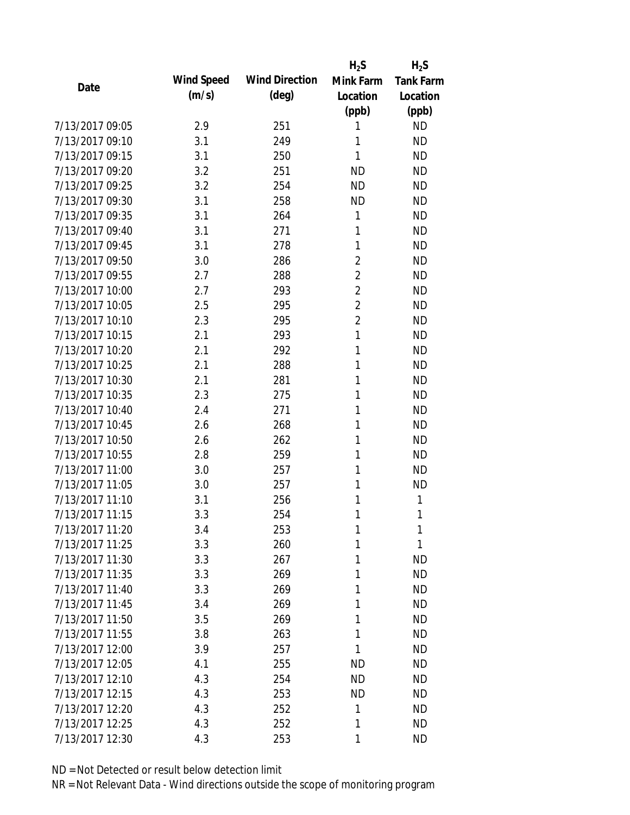|                 |            |                       | $H_2S$         | $H_2S$           |
|-----------------|------------|-----------------------|----------------|------------------|
| Date            | Wind Speed | <b>Wind Direction</b> | Mink Farm      | <b>Tank Farm</b> |
|                 | (m/s)      | $(\text{deg})$        | Location       | Location         |
|                 |            |                       | (ppb)          | (ppb)            |
| 7/13/2017 09:05 | 2.9        | 251                   | 1              | <b>ND</b>        |
| 7/13/2017 09:10 | 3.1        | 249                   | 1              | <b>ND</b>        |
| 7/13/2017 09:15 | 3.1        | 250                   | 1              | <b>ND</b>        |
| 7/13/2017 09:20 | 3.2        | 251                   | <b>ND</b>      | <b>ND</b>        |
| 7/13/2017 09:25 | 3.2        | 254                   | <b>ND</b>      | <b>ND</b>        |
| 7/13/2017 09:30 | 3.1        | 258                   | <b>ND</b>      | <b>ND</b>        |
| 7/13/2017 09:35 | 3.1        | 264                   | 1              | <b>ND</b>        |
| 7/13/2017 09:40 | 3.1        | 271                   | 1              | <b>ND</b>        |
| 7/13/2017 09:45 | 3.1        | 278                   | 1              | <b>ND</b>        |
| 7/13/2017 09:50 | 3.0        | 286                   | $\overline{2}$ | <b>ND</b>        |
| 7/13/2017 09:55 | 2.7        | 288                   | $\overline{2}$ | <b>ND</b>        |
| 7/13/2017 10:00 | 2.7        | 293                   | $\overline{2}$ | <b>ND</b>        |
| 7/13/2017 10:05 | 2.5        | 295                   | $\overline{2}$ | <b>ND</b>        |
| 7/13/2017 10:10 | 2.3        | 295                   | $\overline{2}$ | <b>ND</b>        |
| 7/13/2017 10:15 | 2.1        | 293                   | 1              | <b>ND</b>        |
| 7/13/2017 10:20 | 2.1        | 292                   | 1              | <b>ND</b>        |
| 7/13/2017 10:25 | 2.1        | 288                   | 1              | <b>ND</b>        |
| 7/13/2017 10:30 | 2.1        | 281                   | 1              | <b>ND</b>        |
| 7/13/2017 10:35 | 2.3        | 275                   | 1              | <b>ND</b>        |
| 7/13/2017 10:40 | 2.4        | 271                   | 1              | <b>ND</b>        |
| 7/13/2017 10:45 | 2.6        | 268                   | 1              | <b>ND</b>        |
| 7/13/2017 10:50 | 2.6        | 262                   | 1              | <b>ND</b>        |
| 7/13/2017 10:55 | 2.8        | 259                   | 1              | <b>ND</b>        |
| 7/13/2017 11:00 | 3.0        | 257                   | 1              | <b>ND</b>        |
| 7/13/2017 11:05 | 3.0        | 257                   | 1              | <b>ND</b>        |
| 7/13/2017 11:10 | 3.1        | 256                   | 1              | 1                |
| 7/13/2017 11:15 | 3.3        | 254                   | 1              | 1                |
| 7/13/2017 11:20 | 3.4        | 253                   | 1              | 1                |
| 7/13/2017 11:25 | 3.3        | 260                   | 1              | 1                |
| 7/13/2017 11:30 | 3.3        | 267                   | 1              | <b>ND</b>        |
| 7/13/2017 11:35 | 3.3        | 269                   | 1              | <b>ND</b>        |
| 7/13/2017 11:40 | 3.3        | 269                   | 1              | <b>ND</b>        |
| 7/13/2017 11:45 | 3.4        | 269                   | 1              | <b>ND</b>        |
| 7/13/2017 11:50 | 3.5        | 269                   | 1              | <b>ND</b>        |
| 7/13/2017 11:55 | 3.8        | 263                   | 1              | <b>ND</b>        |
| 7/13/2017 12:00 | 3.9        | 257                   | 1              | <b>ND</b>        |
| 7/13/2017 12:05 | 4.1        | 255                   | ND             | <b>ND</b>        |
| 7/13/2017 12:10 | 4.3        | 254                   | <b>ND</b>      | <b>ND</b>        |
| 7/13/2017 12:15 | 4.3        | 253                   | <b>ND</b>      | <b>ND</b>        |
| 7/13/2017 12:20 | 4.3        | 252                   | 1              | <b>ND</b>        |
| 7/13/2017 12:25 | 4.3        | 252                   | 1              | <b>ND</b>        |
| 7/13/2017 12:30 | 4.3        | 253                   | 1              | <b>ND</b>        |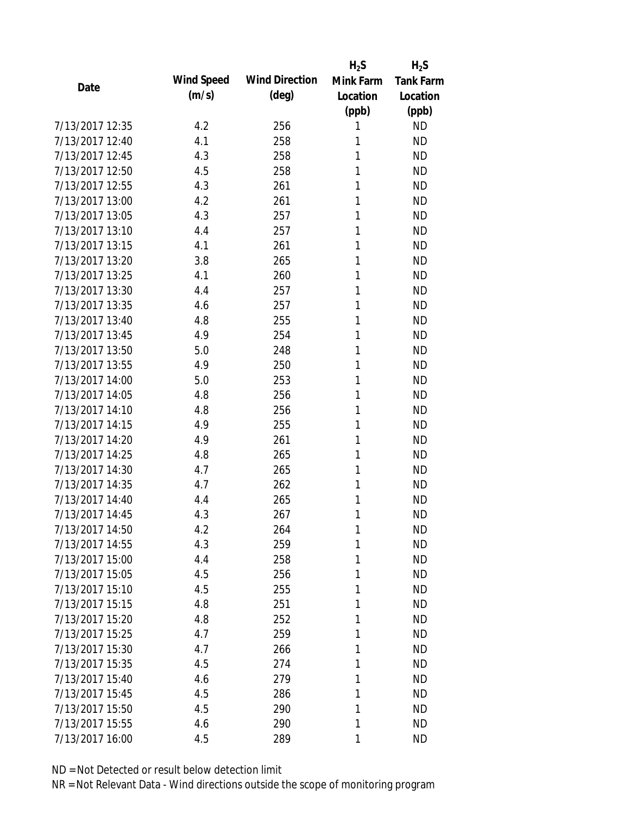|                 |            |                       | $H_2S$    | $H_2S$           |
|-----------------|------------|-----------------------|-----------|------------------|
| Date            | Wind Speed | <b>Wind Direction</b> | Mink Farm | <b>Tank Farm</b> |
|                 | (m/s)      | $(\text{deg})$        | Location  | Location         |
|                 |            |                       | (ppb)     | (ppb)            |
| 7/13/2017 12:35 | 4.2        | 256                   | 1         | <b>ND</b>        |
| 7/13/2017 12:40 | 4.1        | 258                   | 1         | <b>ND</b>        |
| 7/13/2017 12:45 | 4.3        | 258                   | 1         | <b>ND</b>        |
| 7/13/2017 12:50 | 4.5        | 258                   | 1         | <b>ND</b>        |
| 7/13/2017 12:55 | 4.3        | 261                   | 1         | <b>ND</b>        |
| 7/13/2017 13:00 | 4.2        | 261                   | 1         | <b>ND</b>        |
| 7/13/2017 13:05 | 4.3        | 257                   | 1         | <b>ND</b>        |
| 7/13/2017 13:10 | 4.4        | 257                   | 1         | <b>ND</b>        |
| 7/13/2017 13:15 | 4.1        | 261                   | 1         | <b>ND</b>        |
| 7/13/2017 13:20 | 3.8        | 265                   | 1         | <b>ND</b>        |
| 7/13/2017 13:25 | 4.1        | 260                   | 1         | <b>ND</b>        |
| 7/13/2017 13:30 | 4.4        | 257                   | 1         | <b>ND</b>        |
| 7/13/2017 13:35 | 4.6        | 257                   | 1         | <b>ND</b>        |
| 7/13/2017 13:40 | 4.8        | 255                   | 1         | <b>ND</b>        |
| 7/13/2017 13:45 | 4.9        | 254                   | 1         | <b>ND</b>        |
| 7/13/2017 13:50 | 5.0        | 248                   | 1         | <b>ND</b>        |
| 7/13/2017 13:55 | 4.9        | 250                   | 1         | <b>ND</b>        |
| 7/13/2017 14:00 | 5.0        | 253                   | 1         | <b>ND</b>        |
| 7/13/2017 14:05 | 4.8        | 256                   | 1         | <b>ND</b>        |
| 7/13/2017 14:10 | 4.8        | 256                   | 1         | <b>ND</b>        |
| 7/13/2017 14:15 | 4.9        | 255                   | 1         | <b>ND</b>        |
| 7/13/2017 14:20 | 4.9        | 261                   | 1         | <b>ND</b>        |
| 7/13/2017 14:25 | 4.8        | 265                   | 1         | <b>ND</b>        |
| 7/13/2017 14:30 | 4.7        | 265                   | 1         | <b>ND</b>        |
| 7/13/2017 14:35 | 4.7        | 262                   | 1         | <b>ND</b>        |
| 7/13/2017 14:40 | 4.4        | 265                   | 1         | <b>ND</b>        |
| 7/13/2017 14:45 | 4.3        | 267                   | 1         | <b>ND</b>        |
| 7/13/2017 14:50 | 4.2        | 264                   | 1         | <b>ND</b>        |
| 7/13/2017 14:55 | 4.3        | 259                   | 1         | <b>ND</b>        |
| 7/13/2017 15:00 | 4.4        | 258                   | 1         | <b>ND</b>        |
| 7/13/2017 15:05 | 4.5        | 256                   | 1         | <b>ND</b>        |
| 7/13/2017 15:10 | 4.5        | 255                   | 1         | <b>ND</b>        |
| 7/13/2017 15:15 | 4.8        | 251                   | 1         | <b>ND</b>        |
| 7/13/2017 15:20 | 4.8        | 252                   | 1         | <b>ND</b>        |
| 7/13/2017 15:25 | 4.7        | 259                   | 1         | <b>ND</b>        |
| 7/13/2017 15:30 | 4.7        | 266                   | 1         | <b>ND</b>        |
| 7/13/2017 15:35 | 4.5        | 274                   | 1         | <b>ND</b>        |
| 7/13/2017 15:40 | 4.6        | 279                   | 1         | <b>ND</b>        |
| 7/13/2017 15:45 | 4.5        | 286                   | 1         | <b>ND</b>        |
| 7/13/2017 15:50 | 4.5        | 290                   | 1         | <b>ND</b>        |
| 7/13/2017 15:55 | 4.6        | 290                   | 1         | <b>ND</b>        |
| 7/13/2017 16:00 | 4.5        | 289                   | 1         | <b>ND</b>        |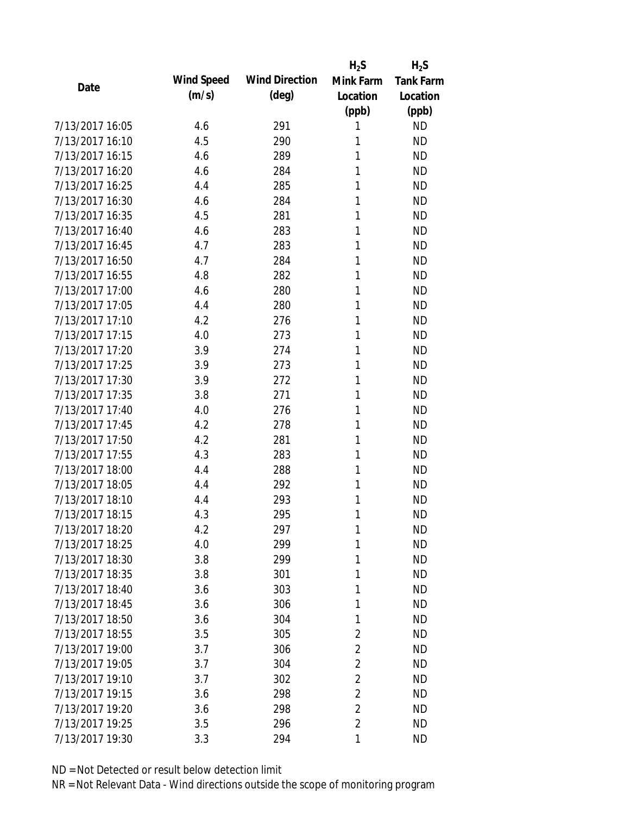|                 |            |                       | $H_2S$         | $H_2S$           |
|-----------------|------------|-----------------------|----------------|------------------|
| Date            | Wind Speed | <b>Wind Direction</b> | Mink Farm      | <b>Tank Farm</b> |
|                 | (m/s)      | $(\text{deg})$        | Location       | Location         |
|                 |            |                       | (ppb)          | (ppb)            |
| 7/13/2017 16:05 | 4.6        | 291                   | 1              | <b>ND</b>        |
| 7/13/2017 16:10 | 4.5        | 290                   | 1              | <b>ND</b>        |
| 7/13/2017 16:15 | 4.6        | 289                   | 1              | <b>ND</b>        |
| 7/13/2017 16:20 | 4.6        | 284                   | 1              | <b>ND</b>        |
| 7/13/2017 16:25 | 4.4        | 285                   | 1              | <b>ND</b>        |
| 7/13/2017 16:30 | 4.6        | 284                   | 1              | <b>ND</b>        |
| 7/13/2017 16:35 | 4.5        | 281                   | 1              | <b>ND</b>        |
| 7/13/2017 16:40 | 4.6        | 283                   | 1              | <b>ND</b>        |
| 7/13/2017 16:45 | 4.7        | 283                   | 1              | <b>ND</b>        |
| 7/13/2017 16:50 | 4.7        | 284                   | 1              | <b>ND</b>        |
| 7/13/2017 16:55 | 4.8        | 282                   | 1              | <b>ND</b>        |
| 7/13/2017 17:00 | 4.6        | 280                   | 1              | <b>ND</b>        |
| 7/13/2017 17:05 | 4.4        | 280                   | 1              | <b>ND</b>        |
| 7/13/2017 17:10 | 4.2        | 276                   | 1              | <b>ND</b>        |
| 7/13/2017 17:15 | 4.0        | 273                   | 1              | <b>ND</b>        |
| 7/13/2017 17:20 | 3.9        | 274                   | 1              | <b>ND</b>        |
| 7/13/2017 17:25 | 3.9        | 273                   | 1              | <b>ND</b>        |
| 7/13/2017 17:30 | 3.9        | 272                   | 1              | <b>ND</b>        |
| 7/13/2017 17:35 | 3.8        | 271                   | 1              | <b>ND</b>        |
| 7/13/2017 17:40 | 4.0        | 276                   | 1              | <b>ND</b>        |
| 7/13/2017 17:45 | 4.2        | 278                   | 1              | <b>ND</b>        |
| 7/13/2017 17:50 | 4.2        | 281                   | 1              | <b>ND</b>        |
| 7/13/2017 17:55 | 4.3        | 283                   | 1              | <b>ND</b>        |
| 7/13/2017 18:00 | 4.4        | 288                   | 1              | <b>ND</b>        |
| 7/13/2017 18:05 | 4.4        | 292                   | 1              | <b>ND</b>        |
| 7/13/2017 18:10 | 4.4        | 293                   | 1              | <b>ND</b>        |
| 7/13/2017 18:15 | 4.3        | 295                   | 1              | <b>ND</b>        |
| 7/13/2017 18:20 | 4.2        | 297                   | 1              | <b>ND</b>        |
| 7/13/2017 18:25 | 4.0        | 299                   | 1              | <b>ND</b>        |
| 7/13/2017 18:30 | 3.8        | 299                   | 1              | <b>ND</b>        |
| 7/13/2017 18:35 | 3.8        | 301                   | 1              | <b>ND</b>        |
| 7/13/2017 18:40 | 3.6        | 303                   | 1              | <b>ND</b>        |
| 7/13/2017 18:45 | 3.6        | 306                   | 1              | <b>ND</b>        |
| 7/13/2017 18:50 | 3.6        | 304                   | 1              | <b>ND</b>        |
| 7/13/2017 18:55 | 3.5        | 305                   | 2              | <b>ND</b>        |
| 7/13/2017 19:00 | 3.7        | 306                   | $\overline{2}$ | <b>ND</b>        |
| 7/13/2017 19:05 | 3.7        | 304                   | $\overline{2}$ | <b>ND</b>        |
| 7/13/2017 19:10 | 3.7        | 302                   | $\overline{2}$ | <b>ND</b>        |
| 7/13/2017 19:15 | 3.6        | 298                   | $\overline{2}$ | <b>ND</b>        |
| 7/13/2017 19:20 | 3.6        | 298                   | $\overline{2}$ | <b>ND</b>        |
| 7/13/2017 19:25 | 3.5        | 296                   | $\overline{2}$ | <b>ND</b>        |
| 7/13/2017 19:30 | 3.3        | 294                   | 1              | <b>ND</b>        |
|                 |            |                       |                |                  |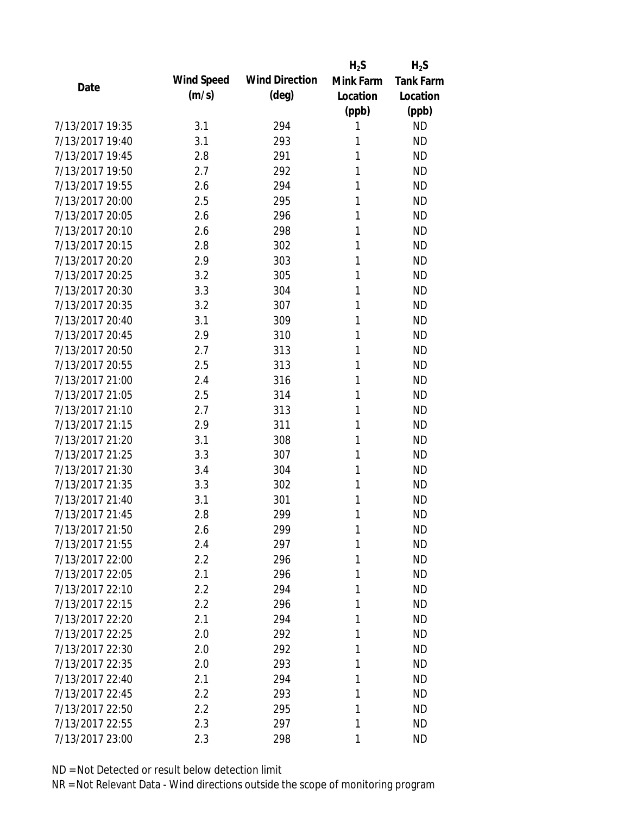|                 |            |                       | $H_2S$    | $H_2S$           |
|-----------------|------------|-----------------------|-----------|------------------|
| Date            | Wind Speed | <b>Wind Direction</b> | Mink Farm | <b>Tank Farm</b> |
|                 | (m/s)      | $(\text{deg})$        | Location  | Location         |
|                 |            |                       | (ppb)     | (ppb)            |
| 7/13/2017 19:35 | 3.1        | 294                   | 1         | <b>ND</b>        |
| 7/13/2017 19:40 | 3.1        | 293                   | 1         | <b>ND</b>        |
| 7/13/2017 19:45 | 2.8        | 291                   | 1         | <b>ND</b>        |
| 7/13/2017 19:50 | 2.7        | 292                   | 1         | <b>ND</b>        |
| 7/13/2017 19:55 | 2.6        | 294                   | 1         | <b>ND</b>        |
| 7/13/2017 20:00 | 2.5        | 295                   | 1         | <b>ND</b>        |
| 7/13/2017 20:05 | 2.6        | 296                   | 1         | <b>ND</b>        |
| 7/13/2017 20:10 | 2.6        | 298                   | 1         | <b>ND</b>        |
| 7/13/2017 20:15 | 2.8        | 302                   | 1         | <b>ND</b>        |
| 7/13/2017 20:20 | 2.9        | 303                   | 1         | <b>ND</b>        |
| 7/13/2017 20:25 | 3.2        | 305                   | 1         | <b>ND</b>        |
| 7/13/2017 20:30 | 3.3        | 304                   | 1         | <b>ND</b>        |
| 7/13/2017 20:35 | 3.2        | 307                   | 1         | <b>ND</b>        |
| 7/13/2017 20:40 | 3.1        | 309                   | 1         | <b>ND</b>        |
| 7/13/2017 20:45 | 2.9        | 310                   | 1         | <b>ND</b>        |
| 7/13/2017 20:50 | 2.7        | 313                   | 1         | <b>ND</b>        |
| 7/13/2017 20:55 | 2.5        | 313                   | 1         | <b>ND</b>        |
| 7/13/2017 21:00 | 2.4        | 316                   | 1         | <b>ND</b>        |
| 7/13/2017 21:05 | 2.5        | 314                   | 1         | <b>ND</b>        |
| 7/13/2017 21:10 | 2.7        | 313                   | 1         | <b>ND</b>        |
| 7/13/2017 21:15 | 2.9        | 311                   | 1         | <b>ND</b>        |
| 7/13/2017 21:20 | 3.1        | 308                   | 1         | <b>ND</b>        |
| 7/13/2017 21:25 | 3.3        | 307                   | 1         | <b>ND</b>        |
| 7/13/2017 21:30 | 3.4        | 304                   | 1         | <b>ND</b>        |
| 7/13/2017 21:35 | 3.3        | 302                   | 1         | <b>ND</b>        |
| 7/13/2017 21:40 | 3.1        | 301                   | 1         | <b>ND</b>        |
| 7/13/2017 21:45 | 2.8        | 299                   | 1         | <b>ND</b>        |
| 7/13/2017 21:50 | 2.6        | 299                   | 1         | <b>ND</b>        |
| 7/13/2017 21:55 | 2.4        | 297                   | 1         | <b>ND</b>        |
| 7/13/2017 22:00 | 2.2        | 296                   | 1         | <b>ND</b>        |
| 7/13/2017 22:05 | 2.1        | 296                   | 1         | <b>ND</b>        |
| 7/13/2017 22:10 | 2.2        | 294                   | 1         | <b>ND</b>        |
| 7/13/2017 22:15 | 2.2        | 296                   | 1         | <b>ND</b>        |
| 7/13/2017 22:20 | 2.1        | 294                   | 1         | <b>ND</b>        |
| 7/13/2017 22:25 | 2.0        | 292                   | 1         | <b>ND</b>        |
| 7/13/2017 22:30 | 2.0        | 292                   | 1         | <b>ND</b>        |
| 7/13/2017 22:35 | 2.0        | 293                   | 1         | <b>ND</b>        |
| 7/13/2017 22:40 | 2.1        | 294                   | 1         | <b>ND</b>        |
| 7/13/2017 22:45 | 2.2        | 293                   | 1         | <b>ND</b>        |
| 7/13/2017 22:50 | 2.2        | 295                   | 1         | ND               |
| 7/13/2017 22:55 | 2.3        | 297                   | 1         | <b>ND</b>        |
| 7/13/2017 23:00 | 2.3        | 298                   | 1         | <b>ND</b>        |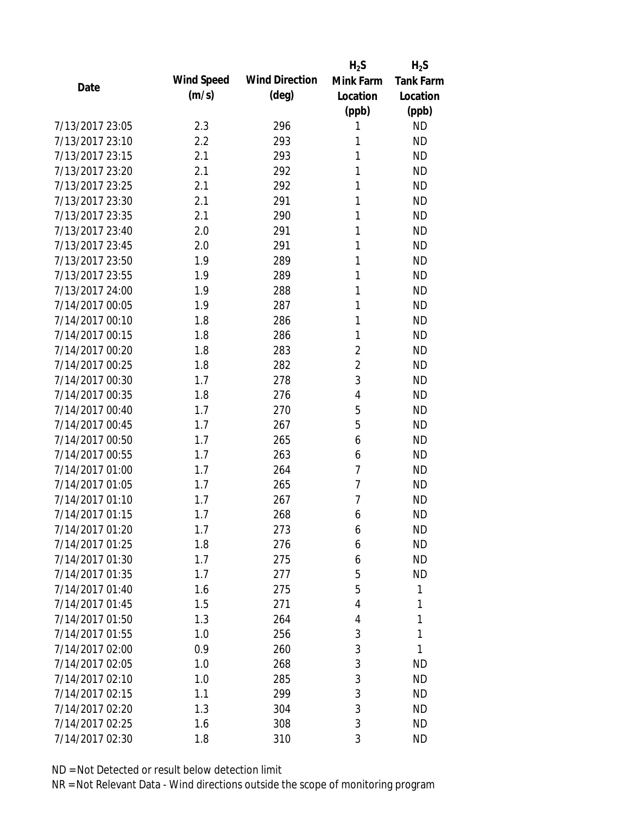|                 |            |                       | $H_2S$         | $H_2S$           |
|-----------------|------------|-----------------------|----------------|------------------|
| Date            | Wind Speed | <b>Wind Direction</b> | Mink Farm      | <b>Tank Farm</b> |
|                 | (m/s)      | $(\text{deg})$        | Location       | Location         |
|                 |            |                       | (ppb)          | (ppb)            |
| 7/13/2017 23:05 | 2.3        | 296                   | 1              | <b>ND</b>        |
| 7/13/2017 23:10 | 2.2        | 293                   | 1              | <b>ND</b>        |
| 7/13/2017 23:15 | 2.1        | 293                   | 1              | <b>ND</b>        |
| 7/13/2017 23:20 | 2.1        | 292                   | 1              | <b>ND</b>        |
| 7/13/2017 23:25 | 2.1        | 292                   | 1              | <b>ND</b>        |
| 7/13/2017 23:30 | 2.1        | 291                   | 1              | <b>ND</b>        |
| 7/13/2017 23:35 | 2.1        | 290                   | 1              | <b>ND</b>        |
| 7/13/2017 23:40 | 2.0        | 291                   | 1              | <b>ND</b>        |
| 7/13/2017 23:45 | 2.0        | 291                   | 1              | <b>ND</b>        |
| 7/13/2017 23:50 | 1.9        | 289                   | 1              | <b>ND</b>        |
| 7/13/2017 23:55 | 1.9        | 289                   | 1              | <b>ND</b>        |
| 7/13/2017 24:00 | 1.9        | 288                   | 1              | <b>ND</b>        |
| 7/14/2017 00:05 | 1.9        | 287                   | 1              | <b>ND</b>        |
| 7/14/2017 00:10 | 1.8        | 286                   | 1              | <b>ND</b>        |
| 7/14/2017 00:15 | 1.8        | 286                   | 1              | <b>ND</b>        |
| 7/14/2017 00:20 | 1.8        | 283                   | $\overline{2}$ | <b>ND</b>        |
| 7/14/2017 00:25 | 1.8        | 282                   | $\overline{2}$ | <b>ND</b>        |
| 7/14/2017 00:30 | 1.7        | 278                   | 3              | <b>ND</b>        |
| 7/14/2017 00:35 | 1.8        | 276                   | 4              | <b>ND</b>        |
| 7/14/2017 00:40 | 1.7        | 270                   | 5              | <b>ND</b>        |
| 7/14/2017 00:45 | 1.7        | 267                   | 5              | <b>ND</b>        |
| 7/14/2017 00:50 | 1.7        | 265                   | 6              | <b>ND</b>        |
| 7/14/2017 00:55 | 1.7        | 263                   | 6              | <b>ND</b>        |
| 7/14/2017 01:00 | 1.7        | 264                   | 7              | <b>ND</b>        |
| 7/14/2017 01:05 | 1.7        | 265                   | 7              | <b>ND</b>        |
| 7/14/2017 01:10 | 1.7        | 267                   | 7              | <b>ND</b>        |
| 7/14/2017 01:15 | 1.7        | 268                   | 6              | <b>ND</b>        |
| 7/14/2017 01:20 | 1.7        | 273                   | 6              | <b>ND</b>        |
| 7/14/2017 01:25 | 1.8        | 276                   | 6              | <b>ND</b>        |
| 7/14/2017 01:30 | 1.7        | 275                   | 6              | <b>ND</b>        |
| 7/14/2017 01:35 | 1.7        | 277                   | 5              | <b>ND</b>        |
| 7/14/2017 01:40 | 1.6        | 275                   | 5              | 1                |
| 7/14/2017 01:45 | 1.5        | 271                   | 4              | 1                |
| 7/14/2017 01:50 | 1.3        | 264                   | 4              | 1                |
| 7/14/2017 01:55 | 1.0        | 256                   | 3              | 1                |
| 7/14/2017 02:00 | 0.9        | 260                   | 3              | 1                |
| 7/14/2017 02:05 | 1.0        | 268                   | 3              | <b>ND</b>        |
| 7/14/2017 02:10 | 1.0        | 285                   | 3              | <b>ND</b>        |
| 7/14/2017 02:15 | 1.1        | 299                   | 3              | <b>ND</b>        |
| 7/14/2017 02:20 | 1.3        | 304                   | 3              | <b>ND</b>        |
| 7/14/2017 02:25 | 1.6        | 308                   | 3              | <b>ND</b>        |
| 7/14/2017 02:30 | 1.8        | 310                   | 3              | <b>ND</b>        |
|                 |            |                       |                |                  |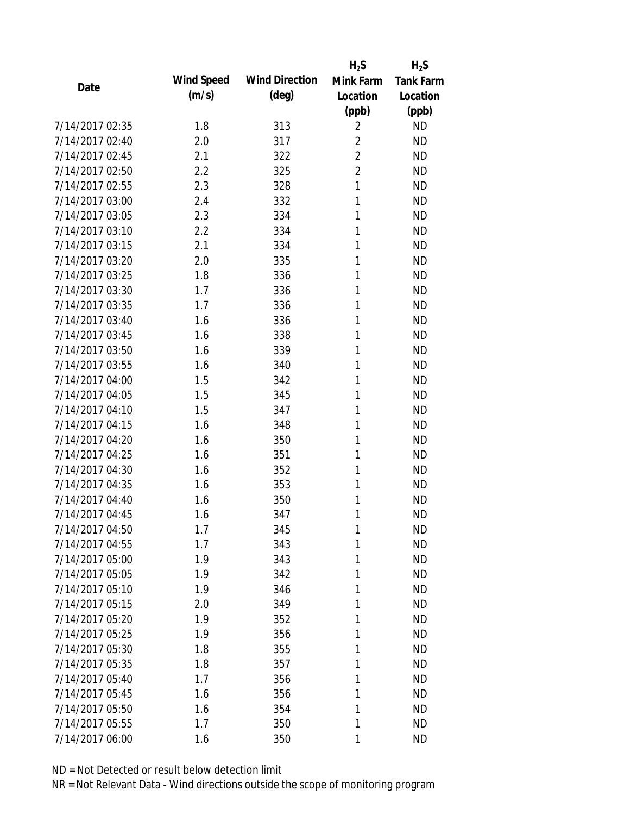|                 |            |                       | $H_2S$         | $H_2S$           |
|-----------------|------------|-----------------------|----------------|------------------|
| Date            | Wind Speed | <b>Wind Direction</b> | Mink Farm      | <b>Tank Farm</b> |
|                 | (m/s)      | $(\text{deg})$        | Location       | Location         |
|                 |            |                       | (ppb)          | (ppb)            |
| 7/14/2017 02:35 | 1.8        | 313                   | $\overline{2}$ | <b>ND</b>        |
| 7/14/2017 02:40 | 2.0        | 317                   | $\overline{2}$ | <b>ND</b>        |
| 7/14/2017 02:45 | 2.1        | 322                   | $\overline{2}$ | <b>ND</b>        |
| 7/14/2017 02:50 | 2.2        | 325                   | $\overline{2}$ | <b>ND</b>        |
| 7/14/2017 02:55 | 2.3        | 328                   | 1              | <b>ND</b>        |
| 7/14/2017 03:00 | 2.4        | 332                   | 1              | <b>ND</b>        |
| 7/14/2017 03:05 | 2.3        | 334                   | 1              | <b>ND</b>        |
| 7/14/2017 03:10 | 2.2        | 334                   | 1              | <b>ND</b>        |
| 7/14/2017 03:15 | 2.1        | 334                   | 1              | <b>ND</b>        |
| 7/14/2017 03:20 | 2.0        | 335                   | 1              | <b>ND</b>        |
| 7/14/2017 03:25 | 1.8        | 336                   | 1              | <b>ND</b>        |
| 7/14/2017 03:30 | 1.7        | 336                   | 1              | <b>ND</b>        |
| 7/14/2017 03:35 | 1.7        | 336                   | 1              | <b>ND</b>        |
| 7/14/2017 03:40 | 1.6        | 336                   | 1              | <b>ND</b>        |
| 7/14/2017 03:45 | 1.6        | 338                   | 1              | <b>ND</b>        |
| 7/14/2017 03:50 | 1.6        | 339                   | 1              | <b>ND</b>        |
| 7/14/2017 03:55 | 1.6        | 340                   | 1              | <b>ND</b>        |
| 7/14/2017 04:00 | 1.5        | 342                   | 1              | <b>ND</b>        |
| 7/14/2017 04:05 | 1.5        | 345                   | 1              | <b>ND</b>        |
| 7/14/2017 04:10 | 1.5        | 347                   | 1              | <b>ND</b>        |
| 7/14/2017 04:15 | 1.6        | 348                   | 1              | <b>ND</b>        |
| 7/14/2017 04:20 | 1.6        | 350                   | 1              | <b>ND</b>        |
| 7/14/2017 04:25 | 1.6        | 351                   | 1              | <b>ND</b>        |
| 7/14/2017 04:30 | 1.6        | 352                   | 1              | <b>ND</b>        |
| 7/14/2017 04:35 | 1.6        | 353                   | 1              | <b>ND</b>        |
| 7/14/2017 04:40 | 1.6        | 350                   | 1              | <b>ND</b>        |
| 7/14/2017 04:45 | 1.6        | 347                   | 1              | <b>ND</b>        |
| 7/14/2017 04:50 | 1.7        | 345                   | 1              | <b>ND</b>        |
| 7/14/2017 04:55 | 1.7        | 343                   | 1              | <b>ND</b>        |
| 7/14/2017 05:00 | 1.9        | 343                   | 1              | <b>ND</b>        |
| 7/14/2017 05:05 | 1.9        | 342                   | 1              | <b>ND</b>        |
| 7/14/2017 05:10 | 1.9        | 346                   | 1              | <b>ND</b>        |
| 7/14/2017 05:15 | 2.0        | 349                   | 1              | <b>ND</b>        |
| 7/14/2017 05:20 | 1.9        | 352                   | 1              | <b>ND</b>        |
| 7/14/2017 05:25 | 1.9        | 356                   | 1              | <b>ND</b>        |
| 7/14/2017 05:30 | 1.8        | 355                   | 1              | <b>ND</b>        |
| 7/14/2017 05:35 | 1.8        | 357                   | 1              | <b>ND</b>        |
| 7/14/2017 05:40 | 1.7        | 356                   | 1              | <b>ND</b>        |
| 7/14/2017 05:45 | 1.6        | 356                   | 1              | <b>ND</b>        |
| 7/14/2017 05:50 | 1.6        | 354                   | 1              | <b>ND</b>        |
| 7/14/2017 05:55 | 1.7        | 350                   | 1              | <b>ND</b>        |
| 7/14/2017 06:00 | 1.6        | 350                   | 1              | <b>ND</b>        |
|                 |            |                       |                |                  |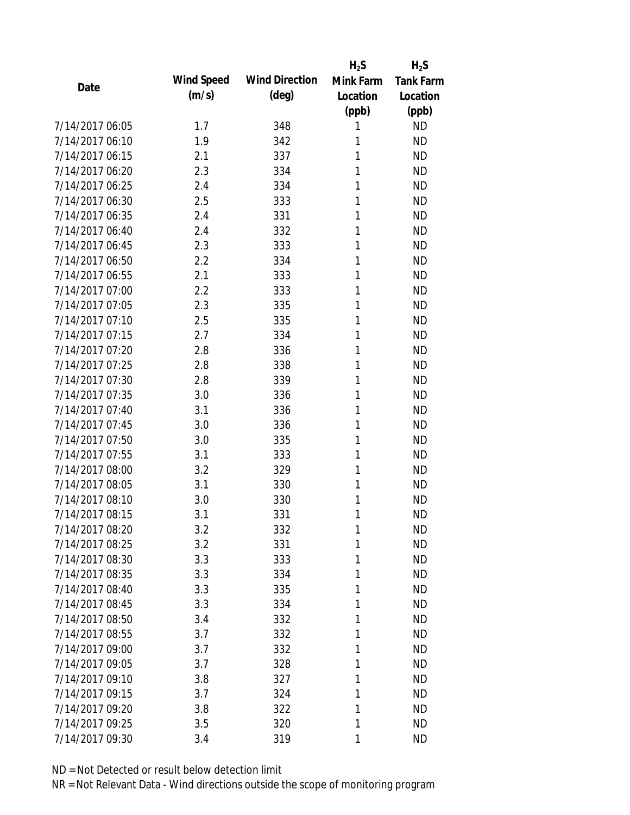|                 |            |                       | $H_2S$    | $H_2S$           |
|-----------------|------------|-----------------------|-----------|------------------|
| Date            | Wind Speed | <b>Wind Direction</b> | Mink Farm | <b>Tank Farm</b> |
|                 | (m/s)      | $(\text{deg})$        | Location  | Location         |
|                 |            |                       | (ppb)     | (ppb)            |
| 7/14/2017 06:05 | 1.7        | 348                   | 1         | <b>ND</b>        |
| 7/14/2017 06:10 | 1.9        | 342                   | 1         | <b>ND</b>        |
| 7/14/2017 06:15 | 2.1        | 337                   | 1         | <b>ND</b>        |
| 7/14/2017 06:20 | 2.3        | 334                   | 1         | <b>ND</b>        |
| 7/14/2017 06:25 | 2.4        | 334                   | 1         | <b>ND</b>        |
| 7/14/2017 06:30 | 2.5        | 333                   | 1         | <b>ND</b>        |
| 7/14/2017 06:35 | 2.4        | 331                   | 1         | <b>ND</b>        |
| 7/14/2017 06:40 | 2.4        | 332                   | 1         | <b>ND</b>        |
| 7/14/2017 06:45 | 2.3        | 333                   | 1         | <b>ND</b>        |
| 7/14/2017 06:50 | 2.2        | 334                   | 1         | <b>ND</b>        |
| 7/14/2017 06:55 | 2.1        | 333                   | 1         | <b>ND</b>        |
| 7/14/2017 07:00 | 2.2        | 333                   | 1         | <b>ND</b>        |
| 7/14/2017 07:05 | 2.3        | 335                   | 1         | <b>ND</b>        |
| 7/14/2017 07:10 | 2.5        | 335                   | 1         | <b>ND</b>        |
| 7/14/2017 07:15 | 2.7        | 334                   | 1         | <b>ND</b>        |
| 7/14/2017 07:20 | 2.8        | 336                   | 1         | <b>ND</b>        |
| 7/14/2017 07:25 | 2.8        | 338                   | 1         | <b>ND</b>        |
| 7/14/2017 07:30 | 2.8        | 339                   | 1         | <b>ND</b>        |
| 7/14/2017 07:35 | 3.0        | 336                   | 1         | <b>ND</b>        |
| 7/14/2017 07:40 | 3.1        | 336                   | 1         | <b>ND</b>        |
| 7/14/2017 07:45 | 3.0        | 336                   | 1         | <b>ND</b>        |
| 7/14/2017 07:50 | 3.0        | 335                   | 1         | <b>ND</b>        |
| 7/14/2017 07:55 | 3.1        | 333                   | 1         | <b>ND</b>        |
| 7/14/2017 08:00 | 3.2        | 329                   | 1         | <b>ND</b>        |
| 7/14/2017 08:05 | 3.1        | 330                   | 1         | <b>ND</b>        |
| 7/14/2017 08:10 | 3.0        | 330                   | 1         | <b>ND</b>        |
| 7/14/2017 08:15 | 3.1        | 331                   | 1         | <b>ND</b>        |
| 7/14/2017 08:20 | 3.2        | 332                   | 1         | <b>ND</b>        |
| 7/14/2017 08:25 | 3.2        | 331                   | 1         | <b>ND</b>        |
| 7/14/2017 08:30 | 3.3        | 333                   | 1         | <b>ND</b>        |
| 7/14/2017 08:35 | 3.3        | 334                   | 1         | <b>ND</b>        |
| 7/14/2017 08:40 | 3.3        | 335                   | 1         | <b>ND</b>        |
| 7/14/2017 08:45 | 3.3        | 334                   | 1         | <b>ND</b>        |
| 7/14/2017 08:50 | 3.4        | 332                   | 1         | <b>ND</b>        |
| 7/14/2017 08:55 | 3.7        | 332                   | 1         | <b>ND</b>        |
| 7/14/2017 09:00 | 3.7        | 332                   | 1         | <b>ND</b>        |
| 7/14/2017 09:05 | 3.7        | 328                   | 1         | <b>ND</b>        |
| 7/14/2017 09:10 | 3.8        | 327                   | 1         | <b>ND</b>        |
| 7/14/2017 09:15 | 3.7        | 324                   | 1         | <b>ND</b>        |
| 7/14/2017 09:20 | 3.8        | 322                   | 1         | <b>ND</b>        |
| 7/14/2017 09:25 | 3.5        | 320                   | 1         | <b>ND</b>        |
| 7/14/2017 09:30 | 3.4        | 319                   | 1         | <b>ND</b>        |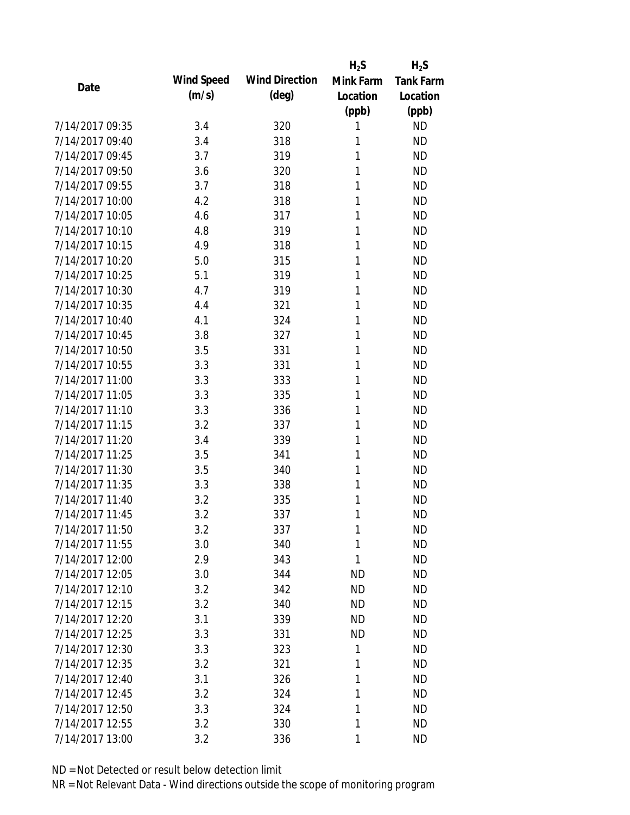|                 |            |                       | $H_2S$    | $H_2S$           |
|-----------------|------------|-----------------------|-----------|------------------|
| Date            | Wind Speed | <b>Wind Direction</b> | Mink Farm | <b>Tank Farm</b> |
|                 | (m/s)      | $(\text{deg})$        | Location  | Location         |
|                 |            |                       | (ppb)     | (ppb)            |
| 7/14/2017 09:35 | 3.4        | 320                   | 1         | <b>ND</b>        |
| 7/14/2017 09:40 | 3.4        | 318                   | 1         | <b>ND</b>        |
| 7/14/2017 09:45 | 3.7        | 319                   | 1         | <b>ND</b>        |
| 7/14/2017 09:50 | 3.6        | 320                   | 1         | <b>ND</b>        |
| 7/14/2017 09:55 | 3.7        | 318                   | 1         | <b>ND</b>        |
| 7/14/2017 10:00 | 4.2        | 318                   | 1         | <b>ND</b>        |
| 7/14/2017 10:05 | 4.6        | 317                   | 1         | <b>ND</b>        |
| 7/14/2017 10:10 | 4.8        | 319                   | 1         | <b>ND</b>        |
| 7/14/2017 10:15 | 4.9        | 318                   | 1         | <b>ND</b>        |
| 7/14/2017 10:20 | 5.0        | 315                   | 1         | <b>ND</b>        |
| 7/14/2017 10:25 | 5.1        | 319                   | 1         | <b>ND</b>        |
| 7/14/2017 10:30 | 4.7        | 319                   | 1         | <b>ND</b>        |
| 7/14/2017 10:35 | 4.4        | 321                   | 1         | <b>ND</b>        |
| 7/14/2017 10:40 | 4.1        | 324                   | 1         | <b>ND</b>        |
| 7/14/2017 10:45 | 3.8        | 327                   | 1         | <b>ND</b>        |
| 7/14/2017 10:50 | 3.5        | 331                   | 1         | <b>ND</b>        |
| 7/14/2017 10:55 | 3.3        | 331                   | 1         | <b>ND</b>        |
| 7/14/2017 11:00 | 3.3        | 333                   | 1         | <b>ND</b>        |
| 7/14/2017 11:05 | 3.3        | 335                   | 1         | <b>ND</b>        |
| 7/14/2017 11:10 | 3.3        | 336                   | 1         | <b>ND</b>        |
| 7/14/2017 11:15 | 3.2        | 337                   | 1         | <b>ND</b>        |
| 7/14/2017 11:20 | 3.4        | 339                   | 1         | <b>ND</b>        |
| 7/14/2017 11:25 | 3.5        | 341                   | 1         | <b>ND</b>        |
| 7/14/2017 11:30 | 3.5        | 340                   | 1         | <b>ND</b>        |
| 7/14/2017 11:35 | 3.3        | 338                   | 1         | <b>ND</b>        |
| 7/14/2017 11:40 | 3.2        | 335                   | 1         | <b>ND</b>        |
| 7/14/2017 11:45 | 3.2        | 337                   | 1         | <b>ND</b>        |
| 7/14/2017 11:50 | 3.2        | 337                   | 1         | <b>ND</b>        |
| 7/14/2017 11:55 | 3.0        | 340                   | 1         | <b>ND</b>        |
| 7/14/2017 12:00 | 2.9        | 343                   | 1         | <b>ND</b>        |
| 7/14/2017 12:05 | 3.0        | 344                   | ND        | <b>ND</b>        |
| 7/14/2017 12:10 | 3.2        | 342                   | <b>ND</b> | <b>ND</b>        |
| 7/14/2017 12:15 | 3.2        | 340                   | <b>ND</b> | <b>ND</b>        |
| 7/14/2017 12:20 | 3.1        | 339                   | <b>ND</b> | <b>ND</b>        |
| 7/14/2017 12:25 | 3.3        | 331                   | <b>ND</b> | <b>ND</b>        |
| 7/14/2017 12:30 | 3.3        | 323                   | 1         | <b>ND</b>        |
| 7/14/2017 12:35 | 3.2        | 321                   | 1         | <b>ND</b>        |
| 7/14/2017 12:40 | 3.1        | 326                   | 1         | <b>ND</b>        |
| 7/14/2017 12:45 | 3.2        | 324                   | 1         | <b>ND</b>        |
| 7/14/2017 12:50 | 3.3        | 324                   | 1         | <b>ND</b>        |
| 7/14/2017 12:55 | 3.2        | 330                   | 1         | <b>ND</b>        |
| 7/14/2017 13:00 | 3.2        | 336                   | 1         | <b>ND</b>        |
|                 |            |                       |           |                  |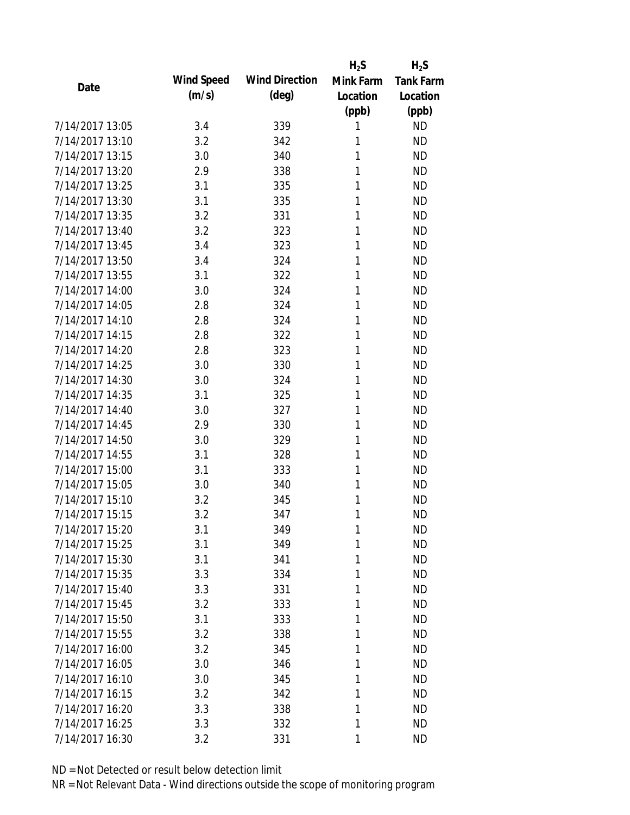|                 |            |                       | $H_2S$    | $H_2S$           |
|-----------------|------------|-----------------------|-----------|------------------|
| Date            | Wind Speed | <b>Wind Direction</b> | Mink Farm | <b>Tank Farm</b> |
|                 | (m/s)      | $(\text{deg})$        | Location  | Location         |
|                 |            |                       | (ppb)     | (ppb)            |
| 7/14/2017 13:05 | 3.4        | 339                   | 1         | <b>ND</b>        |
| 7/14/2017 13:10 | 3.2        | 342                   | 1         | <b>ND</b>        |
| 7/14/2017 13:15 | 3.0        | 340                   | 1         | <b>ND</b>        |
| 7/14/2017 13:20 | 2.9        | 338                   | 1         | <b>ND</b>        |
| 7/14/2017 13:25 | 3.1        | 335                   | 1         | <b>ND</b>        |
| 7/14/2017 13:30 | 3.1        | 335                   | 1         | <b>ND</b>        |
| 7/14/2017 13:35 | 3.2        | 331                   | 1         | <b>ND</b>        |
| 7/14/2017 13:40 | 3.2        | 323                   | 1         | <b>ND</b>        |
| 7/14/2017 13:45 | 3.4        | 323                   | 1         | <b>ND</b>        |
| 7/14/2017 13:50 | 3.4        | 324                   | 1         | <b>ND</b>        |
| 7/14/2017 13:55 | 3.1        | 322                   | 1         | <b>ND</b>        |
| 7/14/2017 14:00 | 3.0        | 324                   | 1         | <b>ND</b>        |
| 7/14/2017 14:05 | 2.8        | 324                   | 1         | <b>ND</b>        |
| 7/14/2017 14:10 | 2.8        | 324                   | 1         | <b>ND</b>        |
| 7/14/2017 14:15 | 2.8        | 322                   | 1         | <b>ND</b>        |
| 7/14/2017 14:20 | 2.8        | 323                   | 1         | <b>ND</b>        |
| 7/14/2017 14:25 | 3.0        | 330                   | 1         | <b>ND</b>        |
| 7/14/2017 14:30 | 3.0        | 324                   | 1         | <b>ND</b>        |
| 7/14/2017 14:35 | 3.1        | 325                   | 1         | <b>ND</b>        |
| 7/14/2017 14:40 | 3.0        | 327                   | 1         | <b>ND</b>        |
| 7/14/2017 14:45 | 2.9        | 330                   | 1         | <b>ND</b>        |
| 7/14/2017 14:50 | 3.0        | 329                   | 1         | <b>ND</b>        |
| 7/14/2017 14:55 | 3.1        | 328                   | 1         | <b>ND</b>        |
| 7/14/2017 15:00 | 3.1        | 333                   | 1         | <b>ND</b>        |
| 7/14/2017 15:05 | 3.0        | 340                   | 1         | <b>ND</b>        |
| 7/14/2017 15:10 | 3.2        | 345                   | 1         | <b>ND</b>        |
| 7/14/2017 15:15 | 3.2        | 347                   | 1         | <b>ND</b>        |
| 7/14/2017 15:20 | 3.1        | 349                   | 1         | <b>ND</b>        |
| 7/14/2017 15:25 | 3.1        | 349                   | 1         | <b>ND</b>        |
| 7/14/2017 15:30 | 3.1        | 341                   | 1         | <b>ND</b>        |
| 7/14/2017 15:35 | 3.3        | 334                   | 1         | <b>ND</b>        |
| 7/14/2017 15:40 | 3.3        | 331                   | 1         | <b>ND</b>        |
| 7/14/2017 15:45 | 3.2        | 333                   | 1         | <b>ND</b>        |
| 7/14/2017 15:50 | 3.1        | 333                   | 1         | <b>ND</b>        |
| 7/14/2017 15:55 | 3.2        | 338                   | 1         | <b>ND</b>        |
| 7/14/2017 16:00 | 3.2        | 345                   | 1         | <b>ND</b>        |
| 7/14/2017 16:05 | 3.0        | 346                   | 1         | <b>ND</b>        |
| 7/14/2017 16:10 | 3.0        | 345                   | 1         | <b>ND</b>        |
| 7/14/2017 16:15 | 3.2        | 342                   | 1         | <b>ND</b>        |
| 7/14/2017 16:20 | 3.3        | 338                   | 1         | <b>ND</b>        |
| 7/14/2017 16:25 | 3.3        | 332                   | 1         | <b>ND</b>        |
| 7/14/2017 16:30 | 3.2        | 331                   | 1         | <b>ND</b>        |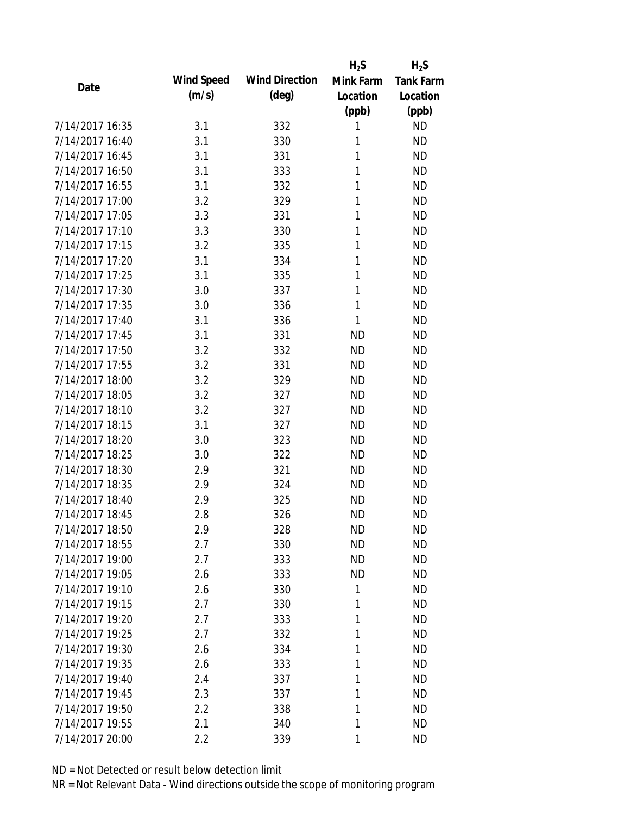|                 |            |                       | $H_2S$    | $H_2S$           |
|-----------------|------------|-----------------------|-----------|------------------|
| Date            | Wind Speed | <b>Wind Direction</b> | Mink Farm | <b>Tank Farm</b> |
|                 | (m/s)      | $(\text{deg})$        | Location  | Location         |
|                 |            |                       | (ppb)     | (ppb)            |
| 7/14/2017 16:35 | 3.1        | 332                   | 1         | <b>ND</b>        |
| 7/14/2017 16:40 | 3.1        | 330                   | 1         | <b>ND</b>        |
| 7/14/2017 16:45 | 3.1        | 331                   | 1         | <b>ND</b>        |
| 7/14/2017 16:50 | 3.1        | 333                   | 1         | <b>ND</b>        |
| 7/14/2017 16:55 | 3.1        | 332                   | 1         | <b>ND</b>        |
| 7/14/2017 17:00 | 3.2        | 329                   | 1         | <b>ND</b>        |
| 7/14/2017 17:05 | 3.3        | 331                   | 1         | <b>ND</b>        |
| 7/14/2017 17:10 | 3.3        | 330                   | 1         | <b>ND</b>        |
| 7/14/2017 17:15 | 3.2        | 335                   | 1         | <b>ND</b>        |
| 7/14/2017 17:20 | 3.1        | 334                   | 1         | <b>ND</b>        |
| 7/14/2017 17:25 | 3.1        | 335                   | 1         | <b>ND</b>        |
| 7/14/2017 17:30 | 3.0        | 337                   | 1         | <b>ND</b>        |
| 7/14/2017 17:35 | 3.0        | 336                   | 1         | <b>ND</b>        |
| 7/14/2017 17:40 | 3.1        | 336                   | 1         | <b>ND</b>        |
| 7/14/2017 17:45 | 3.1        | 331                   | <b>ND</b> | <b>ND</b>        |
| 7/14/2017 17:50 | 3.2        | 332                   | <b>ND</b> | <b>ND</b>        |
| 7/14/2017 17:55 | 3.2        | 331                   | <b>ND</b> | <b>ND</b>        |
| 7/14/2017 18:00 | 3.2        | 329                   | <b>ND</b> | <b>ND</b>        |
| 7/14/2017 18:05 | 3.2        | 327                   | <b>ND</b> | <b>ND</b>        |
| 7/14/2017 18:10 | 3.2        | 327                   | <b>ND</b> | <b>ND</b>        |
| 7/14/2017 18:15 | 3.1        | 327                   | <b>ND</b> | <b>ND</b>        |
| 7/14/2017 18:20 | 3.0        | 323                   | <b>ND</b> | <b>ND</b>        |
| 7/14/2017 18:25 | 3.0        | 322                   | <b>ND</b> | <b>ND</b>        |
| 7/14/2017 18:30 | 2.9        | 321                   | <b>ND</b> | <b>ND</b>        |
| 7/14/2017 18:35 | 2.9        | 324                   | <b>ND</b> | <b>ND</b>        |
| 7/14/2017 18:40 | 2.9        | 325                   | <b>ND</b> | <b>ND</b>        |
| 7/14/2017 18:45 | 2.8        | 326                   | <b>ND</b> | <b>ND</b>        |
| 7/14/2017 18:50 | 2.9        | 328                   | <b>ND</b> | <b>ND</b>        |
| 7/14/2017 18:55 | 2.7        | 330                   | <b>ND</b> | <b>ND</b>        |
| 7/14/2017 19:00 | 2.7        | 333                   | <b>ND</b> | <b>ND</b>        |
| 7/14/2017 19:05 | 2.6        | 333                   | <b>ND</b> | <b>ND</b>        |
| 7/14/2017 19:10 | 2.6        | 330                   | 1         | <b>ND</b>        |
| 7/14/2017 19:15 | 2.7        | 330                   | 1         | <b>ND</b>        |
| 7/14/2017 19:20 | 2.7        | 333                   | 1         | <b>ND</b>        |
| 7/14/2017 19:25 | 2.7        | 332                   | 1         | <b>ND</b>        |
| 7/14/2017 19:30 | 2.6        | 334                   | 1         | <b>ND</b>        |
| 7/14/2017 19:35 | 2.6        | 333                   | 1         | <b>ND</b>        |
| 7/14/2017 19:40 |            | 337                   | 1         | <b>ND</b>        |
| 7/14/2017 19:45 | 2.4        | 337                   | 1         | <b>ND</b>        |
| 7/14/2017 19:50 | 2.3        |                       | 1         | <b>ND</b>        |
|                 | 2.2        | 338                   |           |                  |
| 7/14/2017 19:55 | 2.1        | 340                   | 1         | <b>ND</b>        |
| 7/14/2017 20:00 | 2.2        | 339                   | 1         | <b>ND</b>        |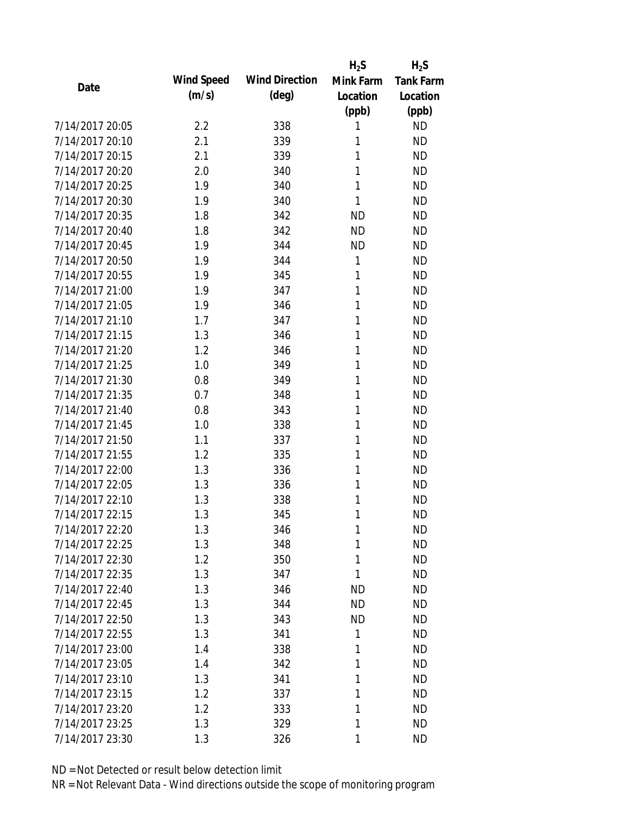|                 |            |                       | $H_2S$    | $H_2S$           |
|-----------------|------------|-----------------------|-----------|------------------|
| Date            | Wind Speed | <b>Wind Direction</b> | Mink Farm | <b>Tank Farm</b> |
|                 | (m/s)      | $(\text{deg})$        | Location  | Location         |
|                 |            |                       | (ppb)     | (ppb)            |
| 7/14/2017 20:05 | 2.2        | 338                   | 1         | <b>ND</b>        |
| 7/14/2017 20:10 | 2.1        | 339                   | 1         | <b>ND</b>        |
| 7/14/2017 20:15 | 2.1        | 339                   | 1         | <b>ND</b>        |
| 7/14/2017 20:20 | 2.0        | 340                   | 1         | <b>ND</b>        |
| 7/14/2017 20:25 | 1.9        | 340                   | 1         | <b>ND</b>        |
| 7/14/2017 20:30 | 1.9        | 340                   | 1         | <b>ND</b>        |
| 7/14/2017 20:35 | 1.8        | 342                   | <b>ND</b> | <b>ND</b>        |
| 7/14/2017 20:40 | 1.8        | 342                   | <b>ND</b> | <b>ND</b>        |
| 7/14/2017 20:45 | 1.9        | 344                   | <b>ND</b> | <b>ND</b>        |
| 7/14/2017 20:50 | 1.9        | 344                   | 1         | <b>ND</b>        |
| 7/14/2017 20:55 | 1.9        | 345                   | 1         | <b>ND</b>        |
| 7/14/2017 21:00 | 1.9        | 347                   | 1         | <b>ND</b>        |
| 7/14/2017 21:05 | 1.9        | 346                   | 1         | <b>ND</b>        |
| 7/14/2017 21:10 | 1.7        | 347                   | 1         | <b>ND</b>        |
| 7/14/2017 21:15 | 1.3        | 346                   | 1         | <b>ND</b>        |
| 7/14/2017 21:20 | 1.2        | 346                   | 1         | <b>ND</b>        |
| 7/14/2017 21:25 | 1.0        | 349                   | 1         | <b>ND</b>        |
| 7/14/2017 21:30 | 0.8        | 349                   | 1         | <b>ND</b>        |
| 7/14/2017 21:35 | 0.7        | 348                   | 1         | <b>ND</b>        |
| 7/14/2017 21:40 | 0.8        | 343                   | 1         | <b>ND</b>        |
| 7/14/2017 21:45 | 1.0        | 338                   | 1         | <b>ND</b>        |
| 7/14/2017 21:50 | 1.1        | 337                   | 1         | <b>ND</b>        |
| 7/14/2017 21:55 | 1.2        | 335                   | 1         | <b>ND</b>        |
| 7/14/2017 22:00 | 1.3        | 336                   | 1         | <b>ND</b>        |
| 7/14/2017 22:05 | 1.3        | 336                   | 1         | <b>ND</b>        |
| 7/14/2017 22:10 | 1.3        | 338                   | 1         | <b>ND</b>        |
| 7/14/2017 22:15 | 1.3        | 345                   | 1         | <b>ND</b>        |
| 7/14/2017 22:20 | 1.3        | 346                   | 1         | <b>ND</b>        |
| 7/14/2017 22:25 | 1.3        | 348                   | 1         | <b>ND</b>        |
| 7/14/2017 22:30 | 1.2        | 350                   | 1         | <b>ND</b>        |
| 7/14/2017 22:35 | 1.3        | 347                   | 1         | <b>ND</b>        |
| 7/14/2017 22:40 | 1.3        | 346                   | <b>ND</b> | <b>ND</b>        |
| 7/14/2017 22:45 | 1.3        | 344                   | <b>ND</b> | <b>ND</b>        |
| 7/14/2017 22:50 | 1.3        | 343                   | <b>ND</b> | <b>ND</b>        |
| 7/14/2017 22:55 | 1.3        | 341                   | 1         | <b>ND</b>        |
| 7/14/2017 23:00 | 1.4        | 338                   | 1         | <b>ND</b>        |
| 7/14/2017 23:05 | 1.4        | 342                   | 1         | <b>ND</b>        |
| 7/14/2017 23:10 | 1.3        | 341                   | 1         | <b>ND</b>        |
| 7/14/2017 23:15 | 1.2        | 337                   | 1         | <b>ND</b>        |
| 7/14/2017 23:20 | 1.2        | 333                   | 1         | <b>ND</b>        |
| 7/14/2017 23:25 | 1.3        | 329                   | 1         | <b>ND</b>        |
| 7/14/2017 23:30 | 1.3        | 326                   | 1         | <b>ND</b>        |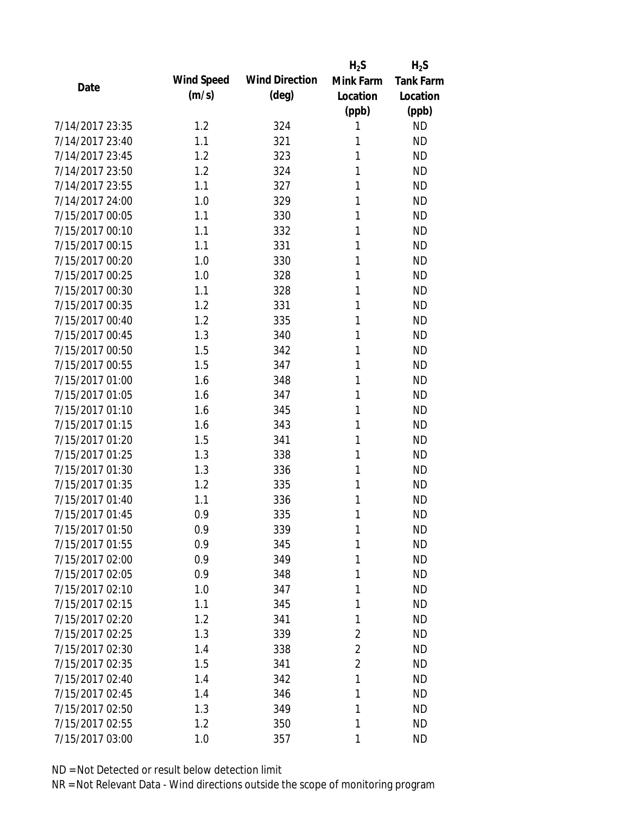|                 |            |                       | $H_2S$         | $H_2S$           |
|-----------------|------------|-----------------------|----------------|------------------|
| Date            | Wind Speed | <b>Wind Direction</b> | Mink Farm      | <b>Tank Farm</b> |
|                 | (m/s)      | $(\text{deg})$        | Location       | Location         |
|                 |            |                       | (ppb)          | (ppb)            |
| 7/14/2017 23:35 | 1.2        | 324                   | 1              | <b>ND</b>        |
| 7/14/2017 23:40 | 1.1        | 321                   | 1              | <b>ND</b>        |
| 7/14/2017 23:45 | 1.2        | 323                   | 1              | <b>ND</b>        |
| 7/14/2017 23:50 | 1.2        | 324                   | 1              | <b>ND</b>        |
| 7/14/2017 23:55 | 1.1        | 327                   | 1              | <b>ND</b>        |
| 7/14/2017 24:00 | 1.0        | 329                   | 1              | <b>ND</b>        |
| 7/15/2017 00:05 | 1.1        | 330                   | 1              | <b>ND</b>        |
| 7/15/2017 00:10 | 1.1        | 332                   | 1              | <b>ND</b>        |
| 7/15/2017 00:15 | 1.1        | 331                   | 1              | <b>ND</b>        |
| 7/15/2017 00:20 | 1.0        | 330                   | 1              | <b>ND</b>        |
| 7/15/2017 00:25 | 1.0        | 328                   | 1              | <b>ND</b>        |
| 7/15/2017 00:30 | 1.1        | 328                   | 1              | <b>ND</b>        |
| 7/15/2017 00:35 | 1.2        | 331                   | 1              | <b>ND</b>        |
| 7/15/2017 00:40 | 1.2        | 335                   | 1              | <b>ND</b>        |
| 7/15/2017 00:45 | 1.3        | 340                   | 1              | <b>ND</b>        |
| 7/15/2017 00:50 | 1.5        | 342                   | 1              | <b>ND</b>        |
| 7/15/2017 00:55 | 1.5        | 347                   | 1              | <b>ND</b>        |
| 7/15/2017 01:00 | 1.6        | 348                   | 1              | <b>ND</b>        |
| 7/15/2017 01:05 | 1.6        | 347                   | 1              | <b>ND</b>        |
| 7/15/2017 01:10 | 1.6        | 345                   | 1              | <b>ND</b>        |
| 7/15/2017 01:15 | 1.6        | 343                   | 1              | <b>ND</b>        |
| 7/15/2017 01:20 | 1.5        | 341                   | 1              | <b>ND</b>        |
| 7/15/2017 01:25 | 1.3        | 338                   | 1              | <b>ND</b>        |
| 7/15/2017 01:30 | 1.3        | 336                   | 1              | <b>ND</b>        |
| 7/15/2017 01:35 | 1.2        | 335                   | 1              | <b>ND</b>        |
| 7/15/2017 01:40 | 1.1        | 336                   | 1              | <b>ND</b>        |
| 7/15/2017 01:45 | 0.9        | 335                   | 1              | <b>ND</b>        |
| 7/15/2017 01:50 | 0.9        | 339                   | 1              | <b>ND</b>        |
| 7/15/2017 01:55 | 0.9        | 345                   | 1              | <b>ND</b>        |
| 7/15/2017 02:00 | 0.9        | 349                   | 1              | <b>ND</b>        |
| 7/15/2017 02:05 | 0.9        | 348                   | 1              | <b>ND</b>        |
| 7/15/2017 02:10 | 1.0        | 347                   | 1              | <b>ND</b>        |
| 7/15/2017 02:15 | 1.1        | 345                   | 1              | <b>ND</b>        |
| 7/15/2017 02:20 | 1.2        | 341                   | 1              | <b>ND</b>        |
| 7/15/2017 02:25 | 1.3        | 339                   | $\overline{2}$ | <b>ND</b>        |
| 7/15/2017 02:30 | 1.4        | 338                   | $\overline{2}$ | <b>ND</b>        |
| 7/15/2017 02:35 | 1.5        | 341                   | $\overline{2}$ | <b>ND</b>        |
| 7/15/2017 02:40 | 1.4        | 342                   | 1              | <b>ND</b>        |
| 7/15/2017 02:45 | 1.4        | 346                   | 1              | <b>ND</b>        |
| 7/15/2017 02:50 | 1.3        | 349                   | 1              | <b>ND</b>        |
| 7/15/2017 02:55 | 1.2        | 350                   | 1              | <b>ND</b>        |
| 7/15/2017 03:00 | 1.0        | 357                   | 1              | <b>ND</b>        |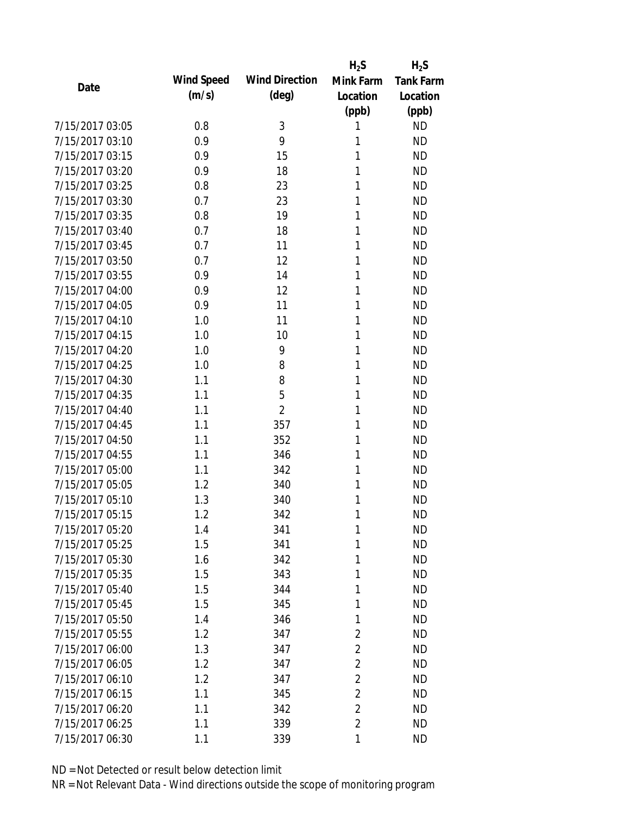|                 |            |                       | $H_2S$         | $H_2S$           |
|-----------------|------------|-----------------------|----------------|------------------|
| Date            | Wind Speed | <b>Wind Direction</b> | Mink Farm      | <b>Tank Farm</b> |
|                 | (m/s)      | $(\text{deg})$        | Location       | Location         |
|                 |            |                       | (ppb)          | (ppb)            |
| 7/15/2017 03:05 | 0.8        | 3                     | 1              | <b>ND</b>        |
| 7/15/2017 03:10 | 0.9        | 9                     | 1              | <b>ND</b>        |
| 7/15/2017 03:15 | 0.9        | 15                    | 1              | <b>ND</b>        |
| 7/15/2017 03:20 | 0.9        | 18                    | 1              | <b>ND</b>        |
| 7/15/2017 03:25 | 0.8        | 23                    | 1              | <b>ND</b>        |
| 7/15/2017 03:30 | 0.7        | 23                    | 1              | <b>ND</b>        |
| 7/15/2017 03:35 | 0.8        | 19                    | 1              | <b>ND</b>        |
| 7/15/2017 03:40 | 0.7        | 18                    | 1              | <b>ND</b>        |
| 7/15/2017 03:45 | 0.7        | 11                    | 1              | <b>ND</b>        |
| 7/15/2017 03:50 | 0.7        | 12                    | 1              | <b>ND</b>        |
| 7/15/2017 03:55 | 0.9        | 14                    | 1              | <b>ND</b>        |
| 7/15/2017 04:00 | 0.9        | 12                    | 1              | <b>ND</b>        |
| 7/15/2017 04:05 | 0.9        | 11                    | 1              | <b>ND</b>        |
| 7/15/2017 04:10 | 1.0        | 11                    | 1              | <b>ND</b>        |
| 7/15/2017 04:15 | 1.0        | 10                    | 1              | <b>ND</b>        |
| 7/15/2017 04:20 | 1.0        | 9                     | 1              | <b>ND</b>        |
| 7/15/2017 04:25 | 1.0        | 8                     | 1              | <b>ND</b>        |
| 7/15/2017 04:30 | 1.1        | 8                     | 1              | <b>ND</b>        |
| 7/15/2017 04:35 | 1.1        | 5                     | 1              | <b>ND</b>        |
| 7/15/2017 04:40 | 1.1        | $\overline{2}$        | 1              | <b>ND</b>        |
| 7/15/2017 04:45 | 1.1        | 357                   | 1              | <b>ND</b>        |
| 7/15/2017 04:50 | 1.1        | 352                   | 1              | <b>ND</b>        |
| 7/15/2017 04:55 | 1.1        | 346                   | 1              | <b>ND</b>        |
| 7/15/2017 05:00 | 1.1        | 342                   | 1              | <b>ND</b>        |
| 7/15/2017 05:05 | 1.2        | 340                   | 1              | <b>ND</b>        |
| 7/15/2017 05:10 | 1.3        | 340                   | 1              | <b>ND</b>        |
| 7/15/2017 05:15 | 1.2        | 342                   | 1              | <b>ND</b>        |
| 7/15/2017 05:20 | 1.4        | 341                   | 1              | <b>ND</b>        |
| 7/15/2017 05:25 | 1.5        | 341                   | 1              | <b>ND</b>        |
| 7/15/2017 05:30 | 1.6        | 342                   | 1              | <b>ND</b>        |
| 7/15/2017 05:35 | 1.5        | 343                   | 1              | <b>ND</b>        |
| 7/15/2017 05:40 | 1.5        | 344                   | 1              | <b>ND</b>        |
| 7/15/2017 05:45 | 1.5        | 345                   | 1              | <b>ND</b>        |
| 7/15/2017 05:50 | 1.4        | 346                   | 1              | <b>ND</b>        |
| 7/15/2017 05:55 | 1.2        | 347                   | 2              | <b>ND</b>        |
| 7/15/2017 06:00 | 1.3        | 347                   | $\overline{2}$ | <b>ND</b>        |
| 7/15/2017 06:05 | 1.2        | 347                   | $\overline{2}$ | <b>ND</b>        |
| 7/15/2017 06:10 | 1.2        | 347                   | $\overline{2}$ | <b>ND</b>        |
| 7/15/2017 06:15 | 1.1        | 345                   | $\sqrt{2}$     | <b>ND</b>        |
| 7/15/2017 06:20 | 1.1        | 342                   | $\overline{2}$ | <b>ND</b>        |
| 7/15/2017 06:25 | 1.1        | 339                   | $\overline{2}$ | <b>ND</b>        |
| 7/15/2017 06:30 | 1.1        | 339                   | 1              | <b>ND</b>        |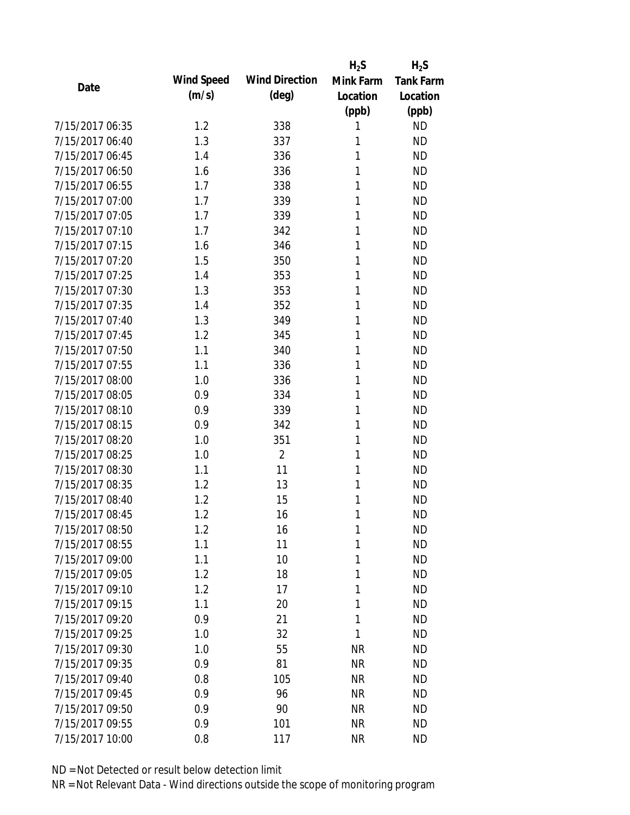|                 |            |                       | $H_2S$    | $H_2S$           |
|-----------------|------------|-----------------------|-----------|------------------|
| Date            | Wind Speed | <b>Wind Direction</b> | Mink Farm | <b>Tank Farm</b> |
|                 | (m/s)      | $(\text{deg})$        | Location  | Location         |
|                 |            |                       | (ppb)     | (ppb)            |
| 7/15/2017 06:35 | 1.2        | 338                   | 1         | <b>ND</b>        |
| 7/15/2017 06:40 | 1.3        | 337                   | 1         | <b>ND</b>        |
| 7/15/2017 06:45 | 1.4        | 336                   | 1         | <b>ND</b>        |
| 7/15/2017 06:50 | 1.6        | 336                   | 1         | <b>ND</b>        |
| 7/15/2017 06:55 | 1.7        | 338                   | 1         | <b>ND</b>        |
| 7/15/2017 07:00 | 1.7        | 339                   | 1         | <b>ND</b>        |
| 7/15/2017 07:05 | 1.7        | 339                   | 1         | <b>ND</b>        |
| 7/15/2017 07:10 | 1.7        | 342                   | 1         | <b>ND</b>        |
| 7/15/2017 07:15 | 1.6        | 346                   | 1         | <b>ND</b>        |
| 7/15/2017 07:20 | 1.5        | 350                   | 1         | <b>ND</b>        |
| 7/15/2017 07:25 | 1.4        | 353                   | 1         | <b>ND</b>        |
| 7/15/2017 07:30 | 1.3        | 353                   | 1         | <b>ND</b>        |
| 7/15/2017 07:35 | 1.4        | 352                   | 1         | <b>ND</b>        |
| 7/15/2017 07:40 | 1.3        | 349                   | 1         | <b>ND</b>        |
| 7/15/2017 07:45 | 1.2        | 345                   | 1         | <b>ND</b>        |
| 7/15/2017 07:50 | 1.1        | 340                   | 1         | <b>ND</b>        |
| 7/15/2017 07:55 | 1.1        | 336                   | 1         | <b>ND</b>        |
| 7/15/2017 08:00 | 1.0        | 336                   | 1         | <b>ND</b>        |
| 7/15/2017 08:05 | 0.9        | 334                   | 1         | <b>ND</b>        |
| 7/15/2017 08:10 | 0.9        | 339                   | 1         | <b>ND</b>        |
| 7/15/2017 08:15 | 0.9        | 342                   | 1         | <b>ND</b>        |
| 7/15/2017 08:20 | 1.0        | 351                   | 1         | <b>ND</b>        |
| 7/15/2017 08:25 | 1.0        | $\overline{2}$        | 1         | <b>ND</b>        |
| 7/15/2017 08:30 | 1.1        | 11                    | 1         | <b>ND</b>        |
| 7/15/2017 08:35 | 1.2        | 13                    | 1         | <b>ND</b>        |
| 7/15/2017 08:40 | 1.2        | 15                    | 1         | <b>ND</b>        |
| 7/15/2017 08:45 | 1.2        | 16                    | 1         | <b>ND</b>        |
| 7/15/2017 08:50 | 1.2        | 16                    | 1         | <b>ND</b>        |
| 7/15/2017 08:55 | 1.1        | 11                    | 1         | <b>ND</b>        |
| 7/15/2017 09:00 | 1.1        | 10                    | 1         | <b>ND</b>        |
| 7/15/2017 09:05 | 1.2        | 18                    | 1         | <b>ND</b>        |
| 7/15/2017 09:10 | 1.2        | 17                    | 1         | <b>ND</b>        |
| 7/15/2017 09:15 | 1.1        | 20                    | 1         | <b>ND</b>        |
| 7/15/2017 09:20 | 0.9        | 21                    | 1         | <b>ND</b>        |
| 7/15/2017 09:25 | 1.0        | 32                    | 1         | <b>ND</b>        |
| 7/15/2017 09:30 | 1.0        | 55                    | NR        | <b>ND</b>        |
| 7/15/2017 09:35 | 0.9        | 81                    | <b>NR</b> | <b>ND</b>        |
| 7/15/2017 09:40 | 0.8        | 105                   | <b>NR</b> | <b>ND</b>        |
| 7/15/2017 09:45 | 0.9        | 96                    | <b>NR</b> | <b>ND</b>        |
| 7/15/2017 09:50 | 0.9        | 90                    | <b>NR</b> | <b>ND</b>        |
| 7/15/2017 09:55 | 0.9        | 101                   | <b>NR</b> | <b>ND</b>        |
| 7/15/2017 10:00 | 0.8        | 117                   | <b>NR</b> | <b>ND</b>        |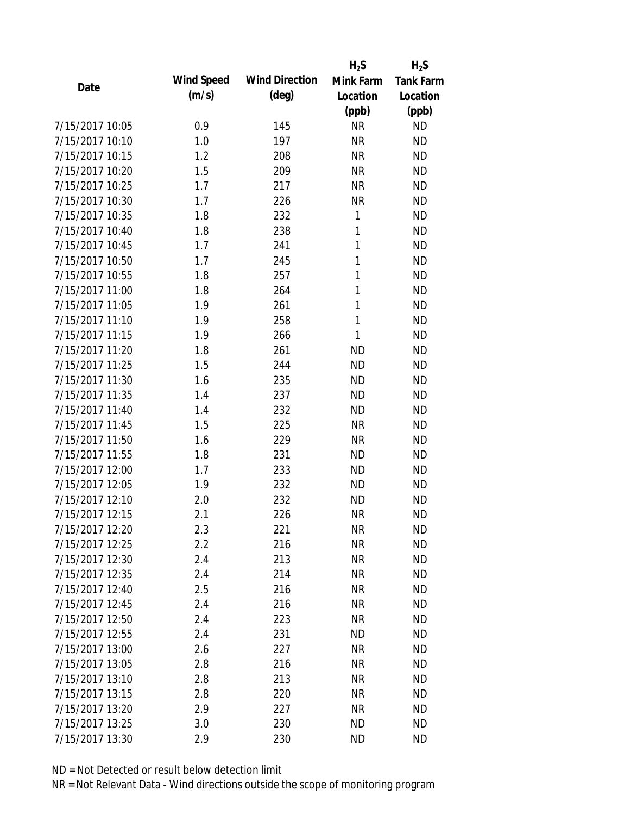|                 |            |                       | $H_2S$    | $H_2S$           |
|-----------------|------------|-----------------------|-----------|------------------|
| Date            | Wind Speed | <b>Wind Direction</b> | Mink Farm | <b>Tank Farm</b> |
|                 | (m/s)      | $(\text{deg})$        | Location  | Location         |
|                 |            |                       | (ppb)     | (ppb)            |
| 7/15/2017 10:05 | 0.9        | 145                   | <b>NR</b> | <b>ND</b>        |
| 7/15/2017 10:10 | 1.0        | 197                   | <b>NR</b> | <b>ND</b>        |
| 7/15/2017 10:15 | 1.2        | 208                   | <b>NR</b> | <b>ND</b>        |
| 7/15/2017 10:20 | 1.5        | 209                   | <b>NR</b> | <b>ND</b>        |
| 7/15/2017 10:25 | 1.7        | 217                   | <b>NR</b> | <b>ND</b>        |
| 7/15/2017 10:30 | 1.7        | 226                   | <b>NR</b> | <b>ND</b>        |
| 7/15/2017 10:35 | 1.8        | 232                   | 1         | <b>ND</b>        |
| 7/15/2017 10:40 | 1.8        | 238                   | 1         | <b>ND</b>        |
| 7/15/2017 10:45 | 1.7        | 241                   | 1         | <b>ND</b>        |
| 7/15/2017 10:50 | 1.7        | 245                   | 1         | <b>ND</b>        |
| 7/15/2017 10:55 | 1.8        | 257                   | 1         | <b>ND</b>        |
| 7/15/2017 11:00 | 1.8        | 264                   | 1         | <b>ND</b>        |
| 7/15/2017 11:05 | 1.9        | 261                   | 1         | <b>ND</b>        |
| 7/15/2017 11:10 | 1.9        | 258                   | 1         | <b>ND</b>        |
| 7/15/2017 11:15 | 1.9        | 266                   | 1         | <b>ND</b>        |
| 7/15/2017 11:20 | 1.8        | 261                   | <b>ND</b> | <b>ND</b>        |
| 7/15/2017 11:25 | 1.5        | 244                   | <b>ND</b> | <b>ND</b>        |
| 7/15/2017 11:30 | 1.6        | 235                   | <b>ND</b> | <b>ND</b>        |
| 7/15/2017 11:35 | 1.4        | 237                   | <b>ND</b> | <b>ND</b>        |
| 7/15/2017 11:40 | 1.4        | 232                   | <b>ND</b> | <b>ND</b>        |
| 7/15/2017 11:45 | 1.5        | 225                   | <b>NR</b> | <b>ND</b>        |
| 7/15/2017 11:50 | 1.6        | 229                   | <b>NR</b> | <b>ND</b>        |
| 7/15/2017 11:55 | 1.8        | 231                   | <b>ND</b> | <b>ND</b>        |
| 7/15/2017 12:00 | 1.7        | 233                   | <b>ND</b> | <b>ND</b>        |
| 7/15/2017 12:05 | 1.9        | 232                   | <b>ND</b> | <b>ND</b>        |
| 7/15/2017 12:10 | 2.0        | 232                   | <b>ND</b> | <b>ND</b>        |
| 7/15/2017 12:15 | 2.1        | 226                   | <b>NR</b> | <b>ND</b>        |
| 7/15/2017 12:20 | 2.3        | 221                   | <b>NR</b> | <b>ND</b>        |
| 7/15/2017 12:25 | 2.2        | 216                   | <b>NR</b> | <b>ND</b>        |
| 7/15/2017 12:30 | 2.4        | 213                   | <b>NR</b> | <b>ND</b>        |
| 7/15/2017 12:35 | 2.4        | 214                   | <b>NR</b> | <b>ND</b>        |
| 7/15/2017 12:40 | 2.5        | 216                   | <b>NR</b> | <b>ND</b>        |
| 7/15/2017 12:45 | 2.4        | 216                   | <b>NR</b> | <b>ND</b>        |
| 7/15/2017 12:50 | 2.4        | 223                   | <b>NR</b> | <b>ND</b>        |
| 7/15/2017 12:55 | 2.4        | 231                   | <b>ND</b> | <b>ND</b>        |
| 7/15/2017 13:00 | 2.6        | 227                   | <b>NR</b> | <b>ND</b>        |
| 7/15/2017 13:05 | 2.8        | 216                   | <b>NR</b> | <b>ND</b>        |
| 7/15/2017 13:10 | 2.8        | 213                   | <b>NR</b> | <b>ND</b>        |
| 7/15/2017 13:15 | 2.8        | 220                   | <b>NR</b> | <b>ND</b>        |
| 7/15/2017 13:20 | 2.9        | 227                   | ΝR        | <b>ND</b>        |
| 7/15/2017 13:25 | 3.0        | 230                   | <b>ND</b> | <b>ND</b>        |
| 7/15/2017 13:30 | 2.9        | 230                   | <b>ND</b> | <b>ND</b>        |
|                 |            |                       |           |                  |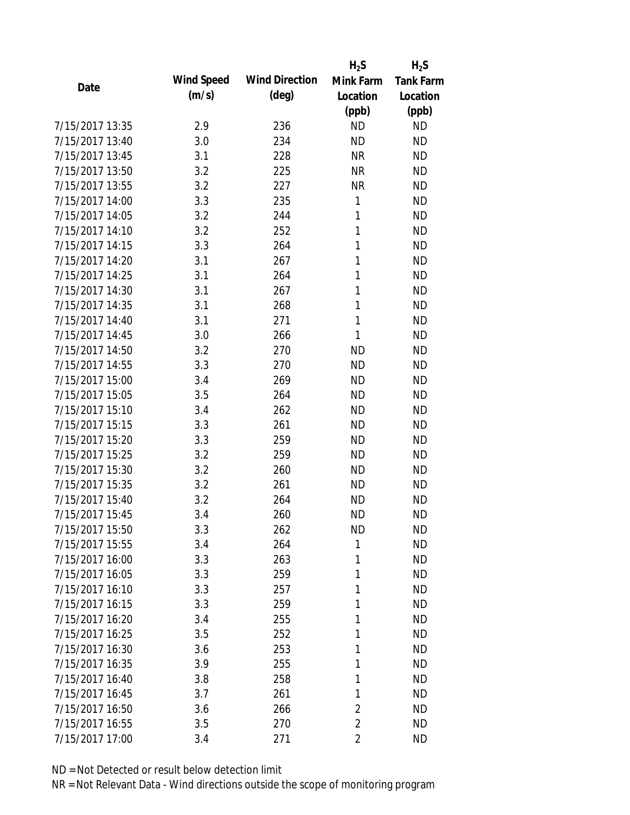|                 |            |                       | $H_2S$         | $H_2S$           |
|-----------------|------------|-----------------------|----------------|------------------|
| Date            | Wind Speed | <b>Wind Direction</b> | Mink Farm      | <b>Tank Farm</b> |
|                 | (m/s)      | $(\text{deg})$        | Location       | Location         |
|                 |            |                       | (ppb)          | (ppb)            |
| 7/15/2017 13:35 | 2.9        | 236                   | <b>ND</b>      | <b>ND</b>        |
| 7/15/2017 13:40 | 3.0        | 234                   | <b>ND</b>      | <b>ND</b>        |
| 7/15/2017 13:45 | 3.1        | 228                   | <b>NR</b>      | <b>ND</b>        |
| 7/15/2017 13:50 | 3.2        | 225                   | <b>NR</b>      | <b>ND</b>        |
| 7/15/2017 13:55 | 3.2        | 227                   | <b>NR</b>      | <b>ND</b>        |
| 7/15/2017 14:00 | 3.3        | 235                   | 1              | <b>ND</b>        |
| 7/15/2017 14:05 | 3.2        | 244                   | 1              | <b>ND</b>        |
| 7/15/2017 14:10 | 3.2        | 252                   | 1              | <b>ND</b>        |
| 7/15/2017 14:15 | 3.3        | 264                   | 1              | <b>ND</b>        |
| 7/15/2017 14:20 | 3.1        | 267                   | 1              | <b>ND</b>        |
| 7/15/2017 14:25 | 3.1        | 264                   | 1              | <b>ND</b>        |
| 7/15/2017 14:30 | 3.1        | 267                   | 1              | <b>ND</b>        |
| 7/15/2017 14:35 | 3.1        | 268                   | 1              | <b>ND</b>        |
| 7/15/2017 14:40 | 3.1        | 271                   | 1              | <b>ND</b>        |
| 7/15/2017 14:45 | 3.0        | 266                   | 1              | <b>ND</b>        |
| 7/15/2017 14:50 | 3.2        | 270                   | <b>ND</b>      | <b>ND</b>        |
| 7/15/2017 14:55 | 3.3        | 270                   | <b>ND</b>      | <b>ND</b>        |
| 7/15/2017 15:00 | 3.4        | 269                   | <b>ND</b>      | <b>ND</b>        |
| 7/15/2017 15:05 | 3.5        | 264                   | <b>ND</b>      | <b>ND</b>        |
| 7/15/2017 15:10 | 3.4        | 262                   | <b>ND</b>      | <b>ND</b>        |
| 7/15/2017 15:15 | 3.3        | 261                   | <b>ND</b>      | <b>ND</b>        |
| 7/15/2017 15:20 | 3.3        | 259                   | <b>ND</b>      | <b>ND</b>        |
| 7/15/2017 15:25 | 3.2        | 259                   | <b>ND</b>      | <b>ND</b>        |
| 7/15/2017 15:30 | 3.2        | 260                   | <b>ND</b>      | <b>ND</b>        |
| 7/15/2017 15:35 | 3.2        | 261                   | <b>ND</b>      | <b>ND</b>        |
| 7/15/2017 15:40 | 3.2        | 264                   | <b>ND</b>      | <b>ND</b>        |
| 7/15/2017 15:45 | 3.4        | 260                   | <b>ND</b>      | <b>ND</b>        |
| 7/15/2017 15:50 | 3.3        | 262                   | <b>ND</b>      | <b>ND</b>        |
| 7/15/2017 15:55 | 3.4        | 264                   | 1              | <b>ND</b>        |
| 7/15/2017 16:00 | 3.3        | 263                   | 1              | <b>ND</b>        |
| 7/15/2017 16:05 | 3.3        | 259                   | 1              | <b>ND</b>        |
| 7/15/2017 16:10 | 3.3        | 257                   | 1              | <b>ND</b>        |
| 7/15/2017 16:15 | 3.3        | 259                   | 1              | <b>ND</b>        |
| 7/15/2017 16:20 | 3.4        | 255                   | 1              | <b>ND</b>        |
| 7/15/2017 16:25 | 3.5        | 252                   | 1              | <b>ND</b>        |
| 7/15/2017 16:30 | 3.6        | 253                   | 1              | <b>ND</b>        |
| 7/15/2017 16:35 | 3.9        | 255                   | 1              | <b>ND</b>        |
| 7/15/2017 16:40 | 3.8        | 258                   | 1              | <b>ND</b>        |
| 7/15/2017 16:45 | 3.7        | 261                   | 1              | <b>ND</b>        |
| 7/15/2017 16:50 | 3.6        | 266                   | 2              | <b>ND</b>        |
| 7/15/2017 16:55 | 3.5        | 270                   | $\overline{2}$ | <b>ND</b>        |
| 7/15/2017 17:00 | 3.4        | 271                   | $\overline{2}$ | <b>ND</b>        |
|                 |            |                       |                |                  |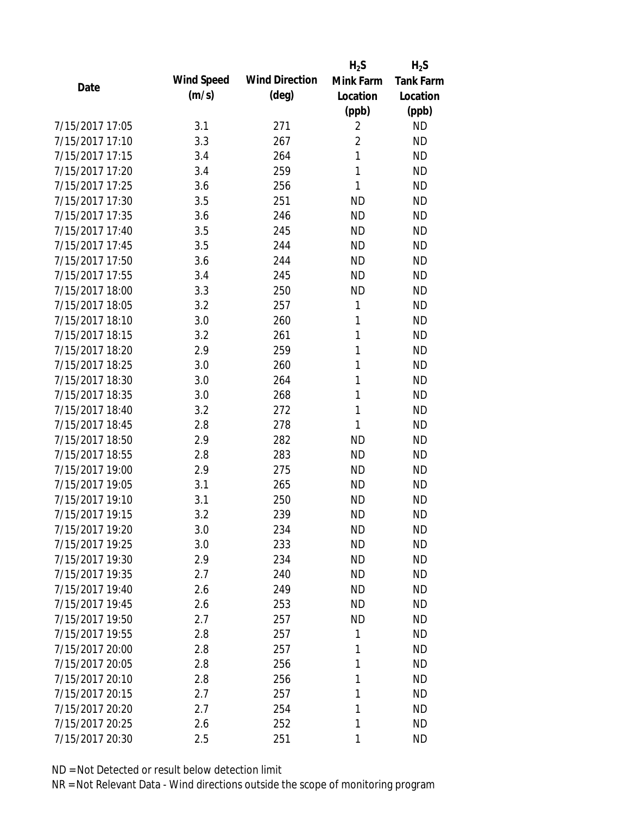|                 |            |                       | $H_2S$         | $H_2S$           |
|-----------------|------------|-----------------------|----------------|------------------|
| Date            | Wind Speed | <b>Wind Direction</b> | Mink Farm      | <b>Tank Farm</b> |
|                 | (m/s)      | $(\text{deg})$        | Location       | Location         |
|                 |            |                       | (ppb)          | (ppb)            |
| 7/15/2017 17:05 | 3.1        | 271                   | $\overline{2}$ | <b>ND</b>        |
| 7/15/2017 17:10 | 3.3        | 267                   | $\overline{2}$ | <b>ND</b>        |
| 7/15/2017 17:15 | 3.4        | 264                   | 1              | <b>ND</b>        |
| 7/15/2017 17:20 | 3.4        | 259                   | 1              | <b>ND</b>        |
| 7/15/2017 17:25 | 3.6        | 256                   | 1              | <b>ND</b>        |
| 7/15/2017 17:30 | 3.5        | 251                   | <b>ND</b>      | <b>ND</b>        |
| 7/15/2017 17:35 | 3.6        | 246                   | <b>ND</b>      | <b>ND</b>        |
| 7/15/2017 17:40 | 3.5        | 245                   | <b>ND</b>      | <b>ND</b>        |
| 7/15/2017 17:45 | 3.5        | 244                   | <b>ND</b>      | <b>ND</b>        |
| 7/15/2017 17:50 | 3.6        | 244                   | <b>ND</b>      | <b>ND</b>        |
| 7/15/2017 17:55 | 3.4        | 245                   | <b>ND</b>      | <b>ND</b>        |
| 7/15/2017 18:00 | 3.3        | 250                   | <b>ND</b>      | <b>ND</b>        |
| 7/15/2017 18:05 | 3.2        | 257                   | 1              | <b>ND</b>        |
| 7/15/2017 18:10 | 3.0        | 260                   | 1              | <b>ND</b>        |
| 7/15/2017 18:15 | 3.2        | 261                   | 1              | <b>ND</b>        |
| 7/15/2017 18:20 | 2.9        | 259                   | 1              | <b>ND</b>        |
| 7/15/2017 18:25 | 3.0        | 260                   | 1              | <b>ND</b>        |
| 7/15/2017 18:30 | 3.0        | 264                   | 1              | <b>ND</b>        |
| 7/15/2017 18:35 | 3.0        | 268                   | 1              | <b>ND</b>        |
| 7/15/2017 18:40 | 3.2        | 272                   | 1              | <b>ND</b>        |
| 7/15/2017 18:45 | 2.8        | 278                   | 1              | <b>ND</b>        |
| 7/15/2017 18:50 | 2.9        | 282                   | <b>ND</b>      | <b>ND</b>        |
| 7/15/2017 18:55 | 2.8        | 283                   | <b>ND</b>      | <b>ND</b>        |
| 7/15/2017 19:00 | 2.9        | 275                   | <b>ND</b>      | <b>ND</b>        |
| 7/15/2017 19:05 | 3.1        | 265                   | <b>ND</b>      | <b>ND</b>        |
| 7/15/2017 19:10 | 3.1        | 250                   | <b>ND</b>      | <b>ND</b>        |
| 7/15/2017 19:15 | 3.2        | 239                   | <b>ND</b>      | <b>ND</b>        |
| 7/15/2017 19:20 | 3.0        | 234                   | ΝD             | <b>ND</b>        |
| 7/15/2017 19:25 | 3.0        | 233                   | <b>ND</b>      | <b>ND</b>        |
| 7/15/2017 19:30 | 2.9        | 234                   | <b>ND</b>      | <b>ND</b>        |
| 7/15/2017 19:35 | 2.7        | 240                   | <b>ND</b>      | <b>ND</b>        |
| 7/15/2017 19:40 | 2.6        | 249                   | <b>ND</b>      | <b>ND</b>        |
| 7/15/2017 19:45 | 2.6        | 253                   | ND             | <b>ND</b>        |
| 7/15/2017 19:50 | 2.7        | 257                   | <b>ND</b>      | <b>ND</b>        |
| 7/15/2017 19:55 | 2.8        | 257                   | 1              | <b>ND</b>        |
| 7/15/2017 20:00 | 2.8        | 257                   | 1              | <b>ND</b>        |
| 7/15/2017 20:05 | 2.8        | 256                   | 1              | <b>ND</b>        |
| 7/15/2017 20:10 | 2.8        | 256                   | 1              | <b>ND</b>        |
| 7/15/2017 20:15 | 2.7        | 257                   | 1              | <b>ND</b>        |
| 7/15/2017 20:20 | 2.7        | 254                   | 1              | <b>ND</b>        |
| 7/15/2017 20:25 | 2.6        | 252                   | 1              | <b>ND</b>        |
| 7/15/2017 20:30 | 2.5        | 251                   | 1              | <b>ND</b>        |